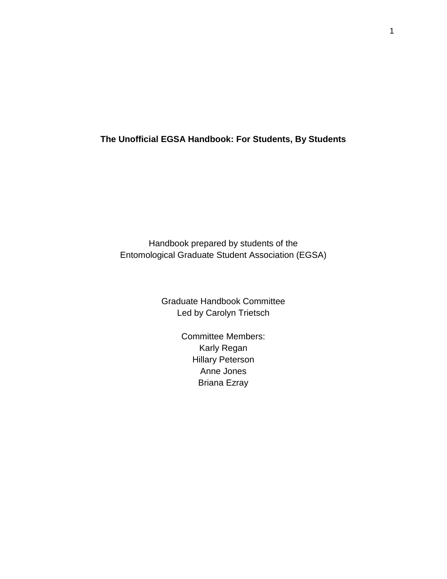### **The Unofficial EGSA Handbook: For Students, By Students**

Handbook prepared by students of the Entomological Graduate Student Association (EGSA)

> Graduate Handbook Committee Led by Carolyn Trietsch

> > Committee Members: Karly Regan Hillary Peterson Anne Jones Briana Ezray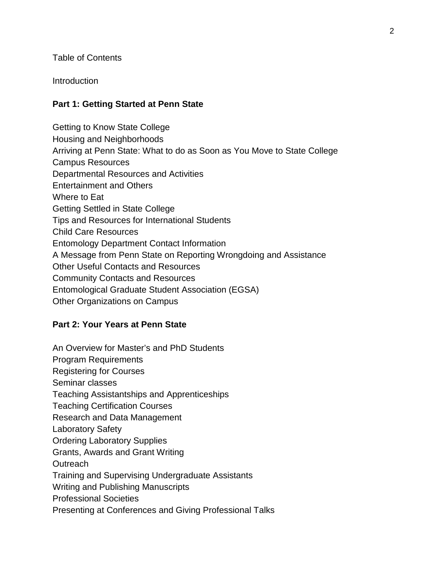Table of Contents

**Introduction** 

#### **Part 1: Getting Started at Penn State**

Getting to Know State College Housing and Neighborhoods Arriving at Penn State: What to do as Soon as You Move to State College Campus Resources Departmental Resources and Activities Entertainment and Others Where to Eat Getting Settled in State College Tips and Resources for International Students Child Care Resources Entomology Department Contact Information A Message from Penn State on Reporting Wrongdoing and Assistance Other Useful Contacts and Resources Community Contacts and Resources Entomological Graduate Student Association (EGSA) Other Organizations on Campus

#### **Part 2: Your Years at Penn State**

An Overview for Master's and PhD Students Program Requirements Registering for Courses Seminar classes Teaching Assistantships and Apprenticeships Teaching Certification Courses Research and Data Management Laboratory Safety Ordering Laboratory Supplies Grants, Awards and Grant Writing **Outreach** Training and Supervising Undergraduate Assistants Writing and Publishing Manuscripts Professional Societies Presenting at Conferences and Giving Professional Talks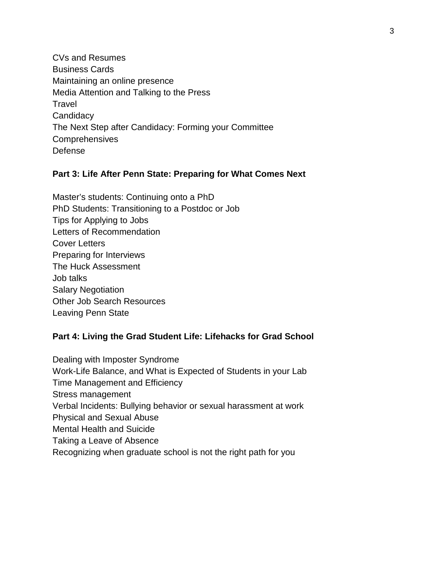CVs and Resumes Business Cards Maintaining an online presence Media Attention and Talking to the Press **Travel Candidacy** The Next Step after Candidacy: Forming your Committee **Comprehensives** Defense

#### **Part 3: Life After Penn State: Preparing for What Comes Next**

Master's students: Continuing onto a PhD PhD Students: Transitioning to a Postdoc or Job Tips for Applying to Jobs Letters of Recommendation Cover Letters Preparing for Interviews The Huck Assessment Job talks Salary Negotiation Other Job Search Resources Leaving Penn State

#### **Part 4: Living the Grad Student Life: Lifehacks for Grad School**

Dealing with Imposter Syndrome Work-Life Balance, and What is Expected of Students in your Lab Time Management and Efficiency Stress management Verbal Incidents: Bullying behavior or sexual harassment at work Physical and Sexual Abuse Mental Health and Suicide Taking a Leave of Absence Recognizing when graduate school is not the right path for you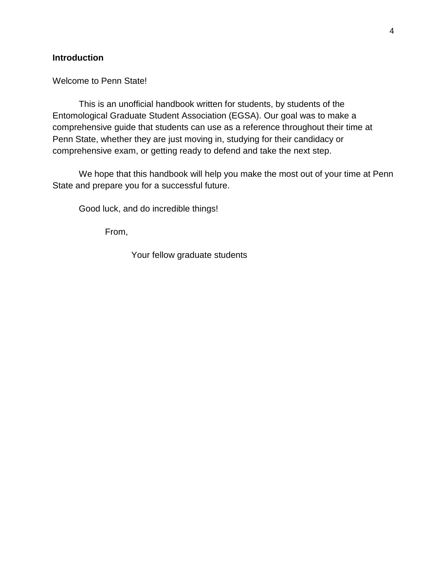#### **Introduction**

#### Welcome to Penn State!

This is an unofficial handbook written for students, by students of the Entomological Graduate Student Association (EGSA). Our goal was to make a comprehensive guide that students can use as a reference throughout their time at Penn State, whether they are just moving in, studying for their candidacy or comprehensive exam, or getting ready to defend and take the next step.

We hope that this handbook will help you make the most out of your time at Penn State and prepare you for a successful future.

Good luck, and do incredible things!

From,

Your fellow graduate students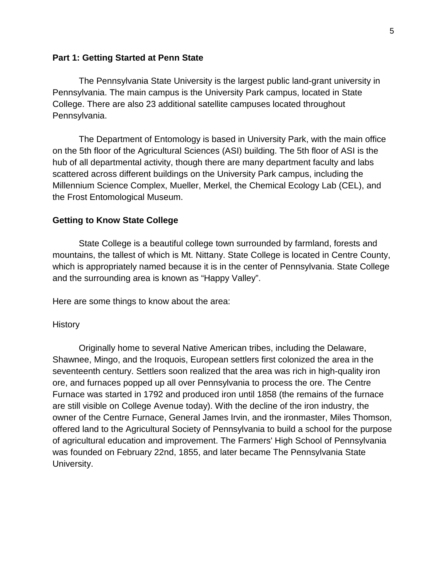#### **Part 1: Getting Started at Penn State**

The Pennsylvania State University is the largest public land-grant university in Pennsylvania. The main campus is the University Park campus, located in State College. There are also 23 additional satellite campuses located throughout Pennsylvania.

The Department of Entomology is based in University Park, with the main office on the 5th floor of the Agricultural Sciences (ASI) building. The 5th floor of ASI is the hub of all departmental activity, though there are many department faculty and labs scattered across different buildings on the University Park campus, including the Millennium Science Complex, Mueller, Merkel, the Chemical Ecology Lab (CEL), and the Frost Entomological Museum.

#### **Getting to Know State College**

State College is a beautiful college town surrounded by farmland, forests and mountains, the tallest of which is Mt. Nittany. State College is located in Centre County, which is appropriately named because it is in the center of Pennsylvania. State College and the surrounding area is known as "Happy Valley".

Here are some things to know about the area:

#### **History**

Originally home to several Native American tribes, including the Delaware, Shawnee, Mingo, and the Iroquois, European settlers first colonized the area in the seventeenth century. Settlers soon realized that the area was rich in high-quality iron ore, and furnaces popped up all over Pennsylvania to process the ore. The Centre Furnace was started in 1792 and produced iron until 1858 (the remains of the furnace are still visible on College Avenue today). With the decline of the iron industry, the owner of the Centre Furnace, General James Irvin, and the ironmaster, Miles Thomson, offered land to the Agricultural Society of Pennsylvania to build a school for the purpose of agricultural education and improvement. The Farmers' High School of Pennsylvania was founded on February 22nd, 1855, and later became The Pennsylvania State University.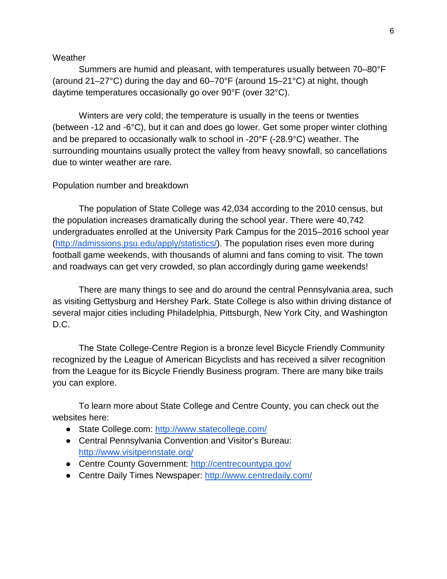#### **Weather**

Summers are humid and pleasant, with temperatures usually between 70–80°F (around 21–27°C) during the day and 60–70°F (around 15–21°C) at night, though daytime temperatures occasionally go over 90°F (over 32°C).

Winters are very cold; the temperature is usually in the teens or twenties (between -12 and -6°C), but it can and does go lower. Get some proper winter clothing and be prepared to occasionally walk to school in -20°F (-28.9°C) weather. The surrounding mountains usually protect the valley from heavy snowfall, so cancellations due to winter weather are rare.

#### Population number and breakdown

The population of State College was 42,034 according to the 2010 census, but the population increases dramatically during the school year. There were 40,742 undergraduates enrolled at the University Park Campus for the 2015–2016 school year [\(http://admissions.psu.edu/apply/statistics/\)](http://admissions.psu.edu/apply/statistics/). The population rises even more during football game weekends, with thousands of alumni and fans coming to visit. The town and roadways can get very crowded, so plan accordingly during game weekends!

There are many things to see and do around the central Pennsylvania area, such as visiting Gettysburg and Hershey Park. State College is also within driving distance of several major cities including Philadelphia, Pittsburgh, New York City, and Washington D.C.

The State College-Centre Region is a bronze level Bicycle Friendly Community recognized by the League of American Bicyclists and has received a silver recognition from the League for its Bicycle Friendly Business program. There are many bike trails you can explore.

To learn more about State College and Centre County, you can check out the websites here:

- State College.com:<http://www.statecollege.com/>
- Central Pennsylvania Convention and Visitor's Bureau: <http://www.visitpennstate.org/>
- Centre County Government:<http://centrecountypa.gov/>
- Centre Daily Times Newspaper:<http://www.centredaily.com/>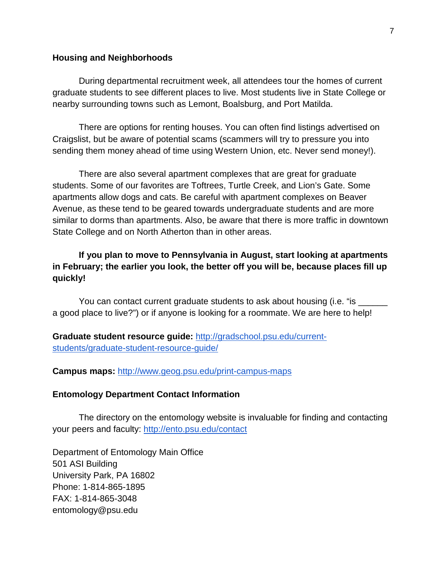#### **Housing and Neighborhoods**

During departmental recruitment week, all attendees tour the homes of current graduate students to see different places to live. Most students live in State College or nearby surrounding towns such as Lemont, Boalsburg, and Port Matilda.

There are options for renting houses. You can often find listings advertised on Craigslist, but be aware of potential scams (scammers will try to pressure you into sending them money ahead of time using Western Union, etc. Never send money!).

There are also several apartment complexes that are great for graduate students. Some of our favorites are Toftrees, Turtle Creek, and Lion's Gate. Some apartments allow dogs and cats. Be careful with apartment complexes on Beaver Avenue, as these tend to be geared towards undergraduate students and are more similar to dorms than apartments. Also, be aware that there is more traffic in downtown State College and on North Atherton than in other areas.

### **If you plan to move to Pennsylvania in August, start looking at apartments in February; the earlier you look, the better off you will be, because places fill up quickly!**

You can contact current graduate students to ask about housing (i.e. "is \_\_\_\_\_\_\_ a good place to live?") or if anyone is looking for a roommate. We are here to help!

**Graduate student resource guide:** [http://gradschool.psu.edu/current](http://gradschool.psu.edu/current-students/graduate-student-resource-guide/)[students/graduate-student-resource-guide/](http://gradschool.psu.edu/current-students/graduate-student-resource-guide/) 

**Campus maps:** <http://www.geog.psu.edu/print-campus-maps>

#### **Entomology Department Contact Information**

The directory on the entomology website is invaluable for finding and contacting your peers and faculty:<http://ento.psu.edu/contact>

Department of Entomology Main Office 501 ASI Building University Park, PA 16802 Phone: 1-814-865-1895 FAX: 1-814-865-3048 entomology@psu.edu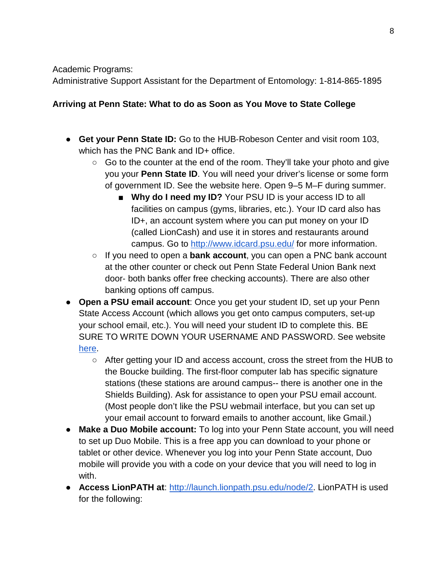Academic Programs:

[Administrative Su](http://ento.psu.edu/directory/ldw5)pport Assistant for the Department of Entomology: 1-814-865-1895

## **Arriving at Penn State: What to do as Soon as You Move to State College**

- **Get your Penn State ID:** Go to the HUB-Robeson Center and visit room 103, which has the PNC Bank and ID+ office.
	- $\circ$  Go to the counter at the end of the room. They'll take your photo and give you your **Penn State ID**. You will need your driver's license or some form of government ID. See the website [here.](http://www.idcard.psu.edu/IDCard/TheCard/GettingYourIDCard.cfm) Open 9–5 M–F during summer.
		- **Why do I need my ID?** Your PSU ID is your access ID to all facilities on campus (gyms, libraries, etc.). Your ID card also has ID+, an account system where you can put money on your ID (called LionCash) and use it in stores and restaurants around campus. Go to<http://www.idcard.psu.edu/> for more information.
	- If you need to open a **bank account**, you can open a PNC bank account at the other counter or check out Penn State Federal Union Bank next door‐ both banks offer free checking accounts). There are also other banking options off campus.
- **Open a PSU email account**: Once you get your student ID, set up your Penn State Access Account (which allows you get onto campus computers, set-up your school email, etc.). You will need your student ID to complete this. BE SURE TO WRITE DOWN YOUR USERNAME AND PASSWORD. See websit[e](http://ait.its.psu.edu/services/identity-access-management/identity/accounts/sigstations.html) [here.](http://ait.its.psu.edu/services/identity-access-management/identity/accounts/sigstations.html)
	- After getting your ID and access account, cross the street from the HUB to the Boucke building. The first-floor computer lab has specific signature stations (these stations are around campus-- there is another one in the Shields Building). Ask for assistance to open your PSU email account. (Most people don't like the PSU webmail interface, but you can set up your email account to forward emails to another account, like Gmail.)
- **Make a Duo Mobile account:** To log into your Penn State account, you will need to set up Duo Mobile. This is a free app you can download to your phone or tablet or other device. Whenever you log into your Penn State account, Duo mobile will provide you with a code on your device that you will need to log in with.
- **Access LionPATH at**: [http://launch.lionpath.psu.edu/node/2.](http://launch.lionpath.psu.edu/node/2) LionPATH is used for the following: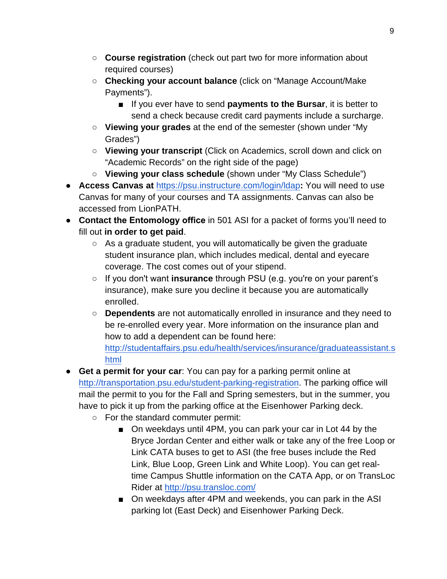- **Course registration** (check out part two for more information about required courses)
- **Checking your account balance** (click on "Manage Account/Make Payments").
	- If you ever have to send **payments to the Bursar**, it is better to send a check because credit card payments include a surcharge.
- **Viewing your grades** at the end of the semester (shown under "My Grades")
- **Viewing your transcript** (Click on Academics, scroll down and click on "Academic Records" on the right side of the page)
- **Viewing your class schedule** (shown under "My Class Schedule")
- **Access Canvas at** <https://psu.instructure.com/login/ldap>**:** You will need to use Canvas for many of your courses and TA assignments. Canvas can also be accessed from LionPATH.
- **Contact the Entomology office** in 501 ASI for a packet of forms you'll need to fill out **in order to get paid**.
	- $\circ$  As a graduate student, you will automatically be given the graduate student insurance plan, which includes medical, dental and eyecare coverage. The cost comes out of your stipend.
	- If you donʹt want **insurance** through PSU (e.g. youʹre on your parent's insurance), make sure you decline it because you are automatically enrolled.
	- **Dependents** are not automatically enrolled in insurance and they need to be re-enrolled every year. More information on the insurance plan and how to add a dependent can be found here:

[http://studentaffairs.psu.edu/health/services/insurance/graduateassistant.s](http://studentaffairs.psu.edu/health/services/insurance/graduateassistant.shtml) [html](http://studentaffairs.psu.edu/health/services/insurance/graduateassistant.shtml)

- **Get a permit for your car**: You can pay for a parking permit online at <http://transportation.psu.edu/student-parking-registration>. The parking office will mail the permit to you for the Fall and Spring semesters, but in the summer, you have to pick it up from the parking office at the Eisenhower Parking deck.
	- For the standard commuter permit:
		- On weekdays until 4PM, you can park your car in Lot 44 by the Bryce Jordan Center and either walk or take any of the free Loop or Link CATA buses to get to ASI (the free buses include the Red Link, Blue Loop, Green Link and White Loop). You can get realtime Campus Shuttle information on the CATA App, or on TransLoc Rider at <http://psu.transloc.com/>
		- On weekdays after 4PM and weekends, you can park in the ASI parking lot (East Deck) and Eisenhower Parking Deck.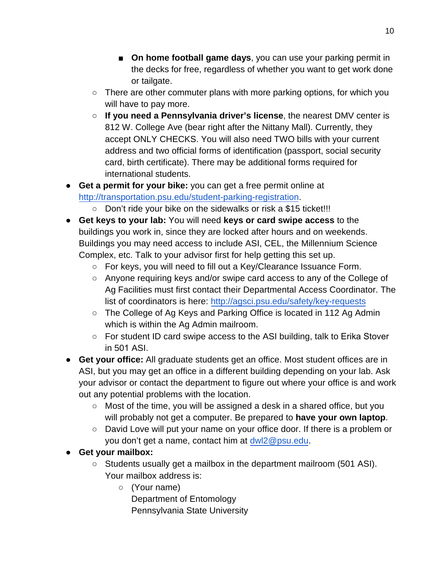- On home football game days, you can use your parking permit in the decks for free, regardless of whether you want to get work done or tailgate.
- There are other commuter plans with more parking options, for which you will have to pay more.
- **If you need a Pennsylvania driver's license**, the nearest DMV center is 812 W. College Ave (bear right after the Nittany Mall). Currently, they accept ONLY CHECKS. You will also need TWO bills with your current address and two official forms of identification (passport, social security card, birth certificate). There may be additional forms required for international students.
- **Get a permit for your bike:** you can get a free permit online at <http://transportation.psu.edu/student-parking-registration>.
	- Don't ride your bike on the sidewalks or risk a \$15 ticket!!!
- **Get keys to your lab:** You will need **keys or card swipe access** to the buildings you work in, since they are locked after hours and on weekends. Buildings you may need access to include ASI, CEL, the Millennium Science Complex, etc. Talk to your advisor first for help getting this set up.
	- For keys, you will need to fill out a Key/Clearance Issuance Form.
	- Anyone requiring keys and/or swipe card access to any of the College of Ag Facilities must first contact their Departmental Access Coordinator. The list of coordinators is here: http[://agsci.psu.edu/safety/key-requests](http://agsci.psu.edu/safety/key-requests)
	- The College of Ag Keys and Parking Office is located in 112 Ag Admin which is within the Ag Admin mailroom.
	- For student ID card swipe access to the ASI building, talk to Erika Stover in 501 ASI.
- **Get your office:** All graduate students get an office. Most student offices are in ASI, but you may get an office in a different building depending on your lab. Ask your advisor or contact the department to figure out where your office is and work out any potential problems with the location.
	- Most of the time, you will be assigned a desk in a shared office, but you will probably not get a computer. Be prepared to **have your own laptop**.
	- David Love will put your name on your office door. If there is a problem or you don't get a name, contact him at [dwl2@psu.edu.](mailto:dwl2@psu.edu)
- **Get your mailbox:**
	- Students usually get a mailbox in the department mailroom (501 ASI). Your mailbox address is:
		- (Your name) Department of Entomology Pennsylvania State University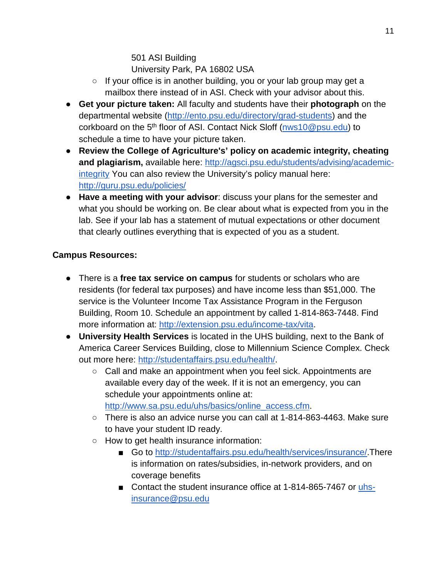## 501 ASI Building University Park, PA 16802 USA

- If your office is in another building, you or your lab group may get a mailbox there instead of in ASI. Check with your advisor about this.
- **Get your picture taken:** All faculty and students have their **photograph** on the departmental website [\(http://ento.psu.edu/directory/grad-students\)](http://ento.psu.edu/directory/grad-students) and the corkboard on the 5<sup>th</sup> floor of ASI. Contact Nick Sloff [\(nws10@psu.edu\)](mailto:nws10@psu.edu) to schedule a time to have your picture taken.
- **Review the College of Agriculture's' policy on academic integrity, cheating and plagiarism,** available here: [http://agsci.psu.edu/students/advising/academic](http://agsci.psu.edu/students/advising/academic-integrity)[integrity](http://agsci.psu.edu/students/advising/academic-integrity) You can also review the University's policy manual here: <http://guru.psu.edu/policies/>
- **Have a meeting with your advisor**: discuss your plans for the semester and what you should be working on. Be clear about what is expected from you in the lab. See if your lab has a statement of mutual expectations or other document that clearly outlines everything that is expected of you as a student.

## **Campus Resources:**

- There is a **free tax service on campus** for students or scholars who are residents (for federal tax purposes) and have income less than \$51,000. The service is the Volunteer Income Tax Assistance Program in the Ferguson Building, Room 10. Schedule an appointment by called 1-814-863-7448. Find more information at[:](http://extension.psu.edu/income-tax/vita) [http://extension.psu.edu/income-tax/vita.](http://extension.psu.edu/income-tax/vita)
- **University Health Services** is located in the UHS building, next to the Bank of America Career Services Building, close to Millennium Science Complex. Check out more here: [http://studentaffairs.psu.edu/health/.](http://studentaffairs.psu.edu/health/)
	- Call and make an appointment when you feel sick. Appointments are available every day of the week. If it is not an emergency, you can schedule your appointments online at[:](http://www.sa.psu.edu/uhs/basics/online_access.cfm) [http://www.sa.psu.edu/uhs/basics/online\\_access.cfm.](http://www.sa.psu.edu/uhs/basics/online_access.cfm)
	- There is also an advice nurse you can call at 1-814-863-4463. Make sure to have your student ID ready.
	- How to get health insurance information:
		- Go to [http://studentaffairs.psu.edu/health/services/insurance/.](http://studentaffairs.psu.edu/health/services/insurance/)There is information on rates/subsidies, in-network providers, and on coverage benefits
		- Contact the student insurance office at 1-814-865-7467 or [uhs](mailto:uhs-insurance@psu.edu)[insurance@psu.edu](mailto:uhs-insurance@psu.edu)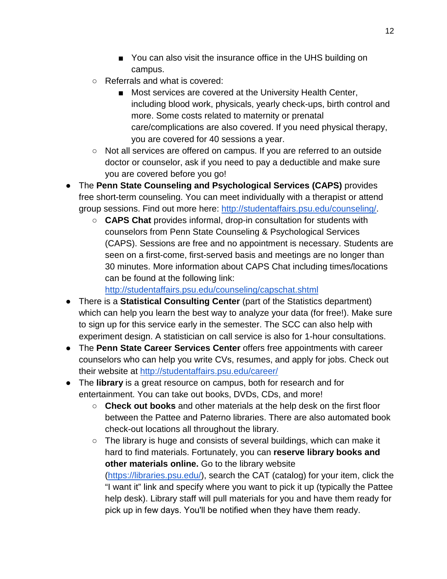- You can also visit the insurance office in the UHS building on campus.
- Referrals and what is covered:
	- Most services are covered at the University Health Center, including blood work, physicals, yearly check-ups, birth control and more. Some costs related to maternity or prenatal care/complications are also covered. If you need physical therapy, you are covered for 40 sessions a year.
- Not all services are offered on campus. If you are referred to an outside doctor or counselor, ask if you need to pay a deductible and make sure you are covered before you go!
- The **Penn State Counseling and Psychological Services (CAPS)** provides free short-term counseling. You can meet individually with a therapist or attend group sessions. Find out more here: [http://studentaffairs.psu.edu/counseling/.](http://studentaffairs.psu.edu/counseling/)
	- **CAPS Chat** provides informal, drop-in consultation for students with counselors from Penn State Counseling & Psychological Services (CAPS). Sessions are free and no appointment is necessary. Students are seen on a first-come, first-served basis and meetings are no longer than 30 minutes. More information about CAPS Chat including times/locations can be found at the following link:

<http://studentaffairs.psu.edu/counseling/capschat.shtml>

- There is a **Statistical Consulting Center** (part of the Statistics department) which can help you learn the best way to analyze your data (for free!). Make sure to sign up for this service early in the semester. The SCC can also help with experiment design. A statistician on call service is also for 1-hour consultations.
- The **Penn State Career Services Center** offers free appointments with career counselors who can help you write CVs, resumes, and apply for jobs. Check out their website at<http://studentaffairs.psu.edu/career/>
- The **library** is a great resource on campus, both for research and for entertainment. You can take out books, DVDs, CDs, and more!
	- **Check out books** and other materials at the help desk on the first floor between the Pattee and Paterno libraries. There are also automated book check-out locations all throughout the library.
	- The library is huge and consists of several buildings, which can make it hard to find materials. Fortunately, you can **reserve library books and other materials online.** Go to the library website [\(https://libraries.psu.edu/\)](https://libraries.psu.edu/), search the CAT (catalog) for your item, click the "I want it" link and specify where you want to pick it up (typically the Pattee help desk). Library staff will pull materials for you and have them ready for pick up in few days. Youʹll be notified when they have them ready.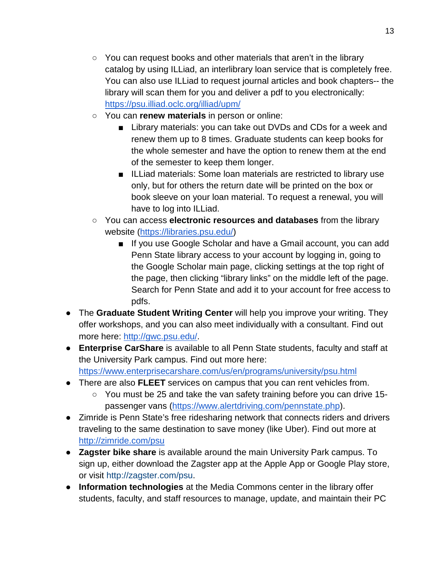- You can request books and other materials that aren't in the library catalog by using ILLiad, an interlibrary loan service that is completely free. You can also use ILLiad to request journal articles and book chapters-- the library will scan them for you and deliver a pdf to you electronically: <https://psu.illiad.oclc.org/illiad/upm/>
- You can **renew materials** in person or online:
	- Library materials: you can take out DVDs and CDs for a week and renew them up to 8 times. Graduate students can keep books for the whole semester and have the option to renew them at the end of the semester to keep them longer.
	- ILLiad materials: Some loan materials are restricted to library use only, but for others the return date will be printed on the box or book sleeve on your loan material. To request a renewal, you will have to log into ILLiad.
- You can access **electronic resources and databases** from the library website [\(https://libraries.psu.edu/\)](https://libraries.psu.edu/)
	- If you use Google Scholar and have a Gmail account, you can add Penn State library access to your account by logging in, going to the Google Scholar main page, clicking settings at the top right of the page, then clicking "library links" on the middle left of the page. Search for Penn State and add it to your account for free access to pdfs.
- The **Graduate Student Writing Center** will help you improve your writing. They offer workshops, and you can also meet individually with a consultant. Find out more here: [http://gwc.psu.edu/.](http://gwc.psu.edu/)
- **Enterprise CarShare** is available to all Penn State students, faculty and staff at the University Park campus. Find out more here: <https://www.enterprisecarshare.com/us/en/programs/university/psu.html>
- There are also **FLEET** services on campus that you can rent vehicles from.
	- You must be 25 and take the van safety training before you can drive 15 passenger vans [\(https://www.alertdriving.com/pennstate.php\)](https://www.alertdriving.com/pennstate.php).
- Zimride is Penn State's free ridesharing network that connects riders and drivers traveling to the same destination to save money (like Uber). Find out more at <http://zimride.com/psu>
- **Zagster bike share** is available around the main University Park campus. To sign up, either download the Zagster app at the Apple App or Google Play store, or visit [http://zagster.com/psu.](http://zagster.com/psu)
- **Information technologies** at the Media Commons center in the library offer students, faculty, and staff resources to manage, update, and maintain their PC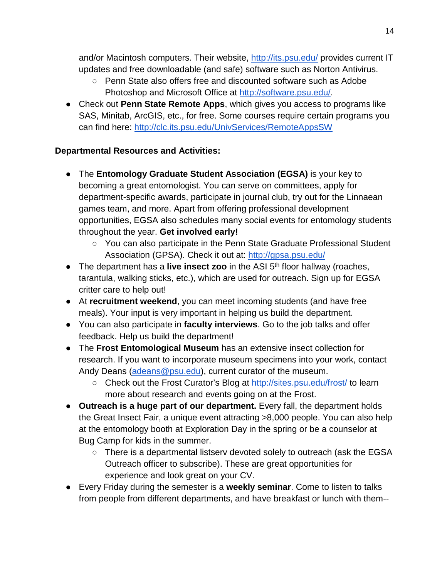and/or Macintosh computers. Their website,<http://its.psu.edu/> provides current IT updates and free downloadable (and safe) software such as Norton Antivirus.

- Penn State also offers free and discounted software such as Adobe Photoshop and Microsoft Office at [http://software.psu.edu/.](http://software.psu.edu/)
- Check out **Penn State Remote Apps**, which gives you access to programs like SAS, Minitab, ArcGIS, etc., for free. Some courses require certain programs you can find here:<http://clc.its.psu.edu/UnivServices/RemoteAppsSW>

## **Departmental Resources and Activities:**

- The **Entomology Graduate Student Association (EGSA)** is your key to becoming a great entomologist. You can serve on committees, apply for department-specific awards, participate in journal club, try out for the Linnaean games team, and more. Apart from offering professional development opportunities, EGSA also schedules many social events for entomology students throughout the year. **Get involved early!**
	- You can also participate in the Penn State Graduate Professional Student Association (GPSA). Check it out at:<http://gpsa.psu.edu/>
- The department has a **live insect zoo** in the ASI 5<sup>th</sup> floor hallway (roaches, tarantula, walking sticks, etc.), which are used for outreach. Sign up for EGSA critter care to help out!
- At **recruitment weekend**, you can meet incoming students (and have free meals). Your input is very important in helping us build the department.
- You can also participate in **faculty interviews**. Go to the job talks and offer feedback. Help us build the department!
- The **Frost Entomological Museum** has an extensive insect collection for research. If you want to incorporate museum specimens into your work, contact Andy Deans [\(adeans@psu.edu\)](mailto:adeans@psu.edu), current curator of the museum.
	- Check out the Frost Curator's Blog at<http://sites.psu.edu/frost/> to learn more about research and events going on at the Frost.
- **Outreach is a huge part of our department.** Every fall, the department holds the Great Insect Fair, a unique event attracting >8,000 people. You can also help at the entomology booth at Exploration Day in the spring or be a counselor at Bug Camp for kids in the summer.
	- There is a departmental listserv devoted solely to outreach (ask the EGSA Outreach officer to subscribe). These are great opportunities for experience and look great on your CV.
- Every Friday during the semester is a **weekly seminar**. Come to listen to talks from people from different departments, and have breakfast or lunch with them--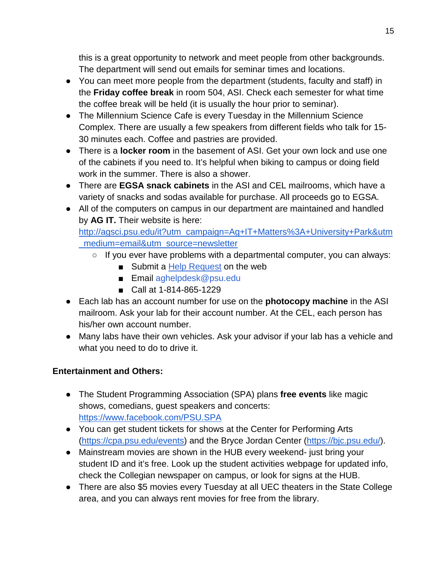this is a great opportunity to network and meet people from other backgrounds. The department will send out emails for seminar times and locations.

- You can meet more people from the department (students, faculty and staff) in the **Friday coffee break** in room 504, ASI. Check each semester for what time the coffee break will be held (it is usually the hour prior to seminar).
- The Millennium Science Cafe is every Tuesday in the Millennium Science Complex. There are usually a few speakers from different fields who talk for 15- 30 minutes each. Coffee and pastries are provided.
- There is a **locker room** in the basement of ASI. Get your own lock and use one of the cabinets if you need to. It's helpful when biking to campus or doing field work in the summer. There is also a shower.
- There are **EGSA snack cabinets** in the ASI and CEL mailrooms, which have a variety of snacks and sodas available for purchase. All proceeds go to EGSA.
- All of the computers on campus in our department are maintained and handled by **AG IT.** Their website is here:

[http://agsci.psu.edu/it?utm\\_campaign=Ag+IT+Matters%3A+University+Park&utm](http://agsci.psu.edu/it?utm_campaign=Ag+IT+Matters%3A+University+Park&utm_medium=email&utm_source=newsletter) [\\_medium=email&utm\\_source=newsletter](http://agsci.psu.edu/it?utm_campaign=Ag+IT+Matters%3A+University+Park&utm_medium=email&utm_source=newsletter)

- If you ever have problems with a departmental computer, you can always:
	- Submit [a](http://agsci.psu.edu/it/help?utm_campaign=Ag+IT+Matters%3A+University+Park&utm_medium=email&utm_source=newsletter) [Help Request](http://agsci.psu.edu/it/help?utm_campaign=Ag+IT+Matters%3A+University+Park&utm_medium=email&utm_source=newsletter) on the web
	- Email aghelpdesk@psu.edu
	- Call at 1-814-865-1229
- Each lab has an account number for use on the **photocopy machine** in the ASI mailroom. Ask your lab for their account number. At the CEL, each person has his/her own account number.
- Many labs have their own vehicles. Ask your advisor if your lab has a vehicle and what you need to do to drive it.

# **Entertainment and Others:**

- The Student Programming Association (SPA) plans **free events** like magic shows, comedians, guest speakers and concerts: <https://www.facebook.com/PSU.SPA>
- You can get student tickets for shows at the Center for Performing Arts [\(https://cpa.psu.edu/events\)](https://cpa.psu.edu/events) and the Bryce Jordan Center [\(https://bjc.psu.edu/\)](https://bjc.psu.edu/).
- Mainstream movies are shown in the HUB every weekend- just bring your student ID and it's free. Look up the student activities webpage for updated info, check the Collegian newspaper on campus, or look for signs at the HUB.
- There are also \$5 movies every Tuesday at all UEC theaters in the State College area, and you can always rent movies for free from the library.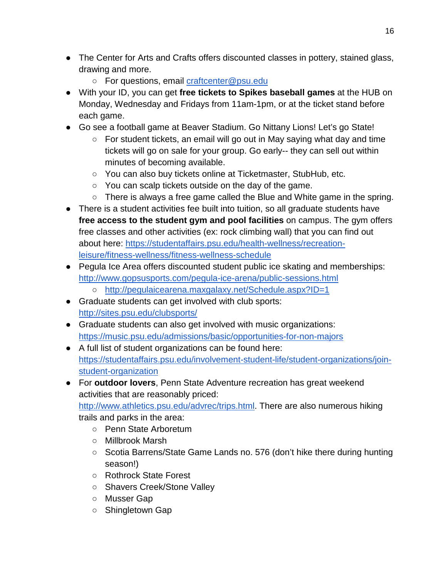- The Center for Arts and Crafts offers discounted classes in pottery, stained glass, drawing and more.
	- For questions, email [craftcenter@psu.edu](mailto:craftcenter@psu.edu)
- With your ID, you can get **free tickets to Spikes baseball games** at the HUB on Monday, Wednesday and Fridays from 11am-1pm, or at the ticket stand before each game.
- Go see a football game at Beaver Stadium. Go Nittany Lions! Let's go State!
	- For student tickets, an email will go out in May saying what day and time tickets will go on sale for your group. Go early-- they can sell out within minutes of becoming available.
	- You can also buy tickets online at Ticketmaster, StubHub, etc.
	- You can scalp tickets outside on the day of the game.
	- There is always a free game called the Blue and White game in the spring.
- There is a student activities fee built into tuition, so all graduate students have **free access to the student gym and pool facilities** on campus. The gym offers free classes and other activities (ex: rock climbing wall) that you can find out about here: [https://studentaffairs.psu.edu/health-wellness/recreation](https://studentaffairs.psu.edu/health-wellness/recreation-leisure/fitness-wellness/fitness-wellness-schedule)[leisure/fitness-wellness/fitness-wellness-schedule](https://studentaffairs.psu.edu/health-wellness/recreation-leisure/fitness-wellness/fitness-wellness-schedule)
- Pegula Ice Area offers discounted student public ice skating and memberships: <http://www.gopsusports.com/pegula-ice-arena/public-sessions.html>
	- <http://pegulaicearena.maxgalaxy.net/Schedule.aspx?ID=1>
- Graduate students can get involved with club sports: <http://sites.psu.edu/clubsports/>
- Graduate students can also get involved with music organizations: <https://music.psu.edu/admissions/basic/opportunities-for-non-majors>
- A full list of student organizations can be found here[:](https://studentaffairs.psu.edu/involvement-student-life/student-organizations/join-student-organization) [https://studentaffairs.psu.edu/involvement-student-life/student-organizations/join](https://studentaffairs.psu.edu/involvement-student-life/student-organizations/join-student-organization)[student-organization](https://studentaffairs.psu.edu/involvement-student-life/student-organizations/join-student-organization)
- For **outdoor lovers**, Penn State Adventure recreation has great weekend activities that are reasonably priced:

[http://www.athletics.psu.edu/advrec/trips.html.](http://www.athletics.psu.edu/advrec/trips.html) There are also numerous hiking trails and parks in the area:

- Penn State Arboretum
- Millbrook Marsh
- Scotia Barrens/State Game Lands no. 576 (don't hike there during hunting season!)
- Rothrock State Forest
- Shavers Creek/Stone Valley
- Musser Gap
- Shingletown Gap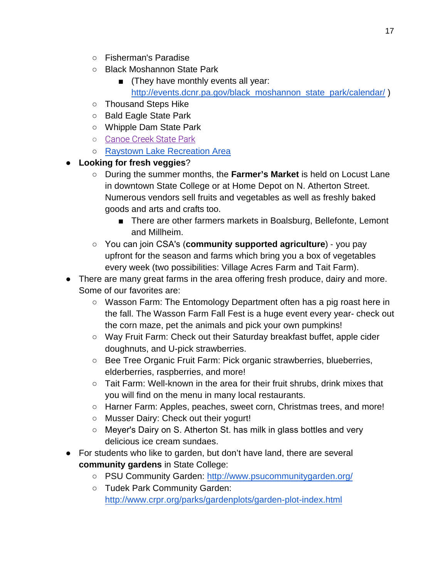- Fisherman's Paradise
- Black Moshannon State Park
	- (They have monthly events all year: http://events.dcnr.pa.gov/black\_moshannon\_state\_park/calendar/)
- Thousand Steps Hike
- Bald Eagle State Park
- Whipple Dam State Park
- [Canoe Creek State Park](http://www.dcnr.pa.gov/StateParks/FindAPark/CanoeCreekStatePark)
- Raystown Lake Recreation Are[a](http://www.dcnr.pa.gov/StateParks/FindAPark/CanoeCreekStatePark)
- **Looking for fresh veggies**?
	- During the summer months, the **Farmer's Market** is held on Locust Lane in downtown State College or at Home Depot on N. Atherton Street. Numerous vendors sell fruits and vegetables as well as freshly baked goods and arts and crafts too.
		- There are other farmers markets in Boalsburg, Bellefonte, Lemont and Millheim.
	- You can join CSAʹs (**community supported agriculture**) ‐ you pay upfront for the season and farms which bring you a box of vegetables every week (two possibilities: Village Acres Farm and Tait Farm).
- There are many great farms in the area offering fresh produce, dairy and more. Some of our favorites are:
	- Wasson Farm: The Entomology Department often has a pig roast here in the fall. The Wasson Farm Fall Fest is a huge event every year- check out the corn maze, pet the animals and pick your own pumpkins!
	- Way Fruit Farm: Check out their Saturday breakfast buffet, apple cider doughnuts, and U-pick strawberries.
	- Bee Tree Organic Fruit Farm: Pick organic strawberries, blueberries, elderberries, raspberries, and more!
	- Tait Farm: Well-known in the area for their fruit shrubs, drink mixes that you will find on the menu in many local restaurants.
	- Harner Farm: Apples, peaches, sweet corn, Christmas trees, and more!
	- Musser Dairy: Check out their yogurt!
	- Meyer's Dairy on S. Atherton St. has milk in glass bottles and very delicious ice cream sundaes.
- For students who like to garden, but don't have land, there are several **community gardens** in State College:
	- PSU Community Garden: [h](http://www.psucommunitygarden.org/)ttp://www.psucommunitygarden.org/
	- Tudek Park Community [Garden:](http://www.psucommunitygarden.org/) http://www.crpr.org/parks/gardenplots/garden-plot-index.html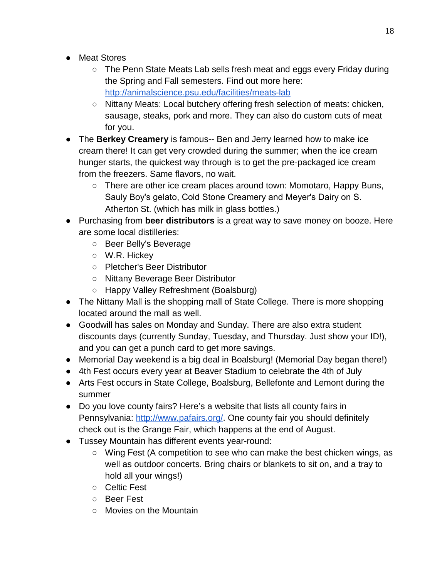- Meat Stores
	- The Penn State Meats Lab sells fresh meat and eggs every Friday during the Spring and Fall semesters. Find out more here: <http://animalscience.psu.edu/facilities/meats-lab>
	- Nittany Meats: Local butchery offering fresh selection of meats: chicken, sausage, steaks, pork and more. They can also do custom cuts of meat for you.
- The **Berkey Creamery** is famous-- Ben and Jerry learned how to make ice cream there! It can get very crowded during the summer; when the ice cream hunger starts, the quickest way through is to get the pre‐packaged ice cream from the freezers. Same flavors, no wait.
	- There are other ice cream places around town: Momotaro, Happy Buns, Sauly Boy's gelato, Cold Stone Creamery and Meyer's Dairy on S. Atherton St. (which has milk in glass bottles.)
- Purchasing from **beer distributors** is a great way to save money on booze. Here are some local distilleries:
	- Beer Belly's Beverage
	- W.R. Hickey
	- Pletcher's Beer Distributor
	- Nittany Beverage Beer Distributor
	- Happy Valley Refreshment (Boalsburg)
- The Nittany Mall is the shopping mall of State College. There is more shopping located around the mall as well.
- Goodwill has sales on Monday and Sunday. There are also extra student discounts days (currently Sunday, Tuesday, and Thursday. Just show your ID!), and you can get a punch card to get more savings.
- Memorial Day weekend is a big deal in Boalsburg! (Memorial Day began there!)
- 4th Fest occurs every year at Beaver Stadium to celebrate the 4th of July
- Arts Fest occurs in State College, Boalsburg, Bellefonte and Lemont during the summer
- Do you love county fairs? Here's a website that lists all county fairs in Pennsylvania: [http://www.pafairs.org/.](http://www.pafairs.org/) One county fair you should definitely check out is the Grange Fair, which happens at the end of August.
- Tussey Mountain has different events year-round:
	- Wing Fest (A competition to see who can make the best chicken wings, as well as outdoor concerts. Bring chairs or blankets to sit on, and a tray to hold all your wings!)
	- Celtic Fest
	- Beer Fest
	- Movies on the Mountain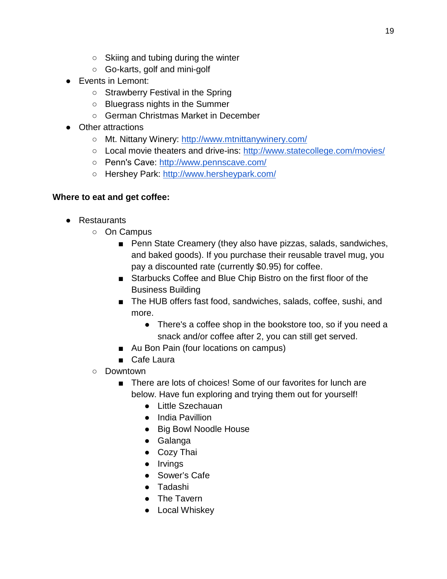- Skiing and tubing during the winter
- Go-karts, golf and mini-golf
- Events in Lemont:
	- Strawberry Festival in the Spring
	- Bluegrass nights in the Summer
	- German Christmas Market in December
- Other attractions
	- Mt. Nittany Winery:<http://www.mtnittanywinery.com/>
	- Local movie theaters and drive-ins:<http://www.statecollege.com/movies/>
	- Pennʹs Cave: <http://www.pennscave.com/>
	- Hershey Park:<http://www.hersheypark.com/>

## **Where to eat and get coffee:**

- Restaurants
	- On Campus
		- Penn State Creamery (they also have pizzas, salads, sandwiches, and baked goods). If you purchase their reusable travel mug, you pay a discounted rate (currently \$0.95) for coffee.
		- Starbucks Coffee and Blue Chip Bistro on the first floor of the Business Building
		- The HUB offers fast food, sandwiches, salads, coffee, sushi, and more.
			- There's a coffee shop in the bookstore too, so if you need a snack and/or coffee after 2, you can still get served.
		- Au Bon Pain (four locations on campus)
		- Cafe Laura
	- Downtown
		- There are lots of choices! Some of our favorites for lunch are below. Have fun exploring and trying them out for yourself!
			- Little Szechauan
			- India Pavillion
			- Big Bowl Noodle House
			- Galanga
			- Cozy Thai
			- Irvings
			- Sower's Cafe
			- Tadashi
			- The Tavern
			- Local Whiskey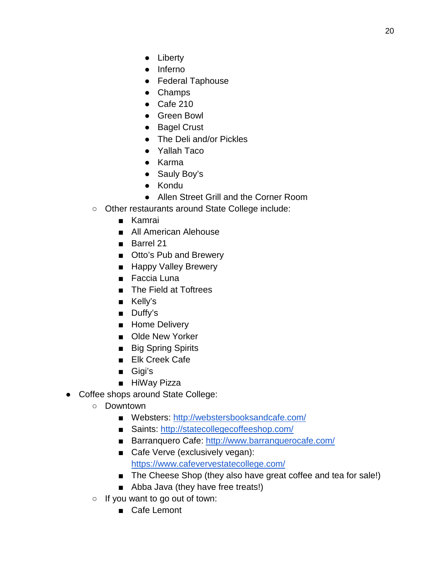- Liberty
- Inferno
- Federal Taphouse
- Champs
- Cafe 210
- Green Bowl
- Bagel Crust
- The Deli and/or Pickles
- Yallah Taco
- Karma
- Sauly Boy's
- Kondu
- Allen Street Grill and the Corner Room
- Other restaurants around State College include:
	- Kamrai
	- All American Alehouse
	- Barrel 21
	- Otto's Pub and Brewery
	- Happy Valley Brewery
	- Faccia Luna
	- The Field at Toftrees
	- Kelly's
	- Duffy's
	- Home Delivery
	- Olde New Yorker
	- Big Spring Spirits
	- Elk Creek Cafe
	- Gigi's
	- HiWay Pizza
- Coffee shops around State College:
	- Downtown
		- Websters:<http://webstersbooksandcafe.com/>
		- Saints:<http://statecollegecoffeeshop.com/>
		- Barranquero Cafe:<http://www.barranquerocafe.com/>
		- Cafe Verve (exclusively vegan): <https://www.cafevervestatecollege.com/>
		- The Cheese Shop (they also have great coffee and tea for sale!)
		- Abba Java (they have free treats!)
	- $\circ$  If you want to go out of town:
		- Cafe Lemont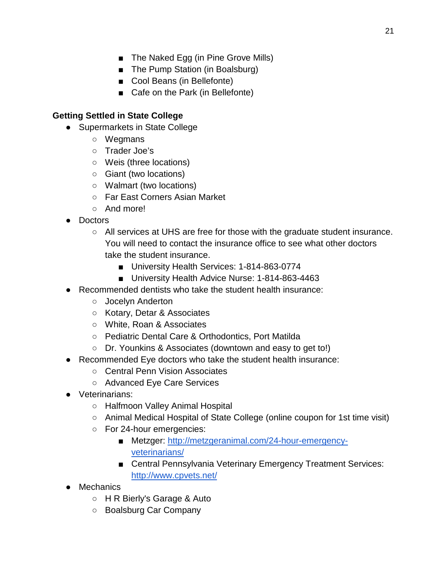- The Naked Egg (in Pine Grove Mills)
- The Pump Station (in Boalsburg)
- Cool Beans (in Bellefonte)
- Cafe on the Park (in Bellefonte)

### **Getting Settled in State College**

- Supermarkets in State College
	- Wegmans
	- Trader Joe's
	- Weis (three locations)
	- Giant (two locations)
	- Walmart (two locations)
	- Far East Corners Asian Market
	- And more!
- Doctors
	- All services at UHS are free for those with the graduate student insurance. You will need to contact the insurance office to see what other doctors take the student insurance.
		- University Health Services: 1-814-863-0774
		- University Health Advice Nurse: 1-814-863-4463
- Recommended dentists who take the student health insurance:
	- Jocelyn Anderton
	- Kotary, Detar & Associates
	- White, Roan & Associates
	- Pediatric Dental Care & Orthodontics, Port Matilda
	- Dr. Younkins & Associates (downtown and easy to get to!)
- Recommended Eye doctors who take the student health insurance:
	- Central Penn Vision Associates
	- Advanced Eye Care Services
- Veterinarians:
	- Halfmoon Valley Animal Hospital
	- Animal Medical Hospital of State College (online coupon for 1st time visit)
	- For 24-hour emergencies:
		- Metzger: [http://metzgeranimal.com/24-hour-emergency](http://metzgeranimal.com/24-hour-emergency-veterinarians/)[veterinarians/](http://metzgeranimal.com/24-hour-emergency-veterinarians/)
		- Central Pennsylvania Veterinary Emergency Treatment Services: <http://www.cpvets.net/>
- Mechanics
	- H R Bierly's Garage & Auto
	- Boalsburg Car Company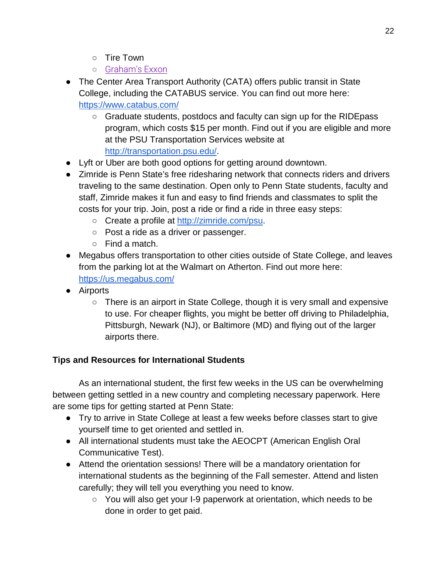- Tire Town
- [Graham's Exxon](https://www.yelp.com/biz/grahams-exxon-state-college)
- The Center Area Transport Authority (CATA) offers public transit in State College, including the CATABUS service. You can find out more here: <https://www.catabus.com/>
	- Graduate students, postdocs and faculty can sign up for the RIDEpass program, which costs \$15 per month. Find out if you are eligible and more at the PSU Transportation Services website at [http://transportation.psu.edu/.](http://transportation.psu.edu/)
- Lyft or Uber are both good options for getting around downtown.
- Zimride is Penn State's free ridesharing network that connects riders and drivers traveling to the same destination. Open only to Penn State students, faculty and staff, Zimride makes it fun and easy to find friends and classmates to split the costs for your trip. Join, post a ride or find a ride in three easy steps:
	- Create a profile a[t](http://zimride.com/psu) [http://zimride.com/psu.](http://zimride.com/psu)
	- Post a ride as a driver or passenger.
	- Find a match.
- Megabus offers transportation to other cities outside of State College, and leaves from the parking lot at the Walmart on Atherton. Find out more here: <https://us.megabus.com/>
- Airports
	- $\circ$  There is an airport in State College, though it is very small and expensive to use. For cheaper flights, you might be better off driving to Philadelphia, Pittsburgh, Newark (NJ), or Baltimore (MD) and flying out of the larger airports there.

## **Tips and Resources for International Students**

As an international student, the first few weeks in the US can be overwhelming between getting settled in a new country and completing necessary paperwork. Here are some tips for getting started at Penn State:

- Try to arrive in State College at least a few weeks before classes start to give yourself time to get oriented and settled in.
- All international students must take the AEOCPT (American English Oral Communicative Test).
- Attend the orientation sessions! There will be a mandatory orientation for international students as the beginning of the Fall semester. Attend and listen carefully; they will tell you everything you need to know.
	- You will also get your I-9 paperwork at orientation, which needs to be done in order to get paid.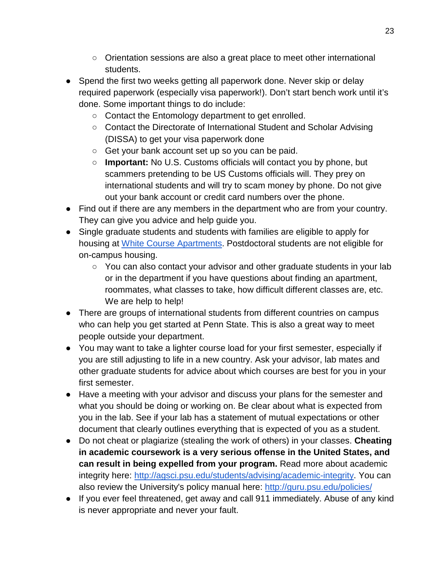- Orientation sessions are also a great place to meet other international students.
- Spend the first two weeks getting all paperwork done. Never skip or delay required paperwork (especially visa paperwork!). Don't start bench work until it's done. Some important things to do include:
	- Contact the Entomology department to get enrolled.
	- Contact the Directorate of International Student and Scholar Advising (DISSA) to get your visa paperwork done
	- Get your bank account set up so you can be paid.
	- **Important:** No U.S. Customs officials will contact you by phone, but scammers pretending to be US Customs officials will. They prey on international students and will try to scam money by phone. Do not give out your bank account or credit card numbers over the phone.
- Find out if there are any members in the department who are from your country. They can give you advice and help guide you.
- Single graduate students and students with families are eligible to apply for housing a[t](https://housing.psu.edu/housing/housing/graduate-and-family-housing/index.cfm) White [Course Apartments.](https://housing.psu.edu/housing/housing/graduate-and-family-housing/index.cfm) Postdoctoral students are not eligible for on-campus housing.
	- You can also contact your advisor and other graduate students in your lab or in the department if you have questions about finding an apartment, roommates, what classes to take, how difficult different classes are, etc. We are help to help!
- There are groups of international students from different countries on campus who can help you get started at Penn State. This is also a great way to meet people outside your department.
- You may want to take a lighter course load for your first semester, especially if you are still adjusting to life in a new country. Ask your advisor, lab mates and other graduate students for advice about which courses are best for you in your first semester.
- Have a meeting with your advisor and discuss your plans for the semester and what you should be doing or working on. Be clear about what is expected from you in the lab. See if your lab has a statement of mutual expectations or other document that clearly outlines everything that is expected of you as a student.
- Do not cheat or plagiarize (stealing the work of others) in your classes. **Cheating in academic coursework is a very serious offense in the United States, and can result in being expelled from your program.** Read more about academic integrity here: [http://agsci.psu.edu/students/advising/academic-integrity.](http://agsci.psu.edu/students/advising/academic-integrity) You can also review the University's policy manual here:<http://guru.psu.edu/policies/>
- If you ever feel threatened, get away and call 911 immediately. Abuse of any kind is never appropriate and never your fault.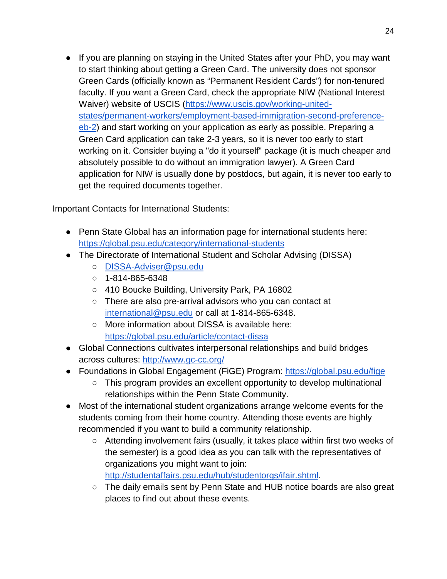● If you are planning on staying in the United States after your PhD, you may want to start thinking about getting a Green Card. The university does not sponsor Green Cards (officially known as "Permanent Resident Cards") for non-tenured faculty. If you want a Green Card, check the appropriate NIW (National Interest Waiver) website of USCIS [\(https://www.uscis.gov/working-united](https://www.uscis.gov/working-united-states/permanent-workers/employment-based-immigration-second-preference-eb-2)[states/permanent-workers/employment-based-immigration-second-preference](https://www.uscis.gov/working-united-states/permanent-workers/employment-based-immigration-second-preference-eb-2)[eb-2\)](https://www.uscis.gov/working-united-states/permanent-workers/employment-based-immigration-second-preference-eb-2) and start working on your application as early as possible. Preparing a Green Card application can take 2-3 years, so it is never too early to start working on it. Consider buying a "do it yourself" package (it is much cheaper and absolutely possible to do without an immigration lawyer). A Green Card application for NIW is usually done by postdocs, but again, it is never too early to get the required documents together.

Important Contacts for International Students:

- Penn State Global has an information page for international students here: <https://global.psu.edu/category/international-students>
- The Directorate of International Student and Scholar Advising (DISSA)
	- [DISSA-Adviser@psu.edu](mailto:DISSA-Adviser@psu.edu)
	- $\circ$  1-814-865-6348
	- 410 Boucke Building, University Park, PA 16802
	- There are also pre-arrival advisors who you can contact at [international@psu.edu](mailto:international@psu.edu) or call at 1-814-865-6348.
	- More information about DISSA is available here: <https://global.psu.edu/article/contact-dissa>
- Global Connections cultivates interpersonal relationships and build bridges across cultures:<http://www.gc-cc.org/>
- Foundations in Global Engagement (FiGE) Program:<https://global.psu.edu/fige>
	- This program provides an excellent opportunity to develop multinational relationships within the Penn State Community.
- Most of the international student organizations arrange welcome events for the students coming from their home country. Attending those events are highly recommended if you want to build a community relationship.
	- Attending involvement fairs (usually, it takes place within first two weeks of the semester) is a good idea as you can talk with the representatives of organizations you might want to join: [http://studentaffairs.psu.edu/hub/studentorgs/ifair.shtml.](http://studentaffairs.psu.edu/hub/studentorgs/ifair.shtml)
	- The daily emails sent by Penn State and HUB notice boards are also great places to find out about these events.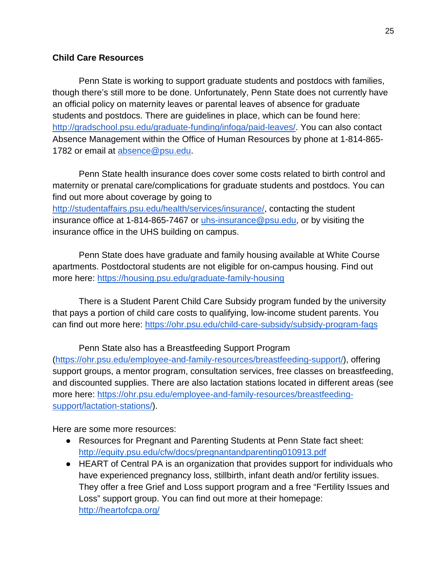#### **Child Care Resources**

Penn State is working to support graduate students and postdocs with families, though there's still more to be done. Unfortunately, Penn State does not currently have an official policy on maternity leaves or parental leaves of absence for graduate students and postdocs. There are guidelines in place, which can be found here: [http://gradschool.psu.edu/graduate-funding/infoga/paid-leaves/.](http://gradschool.psu.edu/graduate-funding/infoga/paid-leaves/) You can also contact Absence Management within the Office of Human Resources by phone at 1-814-865- 1782 or email at [absence@psu.edu.](mailto:absence@psu.edu)

Penn State health insurance does cover some costs related to birth control and maternity or prenatal care/complications for graduate students and postdocs. You can find out more about coverage by going to

[http://studentaffairs.psu.edu/health/services/insurance/,](http://studentaffairs.psu.edu/health/services/insurance/) contacting the student insurance office at 1-814-865-7467 or [uhs-insurance@psu.edu,](mailto:uhs-insurance@psu.edu) or by visiting the insurance office in the UHS building on campus.

Penn State does have graduate and family housing available at White Course apartments. Postdoctoral students are not eligible for on-campus housing. Find out more here:<https://housing.psu.edu/graduate-family-housing>

There is a Student Parent Child Care Subsidy program funded by the university that pays a portion of child care costs to qualifying, low-income student parents. You can find out more here:<https://ohr.psu.edu/child-care-subsidy/subsidy-program-faqs>

Penn State also has a Breastfeeding Support Program [\(https://ohr.psu.edu/employee-and-family-resources/breastfeeding-support/\)](https://ohr.psu.edu/employee-and-family-resources/breastfeeding-support/), offering support groups, a mentor program, consultation services, free classes on breastfeeding, and discounted supplies. There are also lactation stations located in different areas (see more here: [https://ohr.psu.edu/employee-and-family-resources/breastfeeding](https://ohr.psu.edu/employee-and-family-resources/breastfeeding-support/lactation-stations/)[support/lactation-stations/\)](https://ohr.psu.edu/employee-and-family-resources/breastfeeding-support/lactation-stations/).

Here are some more resources:

- Resources for Pregnant and Parenting Students at Penn State fact sheet: <http://equity.psu.edu/cfw/docs/pregnantandparenting010913.pdf>
- HEART of Central PA is an organization that provides support for individuals who have experienced pregnancy loss, stillbirth, infant death and/or fertility issues. They offer a free Grief and Loss support program and a free "Fertility Issues and Loss" support group. You can find out more at their homepage: <http://heartofcpa.org/>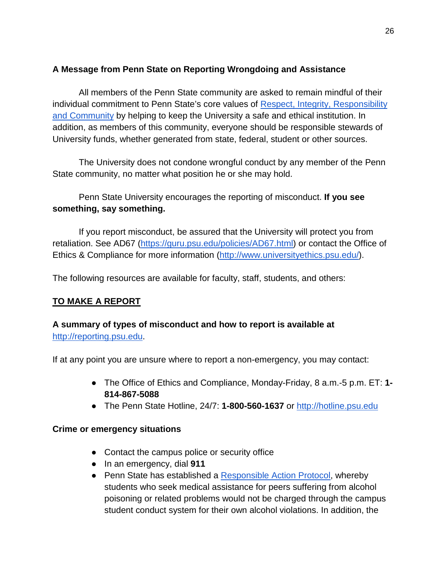## **A Message from Penn State on Reporting Wrongdoing and Assistance**

All members of the Penn State community are asked to remain mindful of their individual commitment to Penn State's core values o[f](http://universityethics.psu.edu/values-culture) Respect, Integrity, Responsibility [and Community](http://universityethics.psu.edu/values-culture) by helping to keep the University a safe and ethical institution. In addition, as members of this community, everyone should be responsible stewards of University funds, whether generated from state, federal, student or other sources.

The University does not condone wrongful conduct by any member of the Penn State community, no matter what position he or she may hold.

### Penn State University encourages the reporting of misconduct. **If you see something, say something.**

If you report misconduct, be assured that the University will protect you from retaliation. See AD67 [\(https://guru.psu.edu/policies/AD67.html\)](https://guru.psu.edu/policies/AD67.html) or contact the Office of Ethics & Compliance for more information [\(http://www.universityethics.psu.edu/\)](http://www.universityethics.psu.edu/).

The following resources are available for faculty, staff, students, and others:

### **TO MAKE A REPORT**

### **A summary of types of misconduct and how to report is available a[t](http://reporting.psu.edu/)** [http://reporting.psu.edu.](http://reporting.psu.edu/)

If at any point you are unsure where to report a non-emergency, you may contact:

- The Office of Ethics and Compliance, Monday-Friday, 8 a.m.-5 p.m. ET: **1- 814-867-5088**
- The Penn State Hotline, 24/7: **1-800-560-1637** o[r](http://hotline.psu.edu/) [http://hotline.psu.edu](http://hotline.psu.edu/)

#### **Crime or emergency situations**

- Contact the campus police or security office
- In an emergency, dial **911**
- Penn State has established a [Responsible Action Protocol,](http://studentaffairs.psu.edu/conduct/policies/alcohol.shtml#responsible) whereby students who seek medical assistance for peers suffering from alcohol poisoning or related problems would not be charged through the campus student conduct system for their own alcohol violations. In addition, the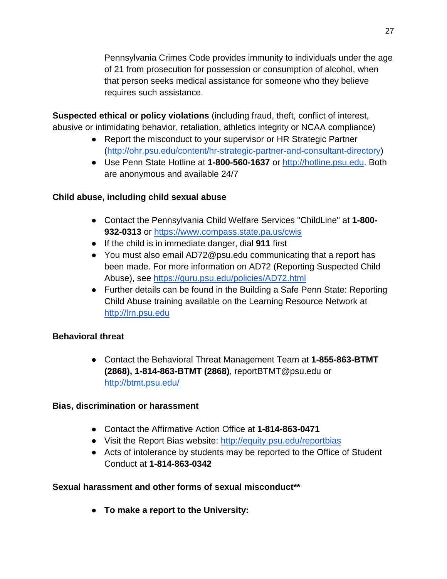Pennsylvania Crimes Code provides immunity to individuals under the age of 21 from prosecution for possession or consumption of alcohol, when that person seeks medical assistance for someone who they believe requires such assistance.

**Suspected ethical or policy violations** (including fraud, theft, conflict of interest, abusive or intimidating behavior, retaliation, athletics integrity or NCAA compliance)

- Report the misconduct to your supervisor or HR Strategic Partner [\(http://ohr.psu.edu/content/hr-strategic-partner-and-consultant-directory\)](http://ohr.psu.edu/content/hr-strategic-partner-and-consultant-directory)
- Use Penn State Hotline at **1-800-560-1637** o[r](http://hotline.psu.edu/) [http://hotline.psu.edu.](http://hotline.psu.edu/) Both are anonymous and available 24/7

## **Child abuse, including child sexual abuse**

- Contact the Pennsylvania Child Welfare Services "ChildLine" at **1-800- 932-0313** o[r](https://www.compass.state.pa.us/cwis) <https://www.compass.state.pa.us/cwis>
- If the child is in immediate danger, dial **911** first
- You must also email AD72@psu.edu communicating that a report has been made. For more information on AD72 (Reporting Suspected Child Abuse), see <https://guru.psu.edu/policies/AD72.html>
- Further details can be found in the Building a Safe Penn State: Reporting Child Abuse training available on the Learning Resource Network a[t](http://lrn.psu.edu/) [http://lrn.psu.edu](http://lrn.psu.edu/)

# **Behavioral threat**

● Contact the Behavioral Threat Management Team at **1-855-863-BTMT (2868), 1-814-863-BTMT (2868)**, reportBTMT@psu.edu o[r](http://btmt.psu.edu/) <http://btmt.psu.edu/>

## **Bias, discrimination or harassment**

- Contact the Affirmative Action Office at **1-814-863-0471**
- Visit the Report Bias website: <http://equity.psu.edu/reportbias>
- Acts of intolerance by students may be reported to the Office of Student Conduct at **1-814-863-0342**

## **Sexual harassment and other forms of sexual misconduct\*\***

● **To make a report to the University:**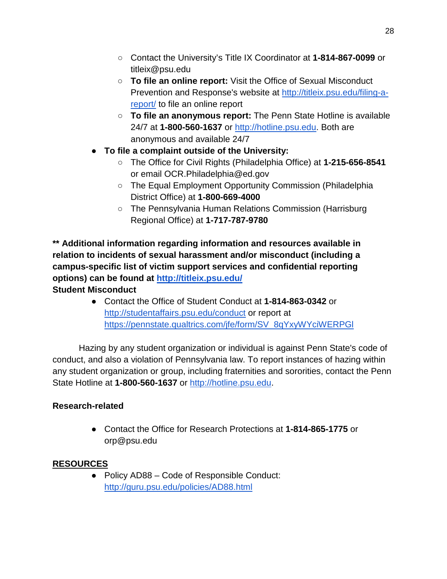- Contact the University's Title IX Coordinator at **1-814-867-0099** or titleix@psu.edu
- **To file an online report:** Visit the Office of Sexual Misconduct Preven[t](http://titleix.psu.edu/filing-a-report/)ion and Response's website at [http://titleix.psu.edu/filing-a](http://titleix.psu.edu/filing-a-report/)[report/](http://titleix.psu.edu/filing-a-report/) to file an online report
- **To file an anonymous report:** The Penn State Hotline is available 24/7 at **1-800-560-1637** o[r](http://hotline.psu.edu/) [http://hotline.psu.edu.](http://hotline.psu.edu/) Both are anonymous and available 24/7
- **To file a complaint outside of the University:**
	- The Office for Civil Rights (Philadelphia Office) at **1-215-656-8541** or email OCR.Philadelphia@ed.gov
	- The Equal Employment Opportunity Commission (Philadelphia District Office) at **1-800-669-4000**
	- The Pennsylvania Human Relations Commission (Harrisburg Regional Office) at **1-717-787-9780**

**\*\* Additional information regarding information and resources available in relation to incidents of sexual harassment and/or misconduct (including a campus-specific list of victim support services and confidential reporting options) can be found a[t](http://titleix.psu.edu/) <http://titleix.psu.edu/> Student Misconduct**

● Contact the Office of Student Conduct at **1-814-863-0342** o[r](http://studentaffairs.psu.edu/conduct) <http://studentaffairs.psu.edu/conduct> or report a[t](https://pennstate.qualtrics.com/jfe/form/SV_8qYxyWYciWERPGl) [https://pennstate.qualtrics.com/jfe/form/SV\\_8qYxyWYciWERPGl](https://pennstate.qualtrics.com/jfe/form/SV_8qYxyWYciWERPGl)

Hazing by any student organization or individual is against Penn State's code of conduct, and also a violation of Pennsylvania law. To report instances of hazing within any student organization or group, including fraternities and sororities, contact the Penn State Hotline at **1-800-560-1637** o[r](http://hotline.psu.edu/) [http://hotline.psu.edu.](http://hotline.psu.edu/)

# **Research-related**

● Contact the Office for Research Protections at **1-814-865-1775** or orp@psu.edu

# **RESOURCES**

● Policy AD88 – Code of Responsible Conduct[:](http://guru.psu.edu/policies/AD88.html) <http://guru.psu.edu/policies/AD88.html>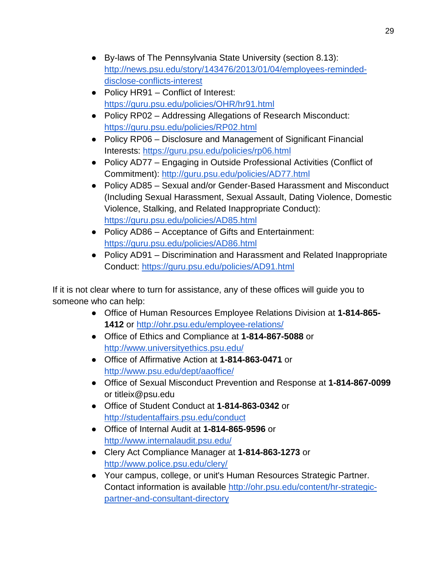- By-laws of The Pennsylvania State University (section 8.13)[:](http://news.psu.edu/story/143476/2013/01/04/employees-reminded-disclose-conflicts-interest) [http://news.psu.edu/story/143476/2013/01/04/employees-reminded](http://news.psu.edu/story/143476/2013/01/04/employees-reminded-disclose-conflicts-interest)[disclose-conflicts-interest](http://news.psu.edu/story/143476/2013/01/04/employees-reminded-disclose-conflicts-interest)
- Policy HR91 Conflict of Interest[:](https://guru.psu.edu/policies/OHR/hr91.html) <https://guru.psu.edu/policies/OHR/hr91.html>
- Policy RP02 Addressing Allegations of Research Misconduct[:](https://guru.psu.edu/policies/RP02.html) <https://guru.psu.edu/policies/RP02.html>
- Policy RP06 Disclosure and Management of Significant Financial Interests[:](https://guru.psu.edu/policies/rp06.html) <https://guru.psu.edu/policies/rp06.html>
- Policy AD77 Engaging in Outside Professional Activities (Conflict of Commitment)[:](http://guru.psu.edu/policies/AD77.html) <http://guru.psu.edu/policies/AD77.html>
- Policy AD85 Sexual and/or Gender-Based Harassment and Misconduct (Including Sexual Harassment, Sexual Assault, Dating Violence, Domestic Violence, Stalking, and Related Inappropriate Conduct)[:](https://guru.psu.edu/policies/AD85.html) <https://guru.psu.edu/policies/AD85.html>
- Policy AD86 Acceptance of Gifts and Entertainment[:](https://guru.psu.edu/policies/AD86.html) <https://guru.psu.edu/policies/AD86.html>
- Policy AD91 Discrimination and Harassment and Related Inappropriate Conduct: <https://guru.psu.edu/policies/AD91.html>

If it is not clear where to turn for assistance, any of these offices will guide you to someone who can help:

- Office of Human Resources Employee Relations Division at **1-814-865- 1412** o[r](http://ohr.psu.edu/employee-relations/) <http://ohr.psu.edu/employee-relations/>
- Office of Ethics and Compliance at **1-814-867-5088** o[r](http://www.universityethics.psu.edu/) <http://www.universityethics.psu.edu/>
- Office of Affirmative Action at **1-814-863-0471** o[r](http://www.psu.edu/dept/aaoffice) [http://www.psu.edu/dept/aaoffice/](http://www.psu.edu/dept/aaoffice)
- Office of Sexual Misconduct Prevention and Response at **1-814-867-0099** or titleix@psu.edu
- Office of Student Conduct at **1-814-863-0342** o[r](http://studentaffairs.psu.edu/conduct) <http://studentaffairs.psu.edu/conduct>
- Office of Internal Audit at **1-814-865-9596** o[r](http://www.internalaudit.psu.edu/) <http://www.internalaudit.psu.edu/>
- Clery Act Compliance Manager at **1-814-863-1273** o[r](http://www.police.psu.edu/clery/) <http://www.police.psu.edu/clery/>
- Your campus, college, or unit's Human Resources Strategic Partner. Contact information is available [http://ohr.psu.edu/content/hr-strategic](http://ohr.psu.edu/content/hr-strategic-partner-and-consultant-directory)[partner-and-consultant-directory](http://ohr.psu.edu/content/hr-strategic-partner-and-consultant-directory)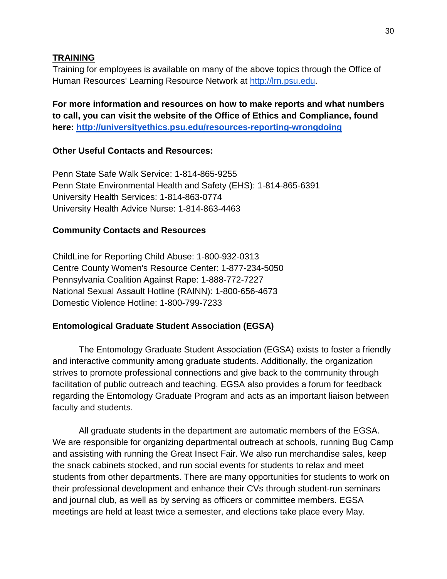#### **TRAINING**

Training for employees is available on many of the above topics through the Office of Human Resources' Learning Resource Network at [http://lrn.psu.edu.](http://lrn.psu.edu/)

**For more information and resources on how to make reports and what numbers to call, you can visit the website of the Office of Ethics and Compliance, found here:<http://universityethics.psu.edu/resources-reporting-wrongdoing>**

#### **Other Useful Contacts and Resources:**

Penn State Safe Walk Service: 1-814-865-9255 Penn State Environmental Health and Safety (EHS): 1-814-865-6391 University Health Services: 1-814-863-0774 University Health Advice Nurse: 1-814-863-4463

#### **Community Contacts and Resources**

ChildLine for Reporting Child Abuse: 1-800-932-0313 Centre County Women's Resource Center: 1-877-234-5050 Pennsylvania Coalition Against Rape: 1-888-772-7227 National Sexual Assault Hotline (RAINN): 1-800-656-4673 Domestic Violence Hotline: 1-800-799-7233

#### **Entomological Graduate Student Association (EGSA)**

The Entomology Graduate Student Association (EGSA) exists to foster a friendly and interactive community among graduate students. Additionally, the organization strives to promote professional connections and give back to the community through facilitation of public outreach and teaching. EGSA also provides a forum for feedback regarding the Entomology Graduate Program and acts as an important liaison between faculty and students.

All graduate students in the department are automatic members of the EGSA. We are responsible for organizing departmental outreach at schools, running Bug Camp and assisting with running the Great Insect Fair. We also run merchandise sales, keep the snack cabinets stocked, and run social events for students to relax and meet students from other departments. There are many opportunities for students to work on their professional development and enhance their CVs through student-run seminars and journal club, as well as by serving as officers or committee members. EGSA meetings are held at least twice a semester, and elections take place every May.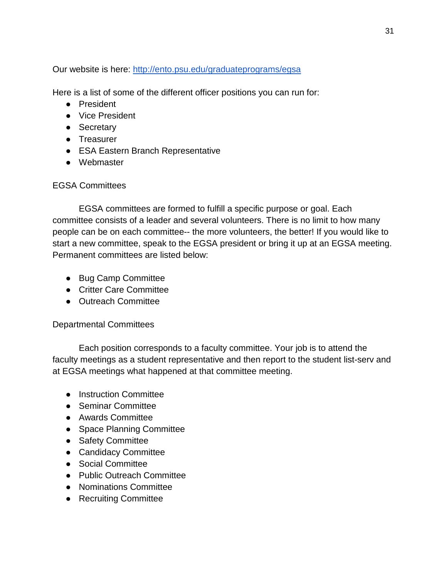Our website is here:<http://ento.psu.edu/graduateprograms/egsa>

Here is a list of some of the different officer positions you can run for:

- President
- Vice President
- Secretary
- Treasurer
- ESA Eastern Branch Representative
- Webmaster

## EGSA Committees

EGSA committees are formed to fulfill a specific purpose or goal. Each committee consists of a leader and several volunteers. There is no limit to how many people can be on each committee-- the more volunteers, the better! If you would like to start a new committee, speak to the EGSA president or bring it up at an EGSA meeting. Permanent committees are listed below:

- Bug Camp Committee
- Critter Care Committee
- Outreach Committee

## Departmental Committees

Each position corresponds to a faculty committee. Your job is to attend the faculty meetings as a student representative and then report to the student list-serv and at EGSA meetings what happened at that committee meeting.

- Instruction Committee
- Seminar Committee
- Awards Committee
- Space Planning Committee
- Safety Committee
- Candidacy Committee
- Social Committee
- Public Outreach Committee
- Nominations Committee
- Recruiting Committee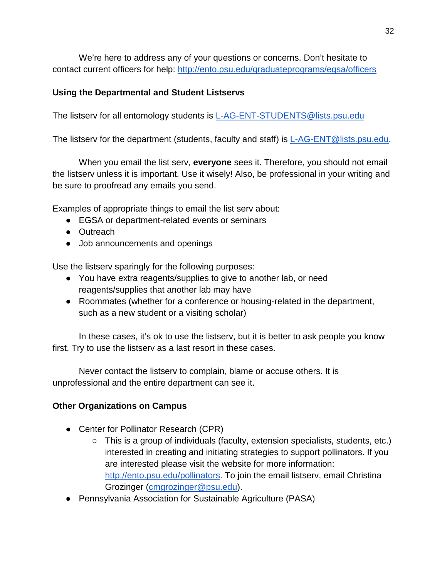We're here to address any of your questions or concerns. Don't hesitate to contact current officers for help:<http://ento.psu.edu/graduateprograms/egsa/officers>

### **Using the Departmental and Student Listservs**

The listserv for all entomology students is [L-AG-ENT-STUDENTS@lists.psu.edu](mailto:L-AG-ENT-STUDENTS@lists.psu.edu)

The listserv for the department (students, faculty and staff) is [L-AG-ENT@lists.psu.edu.](mailto:L-AG-ENT@lists.psu.edu)

When you email the list serv, **everyone** sees it. Therefore, you should not email the listserv unless it is important. Use it wisely! Also, be professional in your writing and be sure to proofread any emails you send.

Examples of appropriate things to email the list serv about:

- EGSA or department-related events or seminars
- Outreach
- Job announcements and openings

Use the listserv sparingly for the following purposes:

- You have extra reagents/supplies to give to another lab, or need reagents/supplies that another lab may have
- Roommates (whether for a conference or housing-related in the department, such as a new student or a visiting scholar)

In these cases, it's ok to use the listserv, but it is better to ask people you know first. Try to use the listserv as a last resort in these cases.

Never contact the listserv to complain, blame or accuse others. It is unprofessional and the entire department can see it.

### **Other Organizations on Campus**

- Center for Pollinator Research (CPR)
	- This is a group of individuals (faculty, extension specialists, students, etc.) interested in creating and initiating strategies to support pollinators. If you are interested please visit the website for more information: [http://ento.psu.edu/pollinators.](http://ento.psu.edu/pollinators) To join the email listserv, email Christina Grozinger [\(cmgrozinger@psu.edu\)](mailto:cmgrozinger@psu.edu).
- Pennsylvania Association for Sustainable Agriculture (PASA)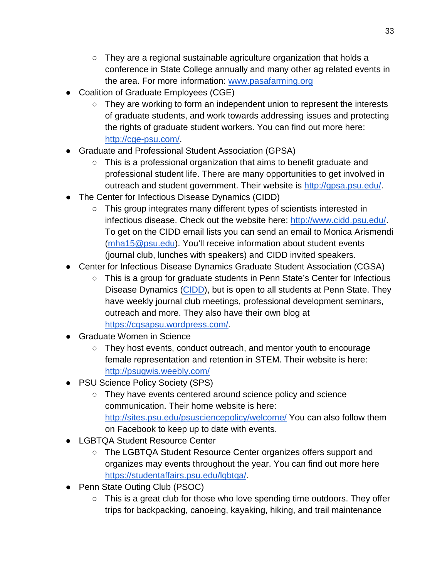- $\circ$  They are a regional sustainable agriculture organization that holds a conference in State College annually and many other ag related events in the area. For more information: [www.pasafarming.org](http://www.pasafarming.org/)
- Coalition of Graduate Employees (CGE)
	- They are working to form an independent union to represent the interests of graduate students, and work towards addressing issues and protecting the rights of graduate student workers. You can find out more here: [http://cge-psu.com/.](http://cge-psu.com/)
- Graduate and Professional Student Association (GPSA)
	- This is a professional organization that aims to benefit graduate and professional student life. There are many opportunities to get involved in outreach and student government. Their website is [http://gpsa.psu.edu/.](http://gpsa.psu.edu/)
- The Center for Infectious Disease Dynamics (CIDD)
	- This group integrates many different types of scientists interested in infectious disease. Check out the website here: [http://www.cidd.psu.edu/.](http://www.cidd.psu.edu/) To get on the CIDD email lists you can send an email to Monica Arismendi [\(mha15@psu.edu\)](mailto:mha15@psu.edu). You'll receive information about student events (journal club, lunches with speakers) and CIDD invited speakers.
- Center for Infectious Disease Dynamics Graduate Student Association (CGSA)
	- This is a group for graduate students in Penn State's Center for Infectious Disease Dynamics [\(CIDD\)](http://www.cidd.psu.edu/), but is open to all students at Penn State. They have weekly journal club meetings, professional development seminars, outreach and more. They also have their own blog at [https://cgsapsu.wordpress.com/.](https://cgsapsu.wordpress.com/)
- **Graduate Women in Science** 
	- They host events, conduct outreach, and mentor youth to encourage female representation and retention in STEM. Their website is here: <http://psugwis.weebly.com/>
- PSU Science Policy Society (SPS)
	- They have events centered around science policy and science communication. Their home website is here: <http://sites.psu.edu/psusciencepolicy/welcome/> You can also follow them on Facebook to keep up to date with events.
- LGBTQA Student Resource Center
	- The LGBTQA Student Resource Center organizes offers support and organizes may events throughout the year. You can find out more here [https://studentaffairs.psu.edu/lgbtqa/.](https://studentaffairs.psu.edu/lgbtqa/)
- Penn State Outing Club (PSOC)
	- This is a great club for those who love spending time outdoors. They offer trips for backpacking, canoeing, kayaking, hiking, and trail maintenance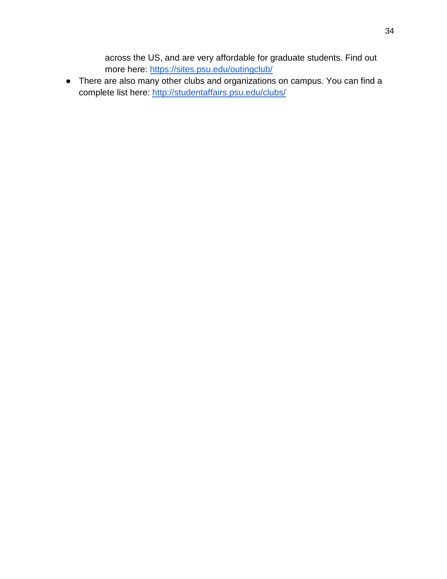across the US, and are very affordable for graduate students. Find out more here:<https://sites.psu.edu/outingclub/>

● There are also many other clubs and organizations on campus. You can find a complete list here:<http://studentaffairs.psu.edu/clubs/>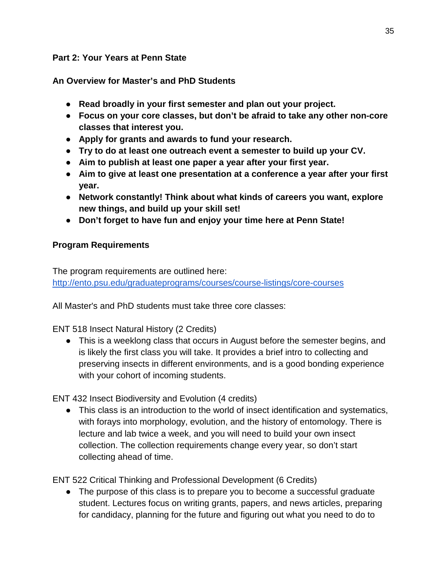#### **Part 2: Your Years at Penn State**

### **An Overview for Master's and PhD Students**

- **Read broadly in your first semester and plan out your project.**
- **Focus on your core classes, but don't be afraid to take any other non-core classes that interest you.**
- **Apply for grants and awards to fund your research.**
- **Try to do at least one outreach event a semester to build up your CV.**
- **Aim to publish at least one paper a year after your first year.**
- **Aim to give at least one presentation at a conference a year after your first year.**
- **Network constantly! Think about what kinds of careers you want, explore new things, and build up your skill set!**
- **Don't forget to have fun and enjoy your time here at Penn State!**

#### **Program Requirements**

The program requirements are outlined here: <http://ento.psu.edu/graduateprograms/courses/course-listings/core-courses>

All Master's and PhD students must take three core classes:

ENT 518 Insect Natural History (2 Credits)

● This is a weeklong class that occurs in August before the semester begins, and is likely the first class you will take. It provides a brief intro to collecting and preserving insects in different environments, and is a good bonding experience with your cohort of incoming students.

ENT 432 Insect Biodiversity and Evolution (4 credits)

• This class is an introduction to the world of insect identification and systematics, with forays into morphology, evolution, and the history of entomology. There is lecture and lab twice a week, and you will need to build your own insect collection. The collection requirements change every year, so don't start collecting ahead of time.

ENT 522 Critical Thinking and Professional Development (6 Credits)

• The purpose of this class is to prepare you to become a successful graduate student. Lectures focus on writing grants, papers, and news articles, preparing for candidacy, planning for the future and figuring out what you need to do to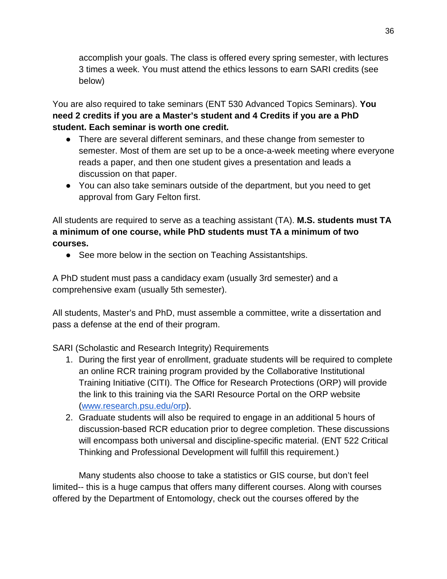accomplish your goals. The class is offered every spring semester, with lectures 3 times a week. You must attend the ethics lessons to earn SARI credits (see below)

You are also required to take seminars (ENT 530 Advanced Topics Seminars). **You need 2 credits if you are a Master's student and 4 Credits if you are a PhD student. Each seminar is worth one credit.** 

- There are several different seminars, and these change from semester to semester. Most of them are set up to be a once-a-week meeting where everyone reads a paper, and then one student gives a presentation and leads a discussion on that paper.
- You can also take seminars outside of the department, but you need to get approval from Gary Felton first.

All students are required to serve as a teaching assistant (TA). **M.S. students must TA a minimum of one course, while PhD students must TA a minimum of two courses.**

● See more below in the section on Teaching Assistantships.

A PhD student must pass a candidacy exam (usually 3rd semester) and a comprehensive exam (usually 5th semester).

All students, Master's and PhD, must assemble a committee, write a dissertation and pass a defense at the end of their program.

SARI (Scholastic and Research Integrity) Requirements

- 1. During the first year of enrollment, graduate students will be required to complete an online RCR training program provided by the Collaborative Institutional Training Initiative (CITI). The Office for Research Protections (ORP) will provide the link to this training via the SARI Resource Portal on the ORP website [\(www.research.psu.edu/orp\)](http://www.research.psu.edu/orp).
- 2. Graduate students will also be required to engage in an additional 5 hours of discussion-based RCR education prior to degree completion. These discussions will encompass both universal and discipline-specific material. (ENT 522 Critical Thinking and Professional Development will fulfill this requirement.)

Many students also choose to take a statistics or GIS course, but don't feel limited-- this is a huge campus that offers many different courses. Along with courses offered by the Department of Entomology, check out the courses offered by the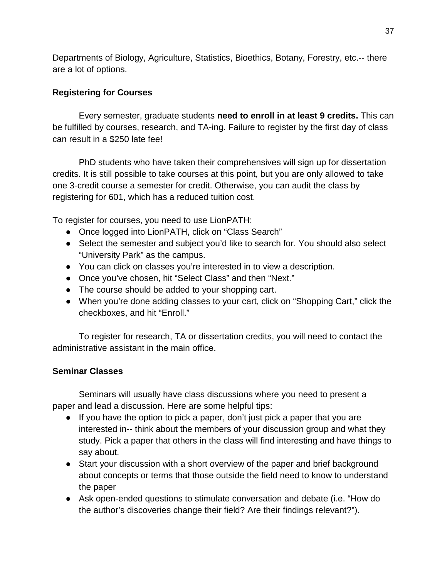Departments of Biology, Agriculture, Statistics, Bioethics, Botany, Forestry, etc.-- there are a lot of options.

# **Registering for Courses**

Every semester, graduate students **need to enroll in at least 9 credits.** This can be fulfilled by courses, research, and TA-ing. Failure to register by the first day of class can result in a \$250 late fee!

PhD students who have taken their comprehensives will sign up for dissertation credits. It is still possible to take courses at this point, but you are only allowed to take one 3-credit course a semester for credit. Otherwise, you can audit the class by registering for 601, which has a reduced tuition cost.

To register for courses, you need to use LionPATH:

- Once logged into LionPATH, click on "Class Search"
- Select the semester and subject you'd like to search for. You should also select "University Park" as the campus.
- You can click on classes you're interested in to view a description.
- Once you've chosen, hit "Select Class" and then "Next."
- The course should be added to your shopping cart.
- When you're done adding classes to your cart, click on "Shopping Cart," click the checkboxes, and hit "Enroll."

To register for research, TA or dissertation credits, you will need to contact the administrative assistant in the main office.

# **Seminar Classes**

Seminars will usually have class discussions where you need to present a paper and lead a discussion. Here are some helpful tips:

- If you have the option to pick a paper, don't just pick a paper that you are interested in-- think about the members of your discussion group and what they study. Pick a paper that others in the class will find interesting and have things to say about.
- Start your discussion with a short overview of the paper and brief background about concepts or terms that those outside the field need to know to understand the paper
- Ask open-ended questions to stimulate conversation and debate (i.e. "How do the author's discoveries change their field? Are their findings relevant?").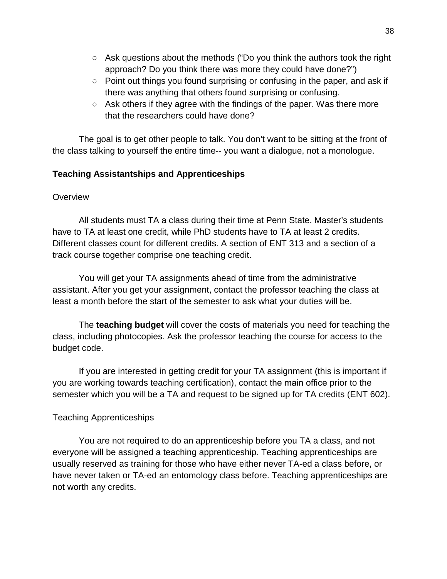- $\circ$  Ask questions about the methods ("Do you think the authors took the right approach? Do you think there was more they could have done?")
- Point out things you found surprising or confusing in the paper, and ask if there was anything that others found surprising or confusing.
- Ask others if they agree with the findings of the paper. Was there more that the researchers could have done?

The goal is to get other people to talk. You don't want to be sitting at the front of the class talking to yourself the entire time-- you want a dialogue, not a monologue.

#### **Teaching Assistantships and Apprenticeships**

#### **Overview**

All students must TA a class during their time at Penn State. Master's students have to TA at least one credit, while PhD students have to TA at least 2 credits. Different classes count for different credits. A section of ENT 313 and a section of a track course together comprise one teaching credit.

You will get your TA assignments ahead of time from the administrative assistant. After you get your assignment, contact the professor teaching the class at least a month before the start of the semester to ask what your duties will be.

The **teaching budget** will cover the costs of materials you need for teaching the class, including photocopies. Ask the professor teaching the course for access to the budget code.

If you are interested in getting credit for your TA assignment (this is important if you are working towards teaching certification), contact the main office prior to the semester which you will be a TA and request to be signed up for TA credits (ENT 602).

#### Teaching Apprenticeships

You are not required to do an apprenticeship before you TA a class, and not everyone will be assigned a teaching apprenticeship. Teaching apprenticeships are usually reserved as training for those who have either never TA-ed a class before, or have never taken or TA-ed an entomology class before. Teaching apprenticeships are not worth any credits.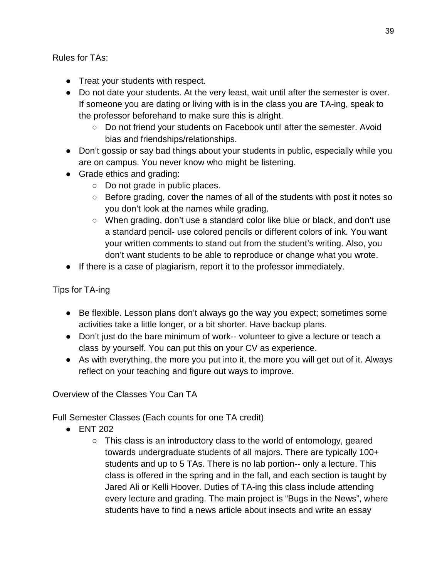Rules for TAs:

- Treat your students with respect.
- Do not date your students. At the very least, wait until after the semester is over. If someone you are dating or living with is in the class you are TA-ing, speak to the professor beforehand to make sure this is alright.
	- Do not friend your students on Facebook until after the semester. Avoid bias and friendships/relationships.
- Don't gossip or say bad things about your students in public, especially while you are on campus. You never know who might be listening.
- Grade ethics and grading:
	- Do not grade in public places.
	- Before grading, cover the names of all of the students with post it notes so you don't look at the names while grading.
	- When grading, don't use a standard color like blue or black, and don't use a standard pencil- use colored pencils or different colors of ink. You want your written comments to stand out from the student's writing. Also, you don't want students to be able to reproduce or change what you wrote.
- If there is a case of plagiarism, report it to the professor immediately.

Tips for TA-ing

- Be flexible. Lesson plans don't always go the way you expect; sometimes some activities take a little longer, or a bit shorter. Have backup plans.
- Don't just do the bare minimum of work-- volunteer to give a lecture or teach a class by yourself. You can put this on your CV as experience.
- As with everything, the more you put into it, the more you will get out of it. Always reflect on your teaching and figure out ways to improve.

Overview of the Classes You Can TA

Full Semester Classes (Each counts for one TA credit)

- ENT 202
	- This class is an introductory class to the world of entomology, geared towards undergraduate students of all majors. There are typically 100+ students and up to 5 TAs. There is no lab portion-- only a lecture. This class is offered in the spring and in the fall, and each section is taught by Jared Ali or Kelli Hoover. Duties of TA-ing this class include attending every lecture and grading. The main project is "Bugs in the News", where students have to find a news article about insects and write an essay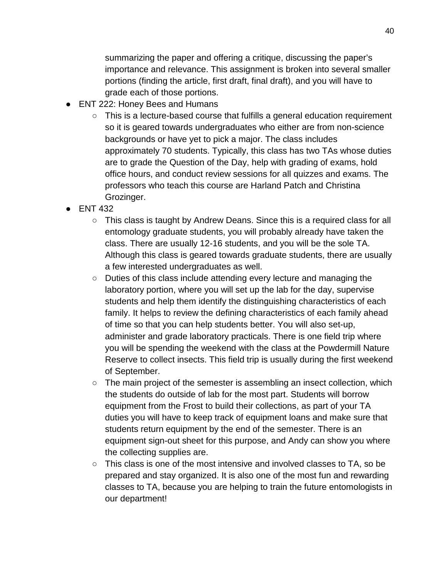summarizing the paper and offering a critique, discussing the paper's importance and relevance. This assignment is broken into several smaller portions (finding the article, first draft, final draft), and you will have to grade each of those portions.

- ENT 222: Honey Bees and Humans
	- This is a lecture-based course that fulfills a general education requirement so it is geared towards undergraduates who either are from non-science backgrounds or have yet to pick a major. The class includes approximately 70 students. Typically, this class has two TAs whose duties are to grade the Question of the Day, help with grading of exams, hold office hours, and conduct review sessions for all quizzes and exams. The professors who teach this course are Harland Patch and Christina Grozinger.
- ENT 432
	- This class is taught by Andrew Deans. Since this is a required class for all entomology graduate students, you will probably already have taken the class. There are usually 12-16 students, and you will be the sole TA. Although this class is geared towards graduate students, there are usually a few interested undergraduates as well.
	- Duties of this class include attending every lecture and managing the laboratory portion, where you will set up the lab for the day, supervise students and help them identify the distinguishing characteristics of each family. It helps to review the defining characteristics of each family ahead of time so that you can help students better. You will also set-up, administer and grade laboratory practicals. There is one field trip where you will be spending the weekend with the class at the Powdermill Nature Reserve to collect insects. This field trip is usually during the first weekend of September.
	- The main project of the semester is assembling an insect collection, which the students do outside of lab for the most part. Students will borrow equipment from the Frost to build their collections, as part of your TA duties you will have to keep track of equipment loans and make sure that students return equipment by the end of the semester. There is an equipment sign-out sheet for this purpose, and Andy can show you where the collecting supplies are.
	- This class is one of the most intensive and involved classes to TA, so be prepared and stay organized. It is also one of the most fun and rewarding classes to TA, because you are helping to train the future entomologists in our department!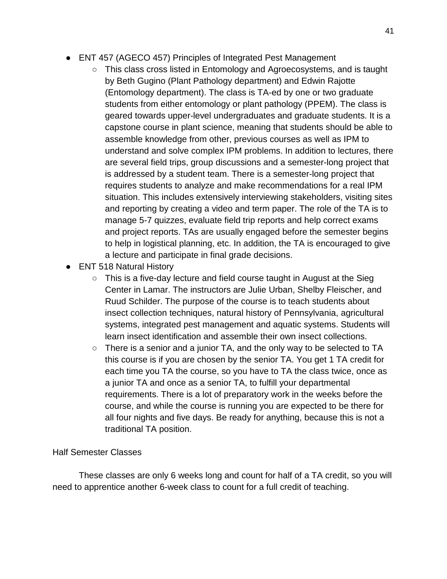- ENT 457 (AGECO 457) Principles of Integrated Pest Management
	- This class cross listed in Entomology and Agroecosystems, and is taught by Beth Gugino (Plant Pathology department) and Edwin Rajotte (Entomology department). The class is TA-ed by one or two graduate students from either entomology or plant pathology (PPEM). The class is geared towards upper-level undergraduates and graduate students. It is a capstone course in plant science, meaning that students should be able to assemble knowledge from other, previous courses as well as IPM to understand and solve complex IPM problems. In addition to lectures, there are several field trips, group discussions and a semester-long project that is addressed by a student team. There is a semester-long project that requires students to analyze and make recommendations for a real IPM situation. This includes extensively interviewing stakeholders, visiting sites and reporting by creating a video and term paper. The role of the TA is to manage 5-7 quizzes, evaluate field trip reports and help correct exams and project reports. TAs are usually engaged before the semester begins to help in logistical planning, etc. In addition, the TA is encouraged to give a lecture and participate in final grade decisions.
- ENT 518 Natural History
	- $\circ$  This is a five-day lecture and field course taught in August at the Sieg Center in Lamar. The instructors are Julie Urban, Shelby Fleischer, and Ruud Schilder. The purpose of the course is to teach students about insect collection techniques, natural history of Pennsylvania, agricultural systems, integrated pest management and aquatic systems. Students will learn insect identification and assemble their own insect collections.
	- There is a senior and a junior TA, and the only way to be selected to TA this course is if you are chosen by the senior TA. You get 1 TA credit for each time you TA the course, so you have to TA the class twice, once as a junior TA and once as a senior TA, to fulfill your departmental requirements. There is a lot of preparatory work in the weeks before the course, and while the course is running you are expected to be there for all four nights and five days. Be ready for anything, because this is not a traditional TA position.

#### Half Semester Classes

These classes are only 6 weeks long and count for half of a TA credit, so you will need to apprentice another 6-week class to count for a full credit of teaching.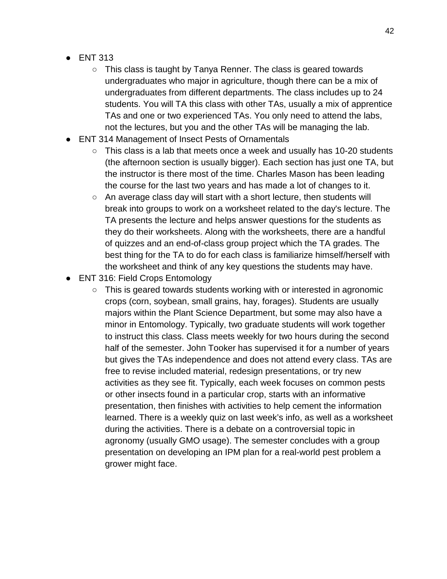- ENT 313
	- This class is taught by Tanya Renner. The class is geared towards undergraduates who major in agriculture, though there can be a mix of undergraduates from different departments. The class includes up to 24 students. You will TA this class with other TAs, usually a mix of apprentice TAs and one or two experienced TAs. You only need to attend the labs, not the lectures, but you and the other TAs will be managing the lab.
- ENT 314 Management of Insect Pests of Ornamentals
	- $\circ$  This class is a lab that meets once a week and usually has 10-20 students (the afternoon section is usually bigger). Each section has just one TA, but the instructor is there most of the time. Charles Mason has been leading the course for the last two years and has made a lot of changes to it.
	- An average class day will start with a short lecture, then students will break into groups to work on a worksheet related to the day's lecture. The TA presents the lecture and helps answer questions for the students as they do their worksheets. Along with the worksheets, there are a handful of quizzes and an end-of-class group project which the TA grades. The best thing for the TA to do for each class is familiarize himself/herself with the worksheet and think of any key questions the students may have.
- ENT 316: Field Crops Entomology
	- This is geared towards students working with or interested in agronomic crops (corn, soybean, small grains, hay, forages). Students are usually majors within the Plant Science Department, but some may also have a minor in Entomology. Typically, two graduate students will work together to instruct this class. Class meets weekly for two hours during the second half of the semester. John Tooker has supervised it for a number of years but gives the TAs independence and does not attend every class. TAs are free to revise included material, redesign presentations, or try new activities as they see fit. Typically, each week focuses on common pests or other insects found in a particular crop, starts with an informative presentation, then finishes with activities to help cement the information learned. There is a weekly quiz on last week's info, as well as a worksheet during the activities. There is a debate on a controversial topic in agronomy (usually GMO usage). The semester concludes with a group presentation on developing an IPM plan for a real-world pest problem a grower might face.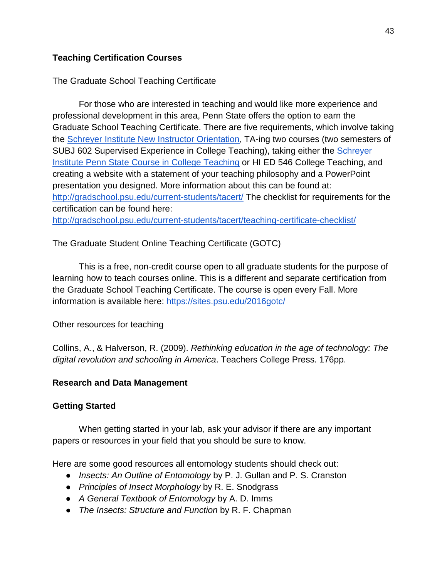### **Teaching Certification Courses**

The Graduate School Teaching Certificate

For those who are interested in teaching and would like more experience and professional development in this area, Penn State offers the option to earn the Graduate School Teaching Certificate. There are five requirements, which involve taking the [Schreyer Institute New Instructor Orientation,](http://www.schreyerinstitute.psu.edu/Events/NIO/) TA-ing two courses (two semesters of SUBJ 602 Supervised Experience in College Teaching), taking either the [Schreyer](http://www.schreyerinstitute.psu.edu/Events/CCT/)  [Institute Penn State Course in College Teaching](http://www.schreyerinstitute.psu.edu/Events/CCT/) or HI ED 546 College Teaching, and creating a website with a statement of your teaching philosophy and a PowerPoint presentation you designed. More information about this can be found at: <http://gradschool.psu.edu/current-students/tacert/> The checklist for requirements for the certification can be found here: <http://gradschool.psu.edu/current-students/tacert/teaching-certificate-checklist/>

The Graduate Student Online Teaching Certificate (GOTC)

This is a free, non-credit course open to all graduate students for the purpose of learning how to teach courses online. This is a different and separate certification from the Graduate School Teaching Certificate. The course is open every Fall. More information is available here:<https://sites.psu.edu/2016gotc/>

#### Other resources for teaching

Collins, A., & Halverson, R. (2009). *Rethinking education in the age of technology: The digital revolution and schooling in America*. Teachers College Press. 176pp.

### **Research and Data Management**

#### **Getting Started**

When getting started in your lab, ask your advisor if there are any important papers or resources in your field that you should be sure to know.

Here are some good resources all entomology students should check out:

- *Insects: An Outline of Entomology* by P. J. Gullan and P. S. Cranston
- *Principles of Insect Morphology* by R. E. Snodgrass
- *A General Textbook of Entomology* by A. D. Imms
- *The Insects: Structure and Function* by R. F. Chapman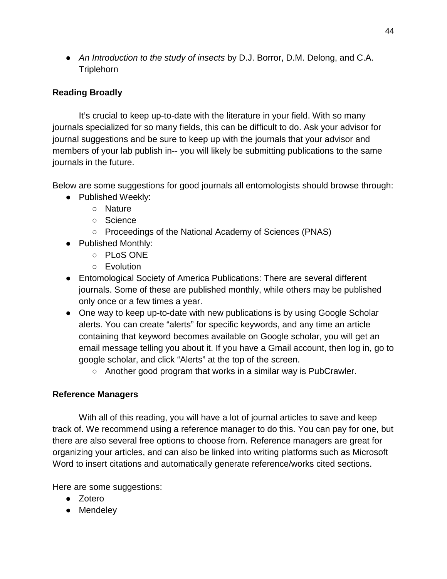● *An Introduction to the study of insects* by D.J. Borror, D.M. Delong, and C.A. **Triplehorn** 

# **Reading Broadly**

It's crucial to keep up-to-date with the literature in your field. With so many journals specialized for so many fields, this can be difficult to do. Ask your advisor for journal suggestions and be sure to keep up with the journals that your advisor and members of your lab publish in-- you will likely be submitting publications to the same journals in the future.

Below are some suggestions for good journals all entomologists should browse through:

- Published Weekly:
	- Nature
	- Science
	- Proceedings of the National Academy of Sciences (PNAS)
- Published Monthly:
	- PLoS ONE
	- Evolution
- Entomological Society of America Publications: There are several different journals. Some of these are published monthly, while others may be published only once or a few times a year.
- One way to keep up-to-date with new publications is by using Google Scholar alerts. You can create "alerts" for specific keywords, and any time an article containing that keyword becomes available on Google scholar, you will get an email message telling you about it. If you have a Gmail account, then log in, go to google scholar, and click "Alerts" at the top of the screen.
	- Another good program that works in a similar way is PubCrawler.

# **Reference Managers**

With all of this reading, you will have a lot of journal articles to save and keep track of. We recommend using a reference manager to do this. You can pay for one, but there are also several free options to choose from. Reference managers are great for organizing your articles, and can also be linked into writing platforms such as Microsoft Word to insert citations and automatically generate reference/works cited sections.

Here are some suggestions:

- Zotero
- Mendeley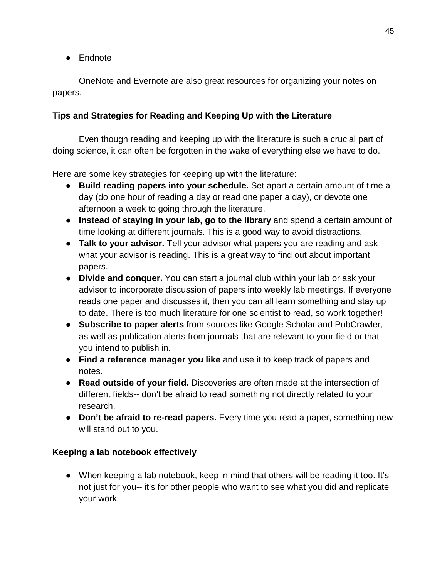● Endnote

OneNote and Evernote are also great resources for organizing your notes on papers.

## **Tips and Strategies for Reading and Keeping Up with the Literature**

Even though reading and keeping up with the literature is such a crucial part of doing science, it can often be forgotten in the wake of everything else we have to do.

Here are some key strategies for keeping up with the literature:

- **Build reading papers into your schedule.** Set apart a certain amount of time a day (do one hour of reading a day or read one paper a day), or devote one afternoon a week to going through the literature.
- **Instead of staying in your lab, go to the library** and spend a certain amount of time looking at different journals. This is a good way to avoid distractions.
- **Talk to your advisor.** Tell your advisor what papers you are reading and ask what your advisor is reading. This is a great way to find out about important papers.
- **Divide and conquer.** You can start a journal club within your lab or ask your advisor to incorporate discussion of papers into weekly lab meetings. If everyone reads one paper and discusses it, then you can all learn something and stay up to date. There is too much literature for one scientist to read, so work together!
- **Subscribe to paper alerts** from sources like Google Scholar and PubCrawler, as well as publication alerts from journals that are relevant to your field or that you intend to publish in.
- **Find a reference manager you like** and use it to keep track of papers and notes.
- **Read outside of your field.** Discoveries are often made at the intersection of different fields-- don't be afraid to read something not directly related to your research.
- **Don't be afraid to re-read papers.** Every time you read a paper, something new will stand out to you.

### **Keeping a lab notebook effectively**

● When keeping a lab notebook, keep in mind that others will be reading it too. It's not just for you-- it's for other people who want to see what you did and replicate your work.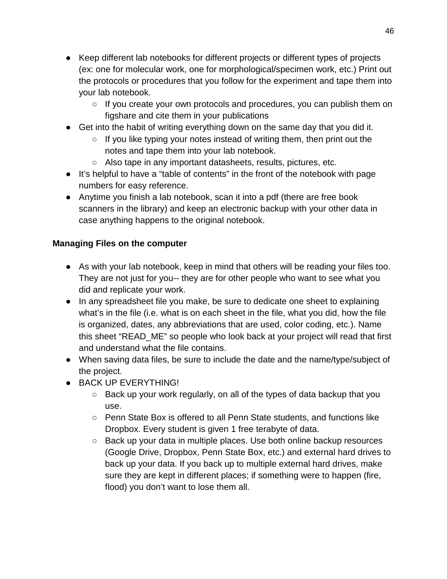- Keep different lab notebooks for different projects or different types of projects (ex: one for molecular work, one for morphological/specimen work, etc.) Print out the protocols or procedures that you follow for the experiment and tape them into your lab notebook.
	- If you create your own protocols and procedures, you can publish them on figshare and cite them in your publications
- Get into the habit of writing everything down on the same day that you did it.
	- $\circ$  If you like typing your notes instead of writing them, then print out the notes and tape them into your lab notebook.
	- Also tape in any important datasheets, results, pictures, etc.
- It's helpful to have a "table of contents" in the front of the notebook with page numbers for easy reference.
- Anytime you finish a lab notebook, scan it into a pdf (there are free book scanners in the library) and keep an electronic backup with your other data in case anything happens to the original notebook.

# **Managing Files on the computer**

- As with your lab notebook, keep in mind that others will be reading your files too. They are not just for you-- they are for other people who want to see what you did and replicate your work.
- In any spreadsheet file you make, be sure to dedicate one sheet to explaining what's in the file (i.e. what is on each sheet in the file, what you did, how the file is organized, dates, any abbreviations that are used, color coding, etc.). Name this sheet "READ\_ME" so people who look back at your project will read that first and understand what the file contains.
- When saving data files, be sure to include the date and the name/type/subject of the project.
- BACK UP EVERYTHING!
	- Back up your work regularly, on all of the types of data backup that you use.
	- Penn State Box is offered to all Penn State students, and functions like Dropbox. Every student is given 1 free terabyte of data.
	- Back up your data in multiple places. Use both online backup resources (Google Drive, Dropbox, Penn State Box, etc.) and external hard drives to back up your data. If you back up to multiple external hard drives, make sure they are kept in different places; if something were to happen (fire, flood) you don't want to lose them all.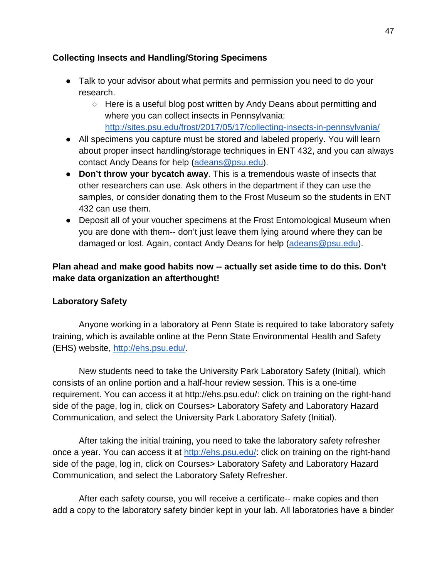### **Collecting Insects and Handling/Storing Specimens**

- Talk to your advisor about what permits and permission you need to do your research.
	- Here is a useful blog post written by Andy Deans about permitting and where you can collect insects in Pennsylvania: <http://sites.psu.edu/frost/2017/05/17/collecting-insects-in-pennsylvania/>
- All specimens you capture must be stored and labeled properly. You will learn about proper insect handling/storage techniques in ENT 432, and you can always contact Andy Deans for help [\(adeans@psu.edu\)](mailto:adeans@psu.edu).
- **Don't throw your bycatch away**. This is a tremendous waste of insects that other researchers can use. Ask others in the department if they can use the samples, or consider donating them to the Frost Museum so the students in ENT 432 can use them.
- Deposit all of your voucher specimens at the Frost Entomological Museum when you are done with them-- don't just leave them lying around where they can be damaged or lost. Again, contact Andy Deans for help [\(adeans@psu.edu\)](mailto:adeans@psu.edu).

## **Plan ahead and make good habits now -- actually set aside time to do this. Don't make data organization an afterthought!**

### **Laboratory Safety**

Anyone working in a laboratory at Penn State is required to take laboratory safety training, which is available online at the Penn State Environmental Health and Safety (EHS) website, [http://ehs.psu.edu/.](http://ehs.psu.edu/)

New students need to take the University Park Laboratory Safety (Initial), which consists of an online portion and a half-hour review session. This is a one-time requirement. You can access it at http://ehs.psu.edu/: click on training on the right-hand side of the page, log in, click on Courses> Laboratory Safety and Laboratory Hazard Communication, and select the University Park Laboratory Safety (Initial).

After taking the initial training, you need to take the laboratory safety refresher once a year. You can access it at [http://ehs.psu.edu/:](http://ehs.psu.edu/) click on training on the right-hand side of the page, log in, click on Courses> Laboratory Safety and Laboratory Hazard Communication, and select the Laboratory Safety Refresher.

After each safety course, you will receive a certificate-- make copies and then add a copy to the laboratory safety binder kept in your lab. All laboratories have a binder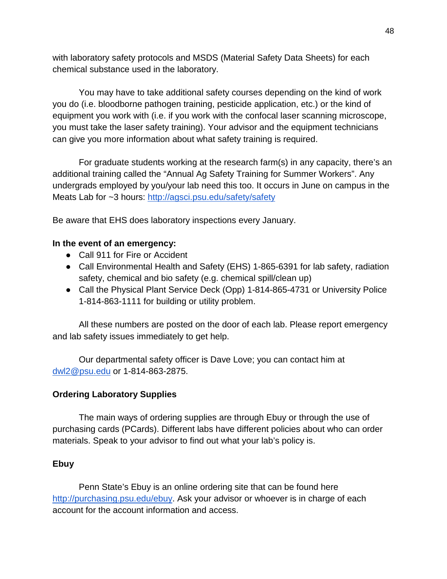with laboratory safety protocols and MSDS (Material Safety Data Sheets) for each chemical substance used in the laboratory.

You may have to take additional safety courses depending on the kind of work you do (i.e. bloodborne pathogen training, pesticide application, etc.) or the kind of equipment you work with (i.e. if you work with the confocal laser scanning microscope, you must take the laser safety training). Your advisor and the equipment technicians can give you more information about what safety training is required.

For graduate students working at the research farm(s) in any capacity, there's an additional training called the "Annual Ag Safety Training for Summer Workers". Any undergrads employed by you/your lab need this too. It occurs in June on campus in the Meats Lab for ~3 hours:<http://agsci.psu.edu/safety/safety>

Be aware that EHS does laboratory inspections every January.

## **In the event of an emergency:**

- Call 911 for Fire or Accident
- Call Environmental Health and Safety (EHS) 1-865-6391 for lab safety, radiation safety, chemical and bio safety (e.g. chemical spill/clean up)
- Call the Physical Plant Service Deck (Opp) 1-814-865-4731 or University Police 1-814-863-1111 for building or utility problem.

All these numbers are posted on the door of each lab. Please report emergency and lab safety issues immediately to get help.

Our departmental safety officer is Dave Love; you can contact him at [dwl2@psu.edu](mailto:dwl2@psu.edu) or 1-814-863-2875.

# **Ordering Laboratory Supplies**

The main ways of ordering supplies are through Ebuy or through the use of purchasing cards (PCards). Different labs have different policies about who can order materials. Speak to your advisor to find out what your lab's policy is.

### **Ebuy**

Penn State's Ebuy is an online ordering site that can be found here [http://purchasing.psu.edu/ebuy.](http://purchasing.psu.edu/ebuy) Ask your advisor or whoever is in charge of each account for the account information and access.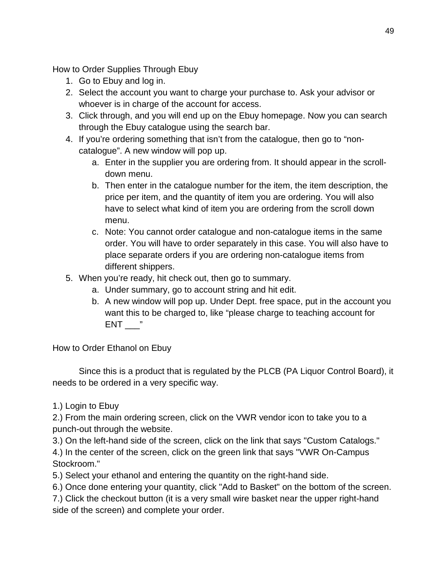How to Order Supplies Through Ebuy

- 1. Go to Ebuy and log in.
- 2. Select the account you want to charge your purchase to. Ask your advisor or whoever is in charge of the account for access.
- 3. Click through, and you will end up on the Ebuy homepage. Now you can search through the Ebuy catalogue using the search bar.
- 4. If you're ordering something that isn't from the catalogue, then go to "noncatalogue". A new window will pop up.
	- a. Enter in the supplier you are ordering from. It should appear in the scrolldown menu.
	- b. Then enter in the catalogue number for the item, the item description, the price per item, and the quantity of item you are ordering. You will also have to select what kind of item you are ordering from the scroll down menu.
	- c. Note: You cannot order catalogue and non-catalogue items in the same order. You will have to order separately in this case. You will also have to place separate orders if you are ordering non-catalogue items from different shippers.
- 5. When you're ready, hit check out, then go to summary.
	- a. Under summary, go to account string and hit edit.
	- b. A new window will pop up. Under Dept. free space, put in the account you want this to be charged to, like "please charge to teaching account for  $ENT \_$

How to Order Ethanol on Ebuy

Since this is a product that is regulated by the PLCB (PA Liquor Control Board), it needs to be ordered in a very specific way.

# 1.) Login to Ebuy

2.) From the main ordering screen, click on the VWR vendor icon to take you to a punch-out through the website.

3.) On the left-hand side of the screen, click on the link that says "Custom Catalogs." 4.) In the center of the screen, click on the green link that says "VWR On-Campus Stockroom."

5.) Select your ethanol and entering the quantity on the right-hand side.

6.) Once done entering your quantity, click "Add to Basket" on the bottom of the screen.

7.) Click the checkout button (it is a very small wire basket near the upper right-hand side of the screen) and complete your order.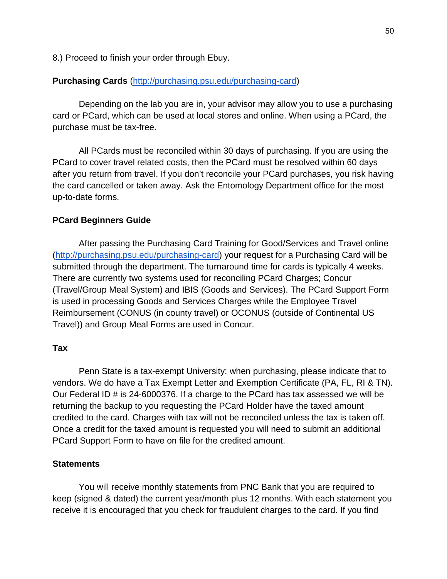8.) Proceed to finish your order through Ebuy.

#### **Purchasing Cards** [\(http://purchasing.psu.edu/purchasing-card\)](http://purchasing.psu.edu/purchasing-card)

Depending on the lab you are in, your advisor may allow you to use a purchasing card or PCard, which can be used at local stores and online. When using a PCard, the purchase must be tax-free.

All PCards must be reconciled within 30 days of purchasing. If you are using the PCard to cover travel related costs, then the PCard must be resolved within 60 days after you return from travel. If you don't reconcile your PCard purchases, you risk having the card cancelled or taken away. Ask the Entomology Department office for the most up-to-date forms.

#### **PCard Beginners Guide**

After passing the Purchasing Card Training for Good/Services and Travel online [\(http://purchasing.psu.edu/purchasing-card\)](http://purchasing.psu.edu/purchasing-card) your request for a Purchasing Card will be submitted through the department. The turnaround time for cards is typically 4 weeks. There are currently two systems used for reconciling PCard Charges; Concur (Travel/Group Meal System) and IBIS (Goods and Services). The PCard Support Form is used in processing Goods and Services Charges while the Employee Travel Reimbursement (CONUS (in county travel) or OCONUS (outside of Continental US Travel)) and Group Meal Forms are used in Concur.

#### **Tax**

Penn State is a tax-exempt University; when purchasing, please indicate that to vendors. We do have a Tax Exempt Letter and Exemption Certificate (PA, FL, RI & TN). Our Federal ID # is 24-6000376. If a charge to the PCard has tax assessed we will be returning the backup to you requesting the PCard Holder have the taxed amount credited to the card. Charges with tax will not be reconciled unless the tax is taken off. Once a credit for the taxed amount is requested you will need to submit an additional PCard Support Form to have on file for the credited amount.

#### **Statements**

You will receive monthly statements from PNC Bank that you are required to keep (signed & dated) the current year/month plus 12 months. With each statement you receive it is encouraged that you check for fraudulent charges to the card. If you find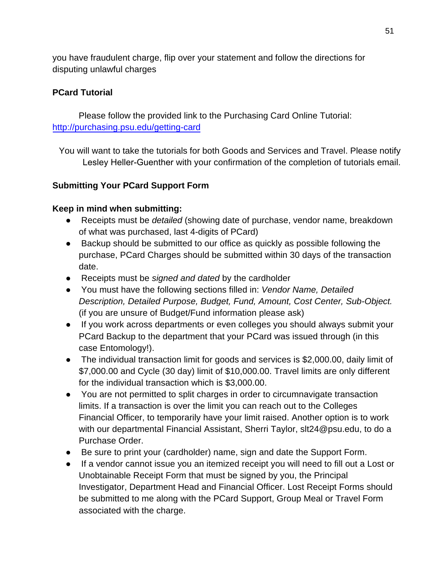you have fraudulent charge, flip over your statement and follow the directions for disputing unlawful charges

## **PCard Tutorial**

Please follow the provided link to the Purchasing Card Online Tutorial: <http://purchasing.psu.edu/getting-card>

You will want to take the tutorials for both Goods and Services and Travel. Please notify Lesley Heller-Guenther with your confirmation of the completion of tutorials email.

## **Submitting Your PCard Support Form**

### **Keep in mind when submitting:**

- Receipts must be *detailed* (showing date of purchase, vendor name, breakdown of what was purchased, last 4-digits of PCard)
- Backup should be submitted to our office as quickly as possible following the purchase, PCard Charges should be submitted within 30 days of the transaction date.
- Receipts must be *signed and dated* by the cardholder
- You must have the following sections filled in: *Vendor Name, Detailed Description, Detailed Purpose, Budget, Fund, Amount, Cost Center, Sub-Object.* (if you are unsure of Budget/Fund information please ask)
- If you work across departments or even colleges you should always submit your PCard Backup to the department that your PCard was issued through (in this case Entomology!).
- The individual transaction limit for goods and services is \$2,000.00, daily limit of \$7,000.00 and Cycle (30 day) limit of \$10,000.00. Travel limits are only different for the individual transaction which is \$3,000.00.
- You are not permitted to split charges in order to circumnavigate transaction limits. If a transaction is over the limit you can reach out to the Colleges Financial Officer, to temporarily have your limit raised. Another option is to work with our departmental Financial Assistant, Sherri Taylor, slt24@psu.edu, to do a Purchase Order.
- Be sure to print your (cardholder) name, sign and date the Support Form.
- If a vendor cannot issue you an itemized receipt you will need to fill out a Lost or Unobtainable Receipt Form that must be signed by you, the Principal Investigator, Department Head and Financial Officer. Lost Receipt Forms should be submitted to me along with the PCard Support, Group Meal or Travel Form associated with the charge.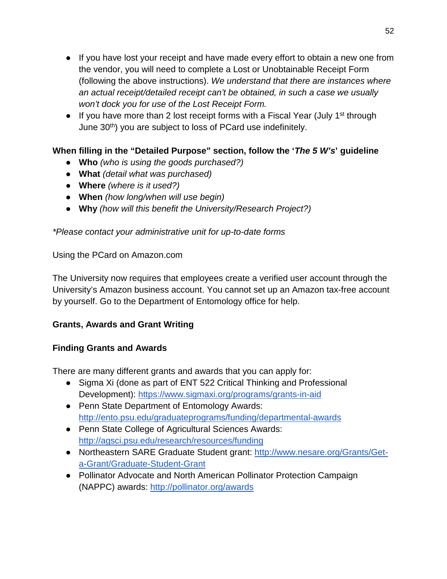- If you have lost your receipt and have made every effort to obtain a new one from the vendor, you will need to complete a Lost or Unobtainable Receipt Form (following the above instructions). *We understand that there are instances where an actual receipt/detailed receipt can't be obtained, in such a case we usually won't dock you for use of the Lost Receipt Form.*
- If you have more than 2 lost receipt forms with a Fiscal Year (July 1<sup>st</sup> through June 30<sup>th</sup>) you are subject to loss of PCard use indefinitely.

# **When filling in the "Detailed Purpose" section, follow the '***The 5 W's***' guideline**

- **Who** *(who is using the goods purchased?)*
- **What** *(detail what was purchased)*
- **Where** *(where is it used?)*
- **When** *(how long/when will use begin)*
- **Why** *(how will this benefit the University/Research Project?)*

*\*Please contact your administrative unit for up-to-date forms*

## Using the PCard on Amazon.com

The University now requires that employees create a verified user account through the University's Amazon business account. You cannot set up an Amazon tax-free account by yourself. Go to the Department of Entomology office for help.

# **Grants, Awards and Grant Writing**

# **Finding Grants and Awards**

There are many different grants and awards that you can apply for:

- Sigma Xi (done as part of ENT 522 Critical Thinking and Professional Development):<https://www.sigmaxi.org/programs/grants-in-aid>
- Penn State Department of Entomology Awards: <http://ento.psu.edu/graduateprograms/funding/departmental-awards>
- Penn State College of Agricultural Sciences Awards: <http://agsci.psu.edu/research/resources/funding>
- Northeastern SARE Graduate Student grant: [http://www.nesare.org/Grants/Get](http://www.nesare.org/Grants/Get-a-Grant/Graduate-Student-Grant)[a-Grant/Graduate-Student-Grant](http://www.nesare.org/Grants/Get-a-Grant/Graduate-Student-Grant)
- Pollinator Advocate and North American Pollinator Protection Campaign (NAPPC) awards:<http://pollinator.org/awards>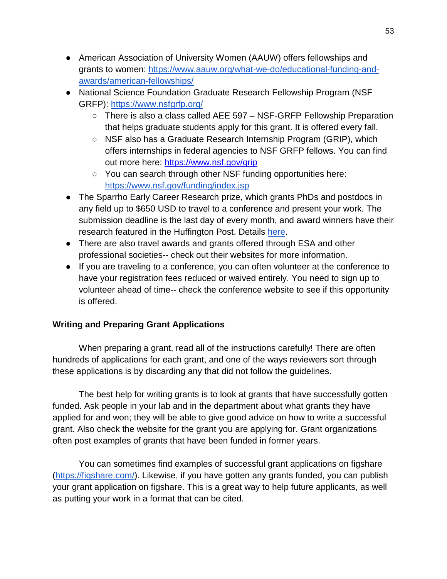- American Association of University Women (AAUW) offers fellowships and grants to women: [https://www.aauw.org/what-we-do/educational-funding-and](https://www.aauw.org/what-we-do/educational-funding-and-awards/american-fellowships/)[awards/american-fellowships/](https://www.aauw.org/what-we-do/educational-funding-and-awards/american-fellowships/)
- National Science Foundation Graduate Research Fellowship Program (NSF GRFP):<https://www.nsfgrfp.org/>
	- There is also a class called AEE 597 NSF-GRFP Fellowship Preparation that helps graduate students apply for this grant. It is offered every fall.
	- $\circ$  NSF also has a Graduate Research Internship Program (GRIP), which offers internships in federal agencies to NSF GRFP fellows. You can find out more here:<https://www.nsf.gov/grip>
	- You can search through other NSF funding opportunities here: <https://www.nsf.gov/funding/index.jsp>
- The Sparrho Early Career Research prize, which grants PhDs and postdocs in any field up to \$650 USD to travel to a conference and present your work. The submission deadline is the last day of every month, and award winners have their research featured in the Huffington Post. Detail[s](http://grants.sparrho.com/index.html) [here.](http://grants.sparrho.com/index.html)
- There are also travel awards and grants offered through ESA and other professional societies-- check out their websites for more information.
- If you are traveling to a conference, you can often volunteer at the conference to have your registration fees reduced or waived entirely. You need to sign up to volunteer ahead of time-- check the conference website to see if this opportunity is offered.

# **Writing and Preparing Grant Applications**

When preparing a grant, read all of the instructions carefully! There are often hundreds of applications for each grant, and one of the ways reviewers sort through these applications is by discarding any that did not follow the guidelines.

The best help for writing grants is to look at grants that have successfully gotten funded. Ask people in your lab and in the department about what grants they have applied for and won; they will be able to give good advice on how to write a successful grant. Also check the website for the grant you are applying for. Grant organizations often post examples of grants that have been funded in former years.

You can sometimes find examples of successful grant applications on figshare [\(https://figshare.com/\)](https://figshare.com/). Likewise, if you have gotten any grants funded, you can publish your grant application on figshare. This is a great way to help future applicants, as well as putting your work in a format that can be cited.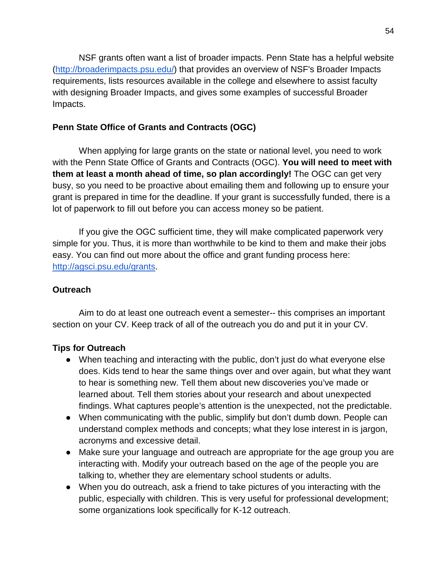NSF grants often want a list of broader impacts. Penn State has a helpful website [\(http://broaderimpacts.psu.edu/\)](http://broaderimpacts.psu.edu/) that provides an overview of NSF's Broader Impacts requirements, lists resources available in the college and elsewhere to assist faculty with designing Broader Impacts, and gives some examples of successful Broader Impacts.

### **Penn State Office of Grants and Contracts (OGC)**

When applying for large grants on the state or national level, you need to work with the Penn State Office of Grants and Contracts (OGC). **You will need to meet with them at least a month ahead of time, so plan accordingly!** The OGC can get very busy, so you need to be proactive about emailing them and following up to ensure your grant is prepared in time for the deadline. If your grant is successfully funded, there is a lot of paperwork to fill out before you can access money so be patient.

If you give the OGC sufficient time, they will make complicated paperwork very simple for you. Thus, it is more than worthwhile to be kind to them and make their jobs easy. You can find out more about the office and grant funding process here: [http://agsci.psu.edu/grants.](http://agsci.psu.edu/grants)

## **Outreach**

Aim to do at least one outreach event a semester-- this comprises an important section on your CV. Keep track of all of the outreach you do and put it in your CV.

# **Tips for Outreach**

- When teaching and interacting with the public, don't just do what everyone else does. Kids tend to hear the same things over and over again, but what they want to hear is something new. Tell them about new discoveries you've made or learned about. Tell them stories about your research and about unexpected findings. What captures people's attention is the unexpected, not the predictable.
- When communicating with the public, simplify but don't dumb down. People can understand complex methods and concepts; what they lose interest in is jargon, acronyms and excessive detail.
- Make sure your language and outreach are appropriate for the age group you are interacting with. Modify your outreach based on the age of the people you are talking to, whether they are elementary school students or adults.
- When you do outreach, ask a friend to take pictures of you interacting with the public, especially with children. This is very useful for professional development; some organizations look specifically for K-12 outreach.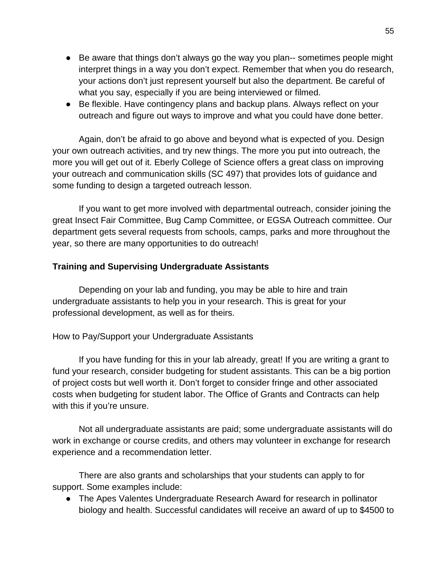- Be aware that things don't always go the way you plan-- sometimes people might interpret things in a way you don't expect. Remember that when you do research, your actions don't just represent yourself but also the department. Be careful of what you say, especially if you are being interviewed or filmed.
- Be flexible. Have contingency plans and backup plans. Always reflect on your outreach and figure out ways to improve and what you could have done better.

Again, don't be afraid to go above and beyond what is expected of you. Design your own outreach activities, and try new things. The more you put into outreach, the more you will get out of it. Eberly College of Science offers a great class on improving your outreach and communication skills (SC 497) that provides lots of guidance and some funding to design a targeted outreach lesson.

If you want to get more involved with departmental outreach, consider joining the great Insect Fair Committee, Bug Camp Committee, or EGSA Outreach committee. Our department gets several requests from schools, camps, parks and more throughout the year, so there are many opportunities to do outreach!

### **Training and Supervising Undergraduate Assistants**

Depending on your lab and funding, you may be able to hire and train undergraduate assistants to help you in your research. This is great for your professional development, as well as for theirs.

#### How to Pay/Support your Undergraduate Assistants

If you have funding for this in your lab already, great! If you are writing a grant to fund your research, consider budgeting for student assistants. This can be a big portion of project costs but well worth it. Don't forget to consider fringe and other associated costs when budgeting for student labor. The Office of Grants and Contracts can help with this if you're unsure.

Not all undergraduate assistants are paid; some undergraduate assistants will do work in exchange or course credits, and others may volunteer in exchange for research experience and a recommendation letter.

There are also grants and scholarships that your students can apply to for support. Some examples include:

● The Apes Valentes Undergraduate Research Award for research in pollinator biology and health. Successful candidates will receive an award of up to \$4500 to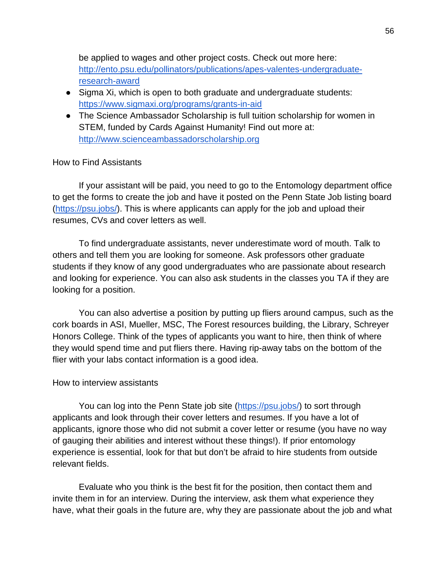be applied to wages and other project costs. Check out more here: [http://ento.psu.edu/pollinators/publications/apes-valentes-undergraduate](http://ento.psu.edu/pollinators/publications/apes-valentes-undergraduate-research-award)[research-award](http://ento.psu.edu/pollinators/publications/apes-valentes-undergraduate-research-award)

- Sigma Xi, which is open to both graduate and undergraduate students: <https://www.sigmaxi.org/programs/grants-in-aid>
- The Science Ambassador Scholarship is full tuition scholarship for women in STEM, funded by Cards Against Humanity! Find out more at: [http://www.scienceambassadorscholarship.org](http://www.scienceambassadorscholarship.org/)

#### How to Find Assistants

If your assistant will be paid, you need to go to the Entomology department office to get the forms to create the job and have it posted on the Penn State Job listing board [\(https://psu.jobs/\)](https://psu.jobs/). This is where applicants can apply for the job and upload their resumes, CVs and cover letters as well.

To find undergraduate assistants, never underestimate word of mouth. Talk to others and tell them you are looking for someone. Ask professors other graduate students if they know of any good undergraduates who are passionate about research and looking for experience. You can also ask students in the classes you TA if they are looking for a position.

You can also advertise a position by putting up fliers around campus, such as the cork boards in ASI, Mueller, MSC, The Forest resources building, the Library, Schreyer Honors College. Think of the types of applicants you want to hire, then think of where they would spend time and put fliers there. Having rip-away tabs on the bottom of the flier with your labs contact information is a good idea.

#### How to interview assistants

You can log into the Penn State job site [\(https://psu.jobs/\)](https://psu.jobs/) to sort through applicants and look through their cover letters and resumes. If you have a lot of applicants, ignore those who did not submit a cover letter or resume (you have no way of gauging their abilities and interest without these things!). If prior entomology experience is essential, look for that but don't be afraid to hire students from outside relevant fields.

Evaluate who you think is the best fit for the position, then contact them and invite them in for an interview. During the interview, ask them what experience they have, what their goals in the future are, why they are passionate about the job and what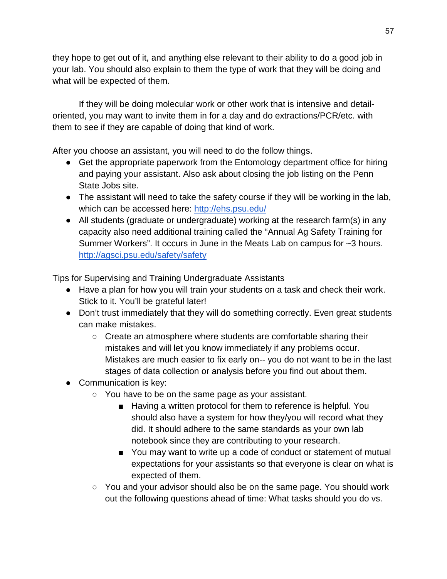they hope to get out of it, and anything else relevant to their ability to do a good job in your lab. You should also explain to them the type of work that they will be doing and what will be expected of them.

If they will be doing molecular work or other work that is intensive and detailoriented, you may want to invite them in for a day and do extractions/PCR/etc. with them to see if they are capable of doing that kind of work.

After you choose an assistant, you will need to do the follow things.

- Get the appropriate paperwork from the Entomology department office for hiring and paying your assistant. Also ask about closing the job listing on the Penn State Jobs site.
- The assistant will need to take the safety course if they will be working in the lab, which can be accessed here:<http://ehs.psu.edu/>
- All students (graduate or undergraduate) working at the research farm(s) in any capacity also need additional training called the "Annual Ag Safety Training for Summer Workers". It occurs in June in the Meats Lab on campus for ~3 hours. <http://agsci.psu.edu/safety/safety>

Tips for Supervising and Training Undergraduate Assistants

- Have a plan for how you will train your students on a task and check their work. Stick to it. You'll be grateful later!
- Don't trust immediately that they will do something correctly. Even great students can make mistakes.
	- Create an atmosphere where students are comfortable sharing their mistakes and will let you know immediately if any problems occur. Mistakes are much easier to fix early on-- you do not want to be in the last stages of data collection or analysis before you find out about them.
- Communication is key:
	- You have to be on the same page as your assistant.
		- Having a written protocol for them to reference is helpful. You should also have a system for how they/you will record what they did. It should adhere to the same standards as your own lab notebook since they are contributing to your research.
		- You may want to write up a code of conduct or statement of mutual expectations for your assistants so that everyone is clear on what is expected of them.
	- You and your advisor should also be on the same page. You should work out the following questions ahead of time: What tasks should you do vs.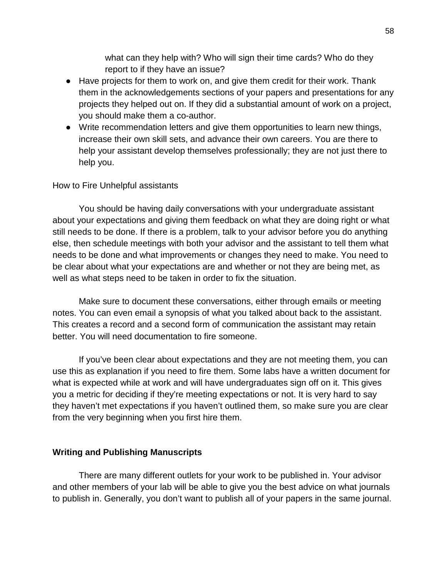what can they help with? Who will sign their time cards? Who do they report to if they have an issue?

- Have projects for them to work on, and give them credit for their work. Thank them in the acknowledgements sections of your papers and presentations for any projects they helped out on. If they did a substantial amount of work on a project, you should make them a co-author.
- Write recommendation letters and give them opportunities to learn new things, increase their own skill sets, and advance their own careers. You are there to help your assistant develop themselves professionally; they are not just there to help you.

#### How to Fire Unhelpful assistants

You should be having daily conversations with your undergraduate assistant about your expectations and giving them feedback on what they are doing right or what still needs to be done. If there is a problem, talk to your advisor before you do anything else, then schedule meetings with both your advisor and the assistant to tell them what needs to be done and what improvements or changes they need to make. You need to be clear about what your expectations are and whether or not they are being met, as well as what steps need to be taken in order to fix the situation.

Make sure to document these conversations, either through emails or meeting notes. You can even email a synopsis of what you talked about back to the assistant. This creates a record and a second form of communication the assistant may retain better. You will need documentation to fire someone.

If you've been clear about expectations and they are not meeting them, you can use this as explanation if you need to fire them. Some labs have a written document for what is expected while at work and will have undergraduates sign off on it. This gives you a metric for deciding if they're meeting expectations or not. It is very hard to say they haven't met expectations if you haven't outlined them, so make sure you are clear from the very beginning when you first hire them.

#### **Writing and Publishing Manuscripts**

There are many different outlets for your work to be published in. Your advisor and other members of your lab will be able to give you the best advice on what journals to publish in. Generally, you don't want to publish all of your papers in the same journal.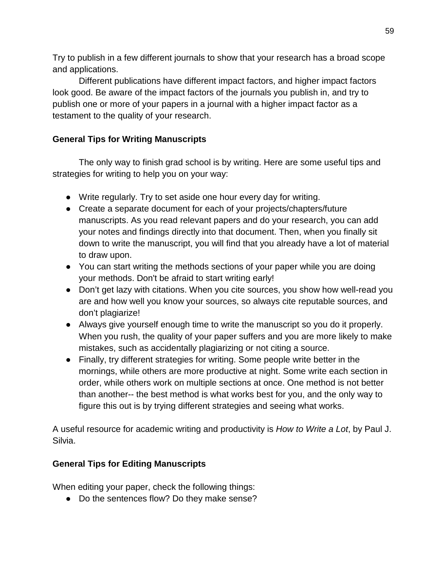Try to publish in a few different journals to show that your research has a broad scope and applications.

Different publications have different impact factors, and higher impact factors look good. Be aware of the impact factors of the journals you publish in, and try to publish one or more of your papers in a journal with a higher impact factor as a testament to the quality of your research.

# **General Tips for Writing Manuscripts**

The only way to finish grad school is by writing. Here are some useful tips and strategies for writing to help you on your way:

- Write regularly. Try to set aside one hour every day for writing.
- Create a separate document for each of your projects/chapters/future manuscripts. As you read relevant papers and do your research, you can add your notes and findings directly into that document. Then, when you finally sit down to write the manuscript, you will find that you already have a lot of material to draw upon.
- You can start writing the methods sections of your paper while you are doing your methods. Don't be afraid to start writing early!
- Don't get lazy with citations. When you cite sources, you show how well-read you are and how well you know your sources, so always cite reputable sources, and don't plagiarize!
- Always give yourself enough time to write the manuscript so you do it properly. When you rush, the quality of your paper suffers and you are more likely to make mistakes, such as accidentally plagiarizing or not citing a source.
- Finally, try different strategies for writing. Some people write better in the mornings, while others are more productive at night. Some write each section in order, while others work on multiple sections at once. One method is not better than another-- the best method is what works best for you, and the only way to figure this out is by trying different strategies and seeing what works.

A useful resource for academic writing and productivity is *How to Write a Lot*, by Paul J. Silvia.

### **General Tips for Editing Manuscripts**

When editing your paper, check the following things:

• Do the sentences flow? Do they make sense?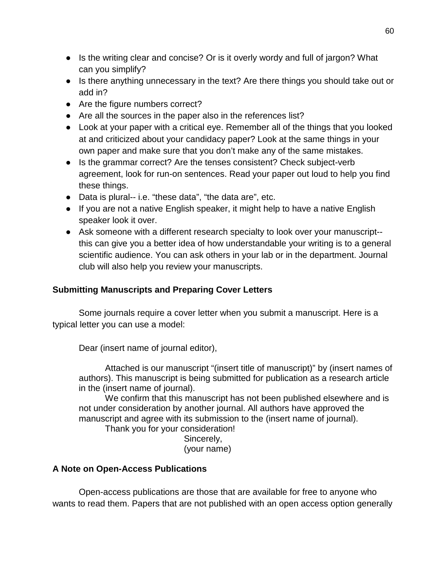- Is the writing clear and concise? Or is it overly wordy and full of jargon? What can you simplify?
- Is there anything unnecessary in the text? Are there things you should take out or add in?
- Are the figure numbers correct?
- Are all the sources in the paper also in the references list?
- Look at your paper with a critical eye. Remember all of the things that you looked at and criticized about your candidacy paper? Look at the same things in your own paper and make sure that you don't make any of the same mistakes.
- Is the grammar correct? Are the tenses consistent? Check subject-verb agreement, look for run-on sentences. Read your paper out loud to help you find these things.
- Data is plural-- i.e. "these data", "the data are", etc.
- If you are not a native English speaker, it might help to have a native English speaker look it over.
- Ask someone with a different research specialty to look over your manuscript- this can give you a better idea of how understandable your writing is to a general scientific audience. You can ask others in your lab or in the department. Journal club will also help you review your manuscripts.

## **Submitting Manuscripts and Preparing Cover Letters**

Some journals require a cover letter when you submit a manuscript. Here is a typical letter you can use a model:

Dear (insert name of journal editor),

Attached is our manuscript "(insert title of manuscript)" by (insert names of authors). This manuscript is being submitted for publication as a research article in the (insert name of journal).

We confirm that this manuscript has not been published elsewhere and is not under consideration by another journal. All authors have approved the manuscript and agree with its submission to the (insert name of journal).

Thank you for your consideration!

Sincerely, (your name)

### **A Note on Open-Access Publications**

Open-access publications are those that are available for free to anyone who wants to read them. Papers that are not published with an open access option generally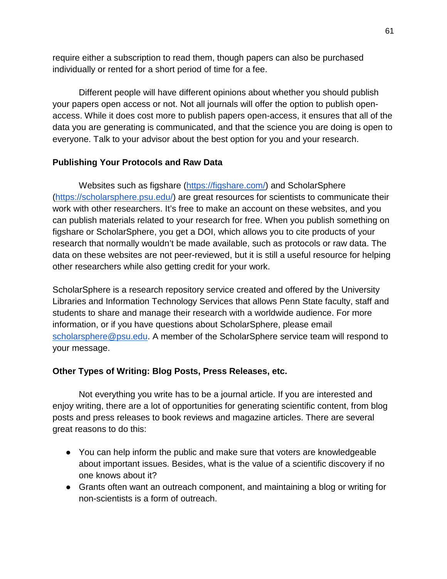require either a subscription to read them, though papers can also be purchased individually or rented for a short period of time for a fee.

Different people will have different opinions about whether you should publish your papers open access or not. Not all journals will offer the option to publish openaccess. While it does cost more to publish papers open-access, it ensures that all of the data you are generating is communicated, and that the science you are doing is open to everyone. Talk to your advisor about the best option for you and your research.

### **Publishing Your Protocols and Raw Data**

Websites such as figshare [\(https://figshare.com/\)](https://figshare.com/) and ScholarSphere [\(https://scholarsphere.psu.edu/\)](https://scholarsphere.psu.edu/) are great resources for scientists to communicate their work with other researchers. It's free to make an account on these websites, and you can publish materials related to your research for free. When you publish something on figshare or ScholarSphere, you get a DOI, which allows you to cite products of your research that normally wouldn't be made available, such as protocols or raw data. The data on these websites are not peer-reviewed, but it is still a useful resource for helping other researchers while also getting credit for your work.

ScholarSphere is a research repository service created and offered by the University Libraries and Information Technology Services that allows Penn State faculty, staff and students to share and manage their research with a worldwide audience. For more information, or if you have questions about ScholarSphere, please email [scholarsphere@psu.edu.](mailto:scholarsphere@psu.edu) A member of the ScholarSphere service team will respond to your message.

#### **Other Types of Writing: Blog Posts, Press Releases, etc.**

Not everything you write has to be a journal article. If you are interested and enjoy writing, there are a lot of opportunities for generating scientific content, from blog posts and press releases to book reviews and magazine articles. There are several great reasons to do this:

- You can help inform the public and make sure that voters are knowledgeable about important issues. Besides, what is the value of a scientific discovery if no one knows about it?
- Grants often want an outreach component, and maintaining a blog or writing for non-scientists is a form of outreach.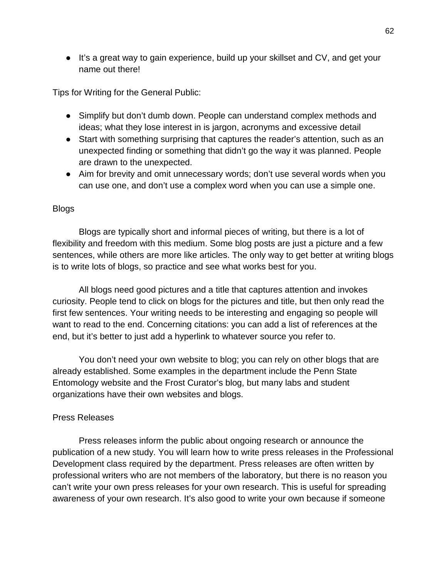● It's a great way to gain experience, build up your skillset and CV, and get your name out there!

Tips for Writing for the General Public:

- Simplify but don't dumb down. People can understand complex methods and ideas; what they lose interest in is jargon, acronyms and excessive detail
- Start with something surprising that captures the reader's attention, such as an unexpected finding or something that didn't go the way it was planned. People are drawn to the unexpected.
- Aim for brevity and omit unnecessary words; don't use several words when you can use one, and don't use a complex word when you can use a simple one.

#### Blogs

Blogs are typically short and informal pieces of writing, but there is a lot of flexibility and freedom with this medium. Some blog posts are just a picture and a few sentences, while others are more like articles. The only way to get better at writing blogs is to write lots of blogs, so practice and see what works best for you.

All blogs need good pictures and a title that captures attention and invokes curiosity. People tend to click on blogs for the pictures and title, but then only read the first few sentences. Your writing needs to be interesting and engaging so people will want to read to the end. Concerning citations: you can add a list of references at the end, but it's better to just add a hyperlink to whatever source you refer to.

You don't need your own website to blog; you can rely on other blogs that are already established. Some examples in the department include the Penn State Entomology website and the Frost Curator's blog, but many labs and student organizations have their own websites and blogs.

#### Press Releases

Press releases inform the public about ongoing research or announce the publication of a new study. You will learn how to write press releases in the Professional Development class required by the department. Press releases are often written by professional writers who are not members of the laboratory, but there is no reason you can't write your own press releases for your own research. This is useful for spreading awareness of your own research. It's also good to write your own because if someone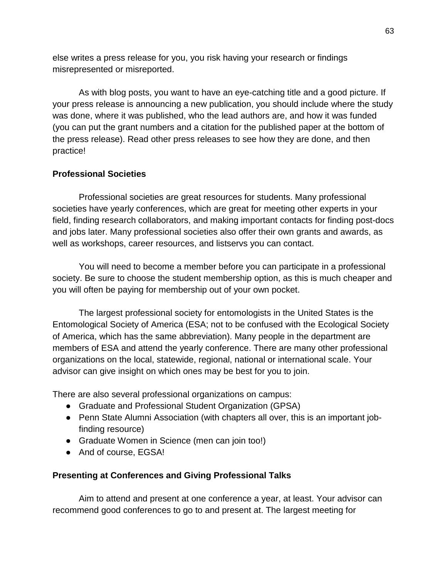else writes a press release for you, you risk having your research or findings misrepresented or misreported.

As with blog posts, you want to have an eye-catching title and a good picture. If your press release is announcing a new publication, you should include where the study was done, where it was published, who the lead authors are, and how it was funded (you can put the grant numbers and a citation for the published paper at the bottom of the press release). Read other press releases to see how they are done, and then practice!

### **Professional Societies**

Professional societies are great resources for students. Many professional societies have yearly conferences, which are great for meeting other experts in your field, finding research collaborators, and making important contacts for finding post-docs and jobs later. Many professional societies also offer their own grants and awards, as well as workshops, career resources, and listservs you can contact.

You will need to become a member before you can participate in a professional society. Be sure to choose the student membership option, as this is much cheaper and you will often be paying for membership out of your own pocket.

The largest professional society for entomologists in the United States is the Entomological Society of America (ESA; not to be confused with the Ecological Society of America, which has the same abbreviation). Many people in the department are members of ESA and attend the yearly conference. There are many other professional organizations on the local, statewide, regional, national or international scale. Your advisor can give insight on which ones may be best for you to join.

There are also several professional organizations on campus:

- Graduate and Professional Student Organization (GPSA)
- Penn State Alumni Association (with chapters all over, this is an important jobfinding resource)
- Graduate Women in Science (men can join too!)
- And of course, EGSA!

# **Presenting at Conferences and Giving Professional Talks**

Aim to attend and present at one conference a year, at least. Your advisor can recommend good conferences to go to and present at. The largest meeting for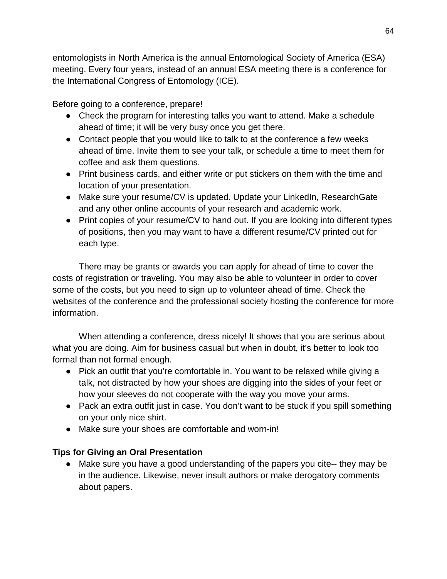entomologists in North America is the annual Entomological Society of America (ESA) meeting. Every four years, instead of an annual ESA meeting there is a conference for the International Congress of Entomology (ICE).

Before going to a conference, prepare!

- Check the program for interesting talks you want to attend. Make a schedule ahead of time; it will be very busy once you get there.
- Contact people that you would like to talk to at the conference a few weeks ahead of time. Invite them to see your talk, or schedule a time to meet them for coffee and ask them questions.
- Print business cards, and either write or put stickers on them with the time and location of your presentation.
- Make sure your resume/CV is updated. Update your LinkedIn, ResearchGate and any other online accounts of your research and academic work.
- Print copies of your resume/CV to hand out. If you are looking into different types of positions, then you may want to have a different resume/CV printed out for each type.

There may be grants or awards you can apply for ahead of time to cover the costs of registration or traveling. You may also be able to volunteer in order to cover some of the costs, but you need to sign up to volunteer ahead of time. Check the websites of the conference and the professional society hosting the conference for more information.

When attending a conference, dress nicely! It shows that you are serious about what you are doing. Aim for business casual but when in doubt, it's better to look too formal than not formal enough.

- Pick an outfit that you're comfortable in. You want to be relaxed while giving a talk, not distracted by how your shoes are digging into the sides of your feet or how your sleeves do not cooperate with the way you move your arms.
- Pack an extra outfit just in case. You don't want to be stuck if you spill something on your only nice shirt.
- Make sure your shoes are comfortable and worn-in!

# **Tips for Giving an Oral Presentation**

● Make sure you have a good understanding of the papers you cite-- they may be in the audience. Likewise, never insult authors or make derogatory comments about papers.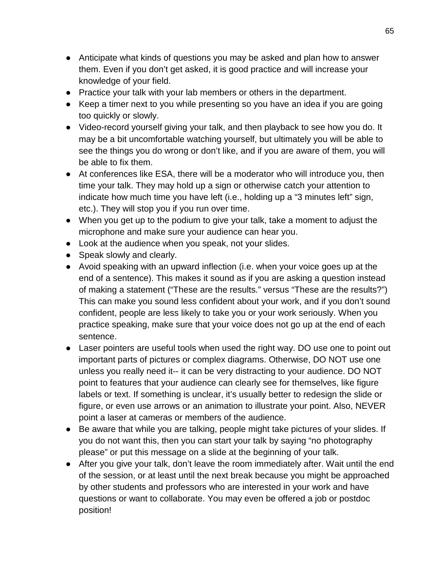- Anticipate what kinds of questions you may be asked and plan how to answer them. Even if you don't get asked, it is good practice and will increase your knowledge of your field.
- Practice your talk with your lab members or others in the department.
- Keep a timer next to you while presenting so you have an idea if you are going too quickly or slowly.
- Video-record yourself giving your talk, and then playback to see how you do. It may be a bit uncomfortable watching yourself, but ultimately you will be able to see the things you do wrong or don't like, and if you are aware of them, you will be able to fix them.
- At conferences like ESA, there will be a moderator who will introduce you, then time your talk. They may hold up a sign or otherwise catch your attention to indicate how much time you have left (i.e., holding up a "3 minutes left" sign, etc.). They will stop you if you run over time.
- When you get up to the podium to give your talk, take a moment to adjust the microphone and make sure your audience can hear you.
- Look at the audience when you speak, not your slides.
- Speak slowly and clearly.
- Avoid speaking with an upward inflection (i.e. when your voice goes up at the end of a sentence). This makes it sound as if you are asking a question instead of making a statement ("These are the results." versus "These are the results?") This can make you sound less confident about your work, and if you don't sound confident, people are less likely to take you or your work seriously. When you practice speaking, make sure that your voice does not go up at the end of each sentence.
- Laser pointers are useful tools when used the right way. DO use one to point out important parts of pictures or complex diagrams. Otherwise, DO NOT use one unless you really need it-- it can be very distracting to your audience. DO NOT point to features that your audience can clearly see for themselves, like figure labels or text. If something is unclear, it's usually better to redesign the slide or figure, or even use arrows or an animation to illustrate your point. Also, NEVER point a laser at cameras or members of the audience.
- Be aware that while you are talking, people might take pictures of your slides. If you do not want this, then you can start your talk by saying "no photography please" or put this message on a slide at the beginning of your talk.
- After you give your talk, don't leave the room immediately after. Wait until the end of the session, or at least until the next break because you might be approached by other students and professors who are interested in your work and have questions or want to collaborate. You may even be offered a job or postdoc position!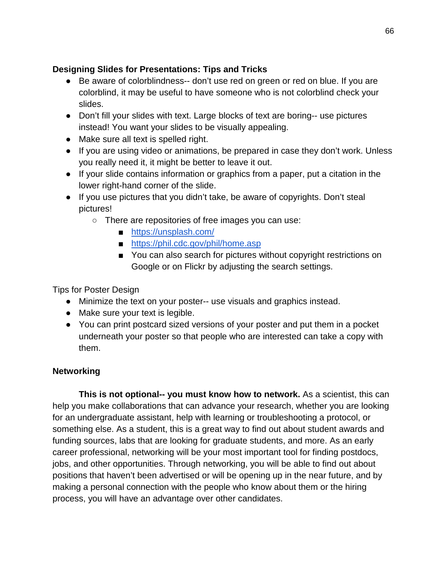## **Designing Slides for Presentations: Tips and Tricks**

- Be aware of colorblindness-- don't use red on green or red on blue. If you are colorblind, it may be useful to have someone who is not colorblind check your slides.
- Don't fill your slides with text. Large blocks of text are boring-- use pictures instead! You want your slides to be visually appealing.
- Make sure all text is spelled right.
- If you are using video or animations, be prepared in case they don't work. Unless you really need it, it might be better to leave it out.
- If your slide contains information or graphics from a paper, put a citation in the lower right-hand corner of the slide.
- If you use pictures that you didn't take, be aware of copyrights. Don't steal pictures!
	- There are repositories of free images you can use:
		- <https://unsplash.com/>
		- <https://phil.cdc.gov/phil/home.asp>
		- You can also search for pictures without copyright restrictions on Google or on Flickr by adjusting the search settings.

Tips for Poster Design

- Minimize the text on your poster-- use visuals and graphics instead.
- Make sure your text is legible.
- You can print postcard sized versions of your poster and put them in a pocket underneath your poster so that people who are interested can take a copy with them.

# **Networking**

**This is not optional-- you must know how to network.** As a scientist, this can help you make collaborations that can advance your research, whether you are looking for an undergraduate assistant, help with learning or troubleshooting a protocol, or something else. As a student, this is a great way to find out about student awards and funding sources, labs that are looking for graduate students, and more. As an early career professional, networking will be your most important tool for finding postdocs, jobs, and other opportunities. Through networking, you will be able to find out about positions that haven't been advertised or will be opening up in the near future, and by making a personal connection with the people who know about them or the hiring process, you will have an advantage over other candidates.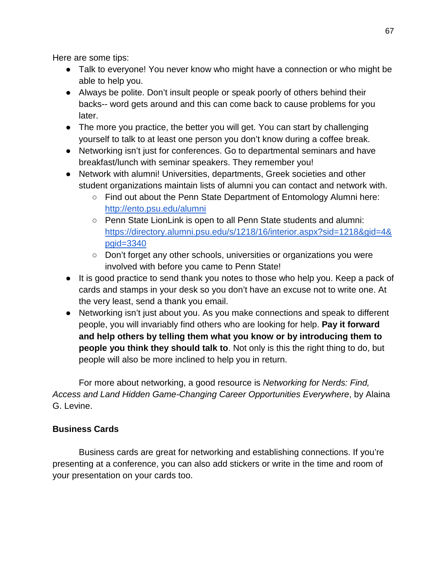Here are some tips:

- Talk to everyone! You never know who might have a connection or who might be able to help you.
- Always be polite. Don't insult people or speak poorly of others behind their backs-- word gets around and this can come back to cause problems for you later.
- The more you practice, the better you will get. You can start by challenging yourself to talk to at least one person you don't know during a coffee break.
- Networking isn't just for conferences. Go to departmental seminars and have breakfast/lunch with seminar speakers. They remember you!
- Network with alumni! Universities, departments, Greek societies and other student organizations maintain lists of alumni you can contact and network with.
	- Find out about the Penn State Department of Entomology Alumni here: <http://ento.psu.edu/alumni>
	- Penn State LionLink is open to all Penn State students and alumni: [https://directory.alumni.psu.edu/s/1218/16/interior.aspx?sid=1218&gid=4&](https://directory.alumni.psu.edu/s/1218/16/interior.aspx?sid=1218&gid=4&pgid=3340) [pgid=3340](https://directory.alumni.psu.edu/s/1218/16/interior.aspx?sid=1218&gid=4&pgid=3340)
	- Don't forget any other schools, universities or organizations you were involved with before you came to Penn State!
- It is good practice to send thank you notes to those who help you. Keep a pack of cards and stamps in your desk so you don't have an excuse not to write one. At the very least, send a thank you email.
- Networking isn't just about you. As you make connections and speak to different people, you will invariably find others who are looking for help. **Pay it forward and help others by telling them what you know or by introducing them to people you think they should talk to**. Not only is this the right thing to do, but people will also be more inclined to help you in return.

For more about networking, a good resource is *Networking for Nerds: Find, Access and Land Hidden Game-Changing Career Opportunities Everywhere*, by Alaina G. Levine.

# **Business Cards**

Business cards are great for networking and establishing connections. If you're presenting at a conference, you can also add stickers or write in the time and room of your presentation on your cards too.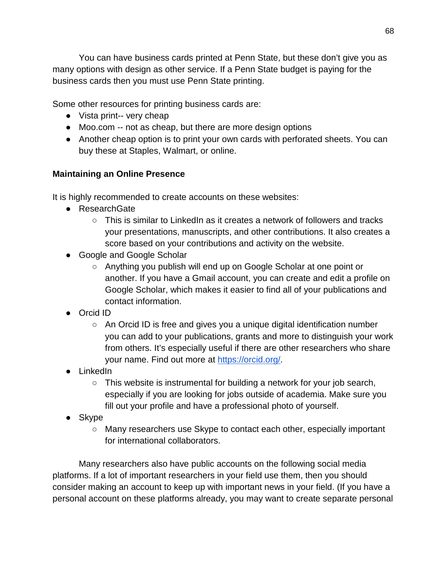You can have business cards printed at Penn State, but these don't give you as many options with design as other service. If a Penn State budget is paying for the business cards then you must use Penn State printing.

Some other resources for printing business cards are:

- Vista print-- very cheap
- Moo.com -- not as cheap, but there are more design options
- Another cheap option is to print your own cards with perforated sheets. You can buy these at Staples, Walmart, or online.

# **Maintaining an Online Presence**

It is highly recommended to create accounts on these websites:

- ResearchGate
	- $\circ$  This is similar to LinkedIn as it creates a network of followers and tracks your presentations, manuscripts, and other contributions. It also creates a score based on your contributions and activity on the website.
- Google and Google Scholar
	- Anything you publish will end up on Google Scholar at one point or another. If you have a Gmail account, you can create and edit a profile on Google Scholar, which makes it easier to find all of your publications and contact information.
- Orcid ID
	- An Orcid ID is free and gives you a unique digital identification number you can add to your publications, grants and more to distinguish your work from others. It's especially useful if there are other researchers who share your name. Find out more at [https://orcid.org/.](https://orcid.org/)
- LinkedIn
	- This website is instrumental for building a network for your job search, especially if you are looking for jobs outside of academia. Make sure you fill out your profile and have a professional photo of yourself.
- Skype
	- Many researchers use Skype to contact each other, especially important for international collaborators.

Many researchers also have public accounts on the following social media platforms. If a lot of important researchers in your field use them, then you should consider making an account to keep up with important news in your field. (If you have a personal account on these platforms already, you may want to create separate personal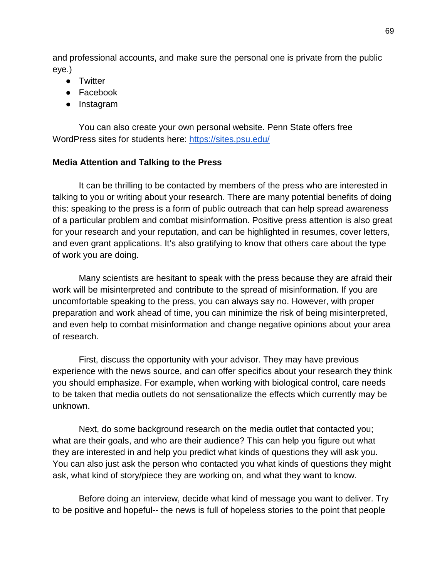and professional accounts, and make sure the personal one is private from the public eye.)

- Twitter
- Facebook
- Instagram

You can also create your own personal website. Penn State offers free WordPress sites for students here:<https://sites.psu.edu/>

### **Media Attention and Talking to the Press**

It can be thrilling to be contacted by members of the press who are interested in talking to you or writing about your research. There are many potential benefits of doing this: speaking to the press is a form of public outreach that can help spread awareness of a particular problem and combat misinformation. Positive press attention is also great for your research and your reputation, and can be highlighted in resumes, cover letters, and even grant applications. It's also gratifying to know that others care about the type of work you are doing.

Many scientists are hesitant to speak with the press because they are afraid their work will be misinterpreted and contribute to the spread of misinformation. If you are uncomfortable speaking to the press, you can always say no. However, with proper preparation and work ahead of time, you can minimize the risk of being misinterpreted, and even help to combat misinformation and change negative opinions about your area of research.

First, discuss the opportunity with your advisor. They may have previous experience with the news source, and can offer specifics about your research they think you should emphasize. For example, when working with biological control, care needs to be taken that media outlets do not sensationalize the effects which currently may be unknown.

Next, do some background research on the media outlet that contacted you; what are their goals, and who are their audience? This can help you figure out what they are interested in and help you predict what kinds of questions they will ask you. You can also just ask the person who contacted you what kinds of questions they might ask, what kind of story/piece they are working on, and what they want to know.

Before doing an interview, decide what kind of message you want to deliver. Try to be positive and hopeful-- the news is full of hopeless stories to the point that people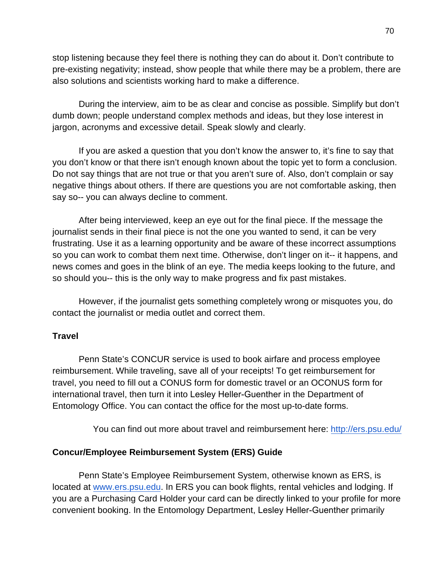stop listening because they feel there is nothing they can do about it. Don't contribute to pre-existing negativity; instead, show people that while there may be a problem, there are also solutions and scientists working hard to make a difference.

During the interview, aim to be as clear and concise as possible. Simplify but don't dumb down; people understand complex methods and ideas, but they lose interest in jargon, acronyms and excessive detail. Speak slowly and clearly.

If you are asked a question that you don't know the answer to, it's fine to say that you don't know or that there isn't enough known about the topic yet to form a conclusion. Do not say things that are not true or that you aren't sure of. Also, don't complain or say negative things about others. If there are questions you are not comfortable asking, then say so-- you can always decline to comment.

After being interviewed, keep an eye out for the final piece. If the message the journalist sends in their final piece is not the one you wanted to send, it can be very frustrating. Use it as a learning opportunity and be aware of these incorrect assumptions so you can work to combat them next time. Otherwise, don't linger on it-- it happens, and news comes and goes in the blink of an eye. The media keeps looking to the future, and so should you-- this is the only way to make progress and fix past mistakes.

However, if the journalist gets something completely wrong or misquotes you, do contact the journalist or media outlet and correct them.

#### **Travel**

Penn State's CONCUR service is used to book airfare and process employee reimbursement. While traveling, save all of your receipts! To get reimbursement for travel, you need to fill out a CONUS form for domestic travel or an OCONUS form for international travel, then turn it into Lesley Heller-Guenther in the Department of Entomology Office. You can contact the office for the most up-to-date forms.

You can find out more about travel and reimbursement here: [http://ers.psu.e](http://ers.psu.edu/)du/

#### **Concur/Employee Reimbursement System (ERS) Guide**

Penn State's Employee Reimbursement System, otherwise known as ERS, is located at [www.ers.psu.edu.](http://www.ers.psu.edu/) In ERS you can book flights, rental vehicles and lodging. If you are a Purchasing Card Holder your card can be directly linked to your profile for more convenient booking. In the Entomology Department, Lesley Heller-Guenther primarily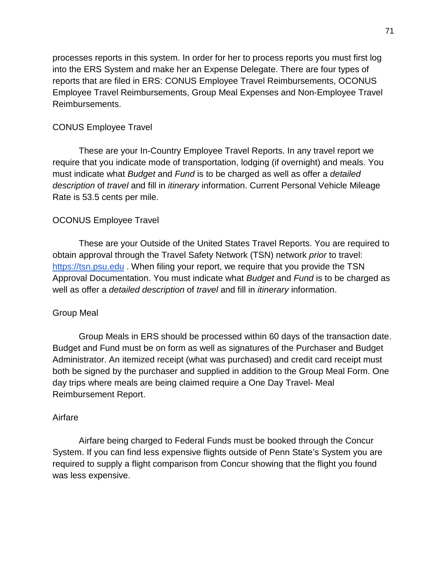processes reports in this system. In order for her to process reports you must first log into the ERS System and make her an Expense Delegate. There are four types of reports that are filed in ERS: CONUS Employee Travel Reimbursements, OCONUS Employee Travel Reimbursements, Group Meal Expenses and Non-Employee Travel Reimbursements.

#### CONUS Employee Travel

These are your In-Country Employee Travel Reports. In any travel report we require that you indicate mode of transportation, lodging (if overnight) and meals. You must indicate what *Budget* and *Fund* is to be charged as well as offer a *detailed description* of *travel* and fill in *itinerary* information. Current Personal Vehicle Mileage Rate is 53.5 cents per mile.

#### OCONUS Employee Travel

These are your Outside of the United States Travel Reports. You are required to obtain approval through the Travel Safety Network (TSN) network *prior* to travel[:](https://tsn.psu.edu/) [https://tsn.psu.edu](https://tsn.psu.edu/) . When filing your report, we require that you provide the TSN Approval Documentation. You must indicate what *Budget* and *Fund* is to be charged as well as offer a *detailed description* of *travel* and fill in *itinerary* information.

#### Group Meal

Group Meals in ERS should be processed within 60 days of the transaction date. Budget and Fund must be on form as well as signatures of the Purchaser and Budget Administrator. An itemized receipt (what was purchased) and credit card receipt must both be signed by the purchaser and supplied in addition to the Group Meal Form. One day trips where meals are being claimed require a One Day Travel- Meal Reimbursement Report.

#### Airfare

Airfare being charged to Federal Funds must be booked through the Concur System. If you can find less expensive flights outside of Penn State's System you are required to supply a flight comparison from Concur showing that the flight you found was less expensive.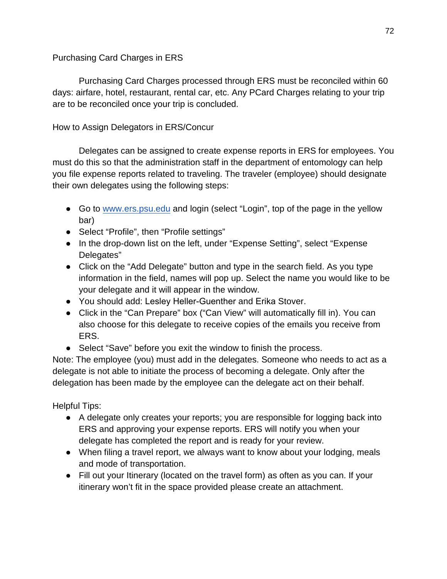### Purchasing Card Charges in ERS

Purchasing Card Charges processed through ERS must be reconciled within 60 days: airfare, hotel, restaurant, rental car, etc. Any PCard Charges relating to your trip are to be reconciled once your trip is concluded.

## How to Assign Delegators in ERS/Concur

Delegates can be assigned to create expense reports in ERS for employees. You must do this so that the administration staff in the department of entomology can help you file expense reports related to traveling. The traveler (employee) should designate their own delegates using the following steps:

- Go to [www.ers.psu.edu](http://www.ers.psu.edu/) and login (select "Login", top of the page in the yellow bar)
- Select "Profile", then "Profile settings"
- In the drop-down list on the left, under "Expense Setting", select "Expense Delegates"
- Click on the "Add Delegate" button and type in the search field. As you type information in the field, names will pop up. Select the name you would like to be your delegate and it will appear in the window.
- You should add: Lesley Heller-Guenther and Erika Stover.
- Click in the "Can Prepare" box ("Can View" will automatically fill in). You can also choose for this delegate to receive copies of the emails you receive from ERS.
- Select "Save" before you exit the window to finish the process.

Note: The employee (you) must add in the delegates. Someone who needs to act as a delegate is not able to initiate the process of becoming a delegate. Only after the delegation has been made by the employee can the delegate act on their behalf.

Helpful Tips:

- A delegate only creates your reports; you are responsible for logging back into ERS and approving your expense reports. ERS will notify you when your delegate has completed the report and is ready for your review.
- When filing a travel report, we always want to know about your lodging, meals and mode of transportation.
- Fill out your Itinerary (located on the travel form) as often as you can. If your itinerary won't fit in the space provided please create an attachment.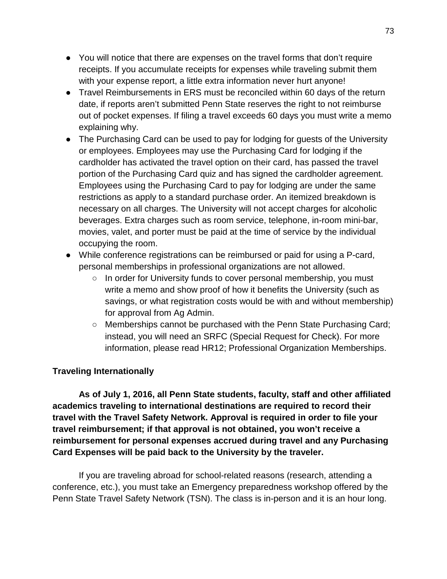- You will notice that there are expenses on the travel forms that don't require receipts. If you accumulate receipts for expenses while traveling submit them with your expense report, a little extra information never hurt anyone!
- Travel Reimbursements in ERS must be reconciled within 60 days of the return date, if reports aren't submitted Penn State reserves the right to not reimburse out of pocket expenses. If filing a travel exceeds 60 days you must write a memo explaining why.
- The Purchasing Card can be used to pay for lodging for quests of the University or employees. Employees may use the Purchasing Card for lodging if the cardholder has activated the travel option on their card, has passed the travel portion of the Purchasing Card quiz and has signed the cardholder agreement. Employees using the Purchasing Card to pay for lodging are under the same restrictions as apply to a standard purchase order. An itemized breakdown is necessary on all charges. The University will not accept charges for alcoholic beverages. Extra charges such as room service, telephone, in-room mini-bar, movies, valet, and porter must be paid at the time of service by the individual occupying the room.
- While conference registrations can be reimbursed or paid for using a P-card, personal memberships in professional organizations are not allowed.
	- In order for University funds to cover personal membership, you must write a memo and show proof of how it benefits the University (such as savings, or what registration costs would be with and without membership) for approval from Ag Admin.
	- Memberships cannot be purchased with the Penn State Purchasing Card; instead, you will need an SRFC (Special Request for Check). For more information, please read HR12; Professional Organization Memberships.

# **Traveling Internationally**

**As of July 1, 2016, all Penn State students, faculty, staff and other affiliated academics traveling to international destinations are required to record their travel with the Travel Safety Network. Approval is required in order to file your travel reimbursement; if that approval is not obtained, you won't receive a reimbursement for personal expenses accrued during travel and any Purchasing Card Expenses will be paid back to the University by the traveler.** 

If you are traveling abroad for school-related reasons (research, attending a conference, etc.), you must take an Emergency preparedness workshop offered by the Penn State Travel Safety Network (TSN). The class is in-person and it is an hour long.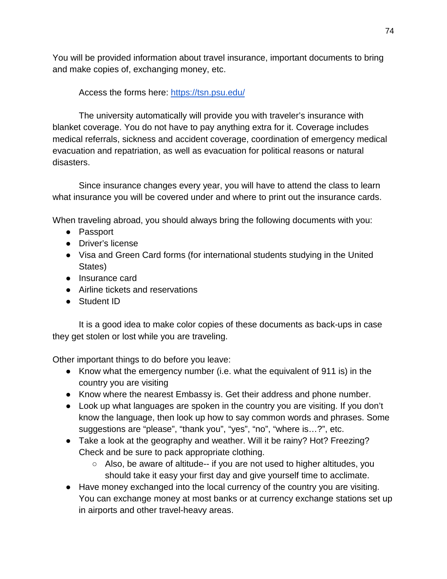You will be provided information about travel insurance, important documents to bring and make copies of, exchanging money, etc.

# Access the forms here:<https://tsn.psu.edu/>

The university automatically will provide you with traveler's insurance with blanket coverage. You do not have to pay anything extra for it. Coverage includes medical referrals, sickness and accident coverage, coordination of emergency medical evacuation and repatriation, as well as evacuation for political reasons or natural disasters.

Since insurance changes every year, you will have to attend the class to learn what insurance you will be covered under and where to print out the insurance cards.

When traveling abroad, you should always bring the following documents with you:

- Passport
- Driver's license
- Visa and Green Card forms (for international students studying in the United States)
- Insurance card
- Airline tickets and reservations
- Student ID

It is a good idea to make color copies of these documents as back-ups in case they get stolen or lost while you are traveling.

Other important things to do before you leave:

- Know what the emergency number (i.e. what the equivalent of 911 is) in the country you are visiting
- Know where the nearest Embassy is. Get their address and phone number.
- Look up what languages are spoken in the country you are visiting. If you don't know the language, then look up how to say common words and phrases. Some suggestions are "please", "thank you", "yes", "no", "where is…?", etc.
- Take a look at the geography and weather. Will it be rainy? Hot? Freezing? Check and be sure to pack appropriate clothing.
	- Also, be aware of altitude-- if you are not used to higher altitudes, you should take it easy your first day and give yourself time to acclimate.
- Have money exchanged into the local currency of the country you are visiting. You can exchange money at most banks or at currency exchange stations set up in airports and other travel-heavy areas.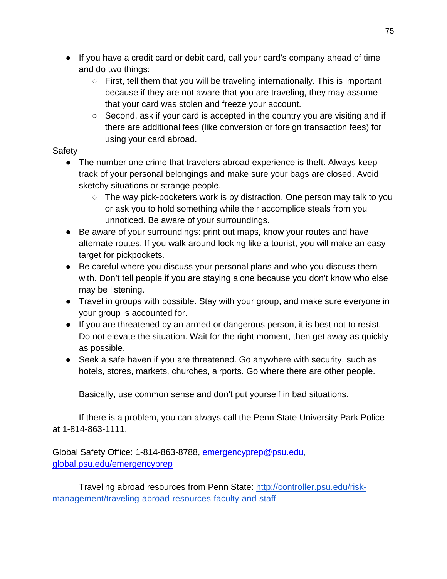- If you have a credit card or debit card, call your card's company ahead of time and do two things:
	- First, tell them that you will be traveling internationally. This is important because if they are not aware that you are traveling, they may assume that your card was stolen and freeze your account.
	- Second, ask if your card is accepted in the country you are visiting and if there are additional fees (like conversion or foreign transaction fees) for using your card abroad.

# **Safety**

- The number one crime that travelers abroad experience is theft. Always keep track of your personal belongings and make sure your bags are closed. Avoid sketchy situations or strange people.
	- The way pick-pocketers work is by distraction. One person may talk to you or ask you to hold something while their accomplice steals from you unnoticed. Be aware of your surroundings.
- Be aware of your surroundings: print out maps, know your routes and have alternate routes. If you walk around looking like a tourist, you will make an easy target for pickpockets.
- Be careful where you discuss your personal plans and who you discuss them with. Don't tell people if you are staying alone because you don't know who else may be listening.
- Travel in groups with possible. Stay with your group, and make sure everyone in your group is accounted for.
- If you are threatened by an armed or dangerous person, it is best not to resist. Do not elevate the situation. Wait for the right moment, then get away as quickly as possible.
- Seek a safe haven if you are threatened. Go anywhere with security, such as hotels, stores, markets, churches, airports. Go where there are other people.

Basically, use common sense and don't put yourself in bad situations.

If there is a problem, you can always call the Penn State University Park Police at 1-814-863-1111.

Global Safety Office: 1-814-863-8788, emergencyprep@psu.edu[,](https://global.psu.edu/info/academics-research/global-operations-support/traveling-university-purposes/emergency) [global.psu.edu/emergencyprep](https://global.psu.edu/info/academics-research/global-operations-support/traveling-university-purposes/emergency)

Traveling abroad resources from Penn State: [http://controller.psu.edu/risk](http://controller.psu.edu/risk-management/traveling-abroad-resources-faculty-and-staff)[management/traveling-abroad-resources-faculty-and-staff](http://controller.psu.edu/risk-management/traveling-abroad-resources-faculty-and-staff)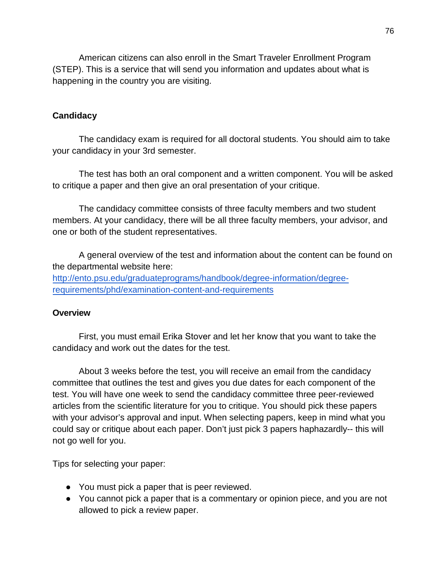American citizens can also enroll in the Smart Traveler Enrollment Program (STEP). This is a service that will send you information and updates about what is happening in the country you are visiting.

### **Candidacy**

The candidacy exam is required for all doctoral students. You should aim to take your candidacy in your 3rd semester.

The test has both an oral component and a written component. You will be asked to critique a paper and then give an oral presentation of your critique.

The candidacy committee consists of three faculty members and two student members. At your candidacy, there will be all three faculty members, your advisor, and one or both of the student representatives.

A general overview of the test and information about the content can be found on the departmental website here: [http://ento.psu.edu/graduateprograms/handbook/degree-information/degree](http://ento.psu.edu/graduateprograms/handbook/degree-information/degree-requirements/phd/examination-content-and-requirements)[requirements/phd/examination-content-and-requirements](http://ento.psu.edu/graduateprograms/handbook/degree-information/degree-requirements/phd/examination-content-and-requirements)

#### **Overview**

First, you must email Erika Stover and let her know that you want to take the candidacy and work out the dates for the test.

About 3 weeks before the test, you will receive an email from the candidacy committee that outlines the test and gives you due dates for each component of the test. You will have one week to send the candidacy committee three peer-reviewed articles from the scientific literature for you to critique. You should pick these papers with your advisor's approval and input. When selecting papers, keep in mind what you could say or critique about each paper. Don't just pick 3 papers haphazardly-- this will not go well for you.

Tips for selecting your paper:

- You must pick a paper that is peer reviewed.
- You cannot pick a paper that is a commentary or opinion piece, and you are not allowed to pick a review paper.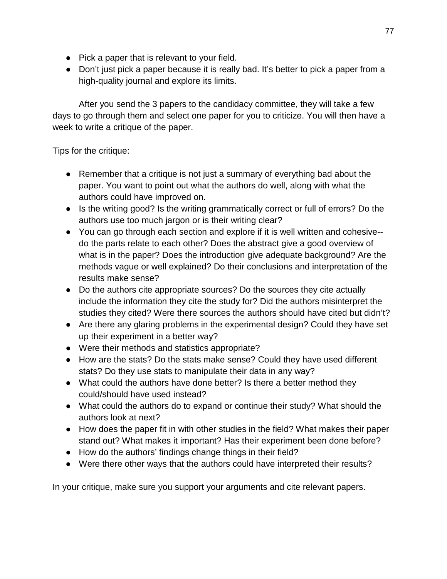- Pick a paper that is relevant to your field.
- Don't just pick a paper because it is really bad. It's better to pick a paper from a high-quality journal and explore its limits.

After you send the 3 papers to the candidacy committee, they will take a few days to go through them and select one paper for you to criticize. You will then have a week to write a critique of the paper.

Tips for the critique:

- Remember that a critique is not just a summary of everything bad about the paper. You want to point out what the authors do well, along with what the authors could have improved on.
- Is the writing good? Is the writing grammatically correct or full of errors? Do the authors use too much jargon or is their writing clear?
- You can go through each section and explore if it is well written and cohesive- do the parts relate to each other? Does the abstract give a good overview of what is in the paper? Does the introduction give adequate background? Are the methods vague or well explained? Do their conclusions and interpretation of the results make sense?
- Do the authors cite appropriate sources? Do the sources they cite actually include the information they cite the study for? Did the authors misinterpret the studies they cited? Were there sources the authors should have cited but didn't?
- Are there any glaring problems in the experimental design? Could they have set up their experiment in a better way?
- Were their methods and statistics appropriate?
- How are the stats? Do the stats make sense? Could they have used different stats? Do they use stats to manipulate their data in any way?
- What could the authors have done better? Is there a better method they could/should have used instead?
- What could the authors do to expand or continue their study? What should the authors look at next?
- How does the paper fit in with other studies in the field? What makes their paper stand out? What makes it important? Has their experiment been done before?
- How do the authors' findings change things in their field?
- Were there other ways that the authors could have interpreted their results?

In your critique, make sure you support your arguments and cite relevant papers.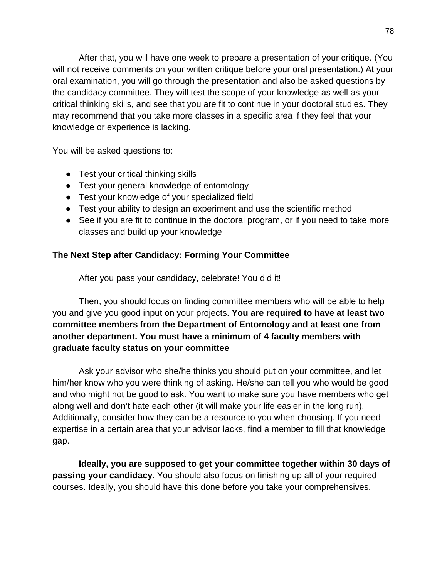After that, you will have one week to prepare a presentation of your critique. (You will not receive comments on your written critique before your oral presentation.) At your oral examination, you will go through the presentation and also be asked questions by the candidacy committee. They will test the scope of your knowledge as well as your critical thinking skills, and see that you are fit to continue in your doctoral studies. They may recommend that you take more classes in a specific area if they feel that your knowledge or experience is lacking.

You will be asked questions to:

- Test your critical thinking skills
- Test your general knowledge of entomology
- Test your knowledge of your specialized field
- Test your ability to design an experiment and use the scientific method
- See if you are fit to continue in the doctoral program, or if you need to take more classes and build up your knowledge

# **The Next Step after Candidacy: Forming Your Committee**

After you pass your candidacy, celebrate! You did it!

Then, you should focus on finding committee members who will be able to help you and give you good input on your projects. **You are required to have at least two committee members from the Department of Entomology and at least one from another department. You must have a minimum of 4 faculty members with graduate faculty status on your committee**

Ask your advisor who she/he thinks you should put on your committee, and let him/her know who you were thinking of asking. He/she can tell you who would be good and who might not be good to ask. You want to make sure you have members who get along well and don't hate each other (it will make your life easier in the long run). Additionally, consider how they can be a resource to you when choosing. If you need expertise in a certain area that your advisor lacks, find a member to fill that knowledge gap.

**Ideally, you are supposed to get your committee together within 30 days of passing your candidacy.** You should also focus on finishing up all of your required courses. Ideally, you should have this done before you take your comprehensives.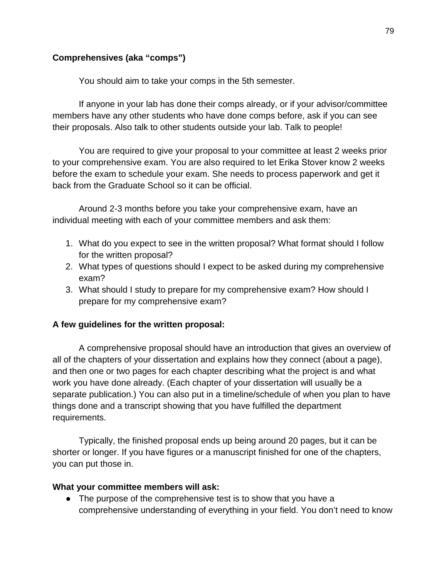# **Comprehensives (aka "comps")**

You should aim to take your comps in the 5th semester.

If anyone in your lab has done their comps already, or if your advisor/committee members have any other students who have done comps before, ask if you can see their proposals. Also talk to other students outside your lab. Talk to people!

You are required to give your proposal to your committee at least 2 weeks prior to your comprehensive exam. You are also required to let Erika Stover know 2 weeks before the exam to schedule your exam. She needs to process paperwork and get it back from the Graduate School so it can be official.

Around 2-3 months before you take your comprehensive exam, have an individual meeting with each of your committee members and ask them:

- 1. What do you expect to see in the written proposal? What format should I follow for the written proposal?
- 2. What types of questions should I expect to be asked during my comprehensive exam?
- 3. What should I study to prepare for my comprehensive exam? How should I prepare for my comprehensive exam?

# **A few guidelines for the written proposal:**

A comprehensive proposal should have an introduction that gives an overview of all of the chapters of your dissertation and explains how they connect (about a page), and then one or two pages for each chapter describing what the project is and what work you have done already. (Each chapter of your dissertation will usually be a separate publication.) You can also put in a timeline/schedule of when you plan to have things done and a transcript showing that you have fulfilled the department requirements.

Typically, the finished proposal ends up being around 20 pages, but it can be shorter or longer. If you have figures or a manuscript finished for one of the chapters, you can put those in.

#### **What your committee members will ask:**

• The purpose of the comprehensive test is to show that you have a comprehensive understanding of everything in your field. You don't need to know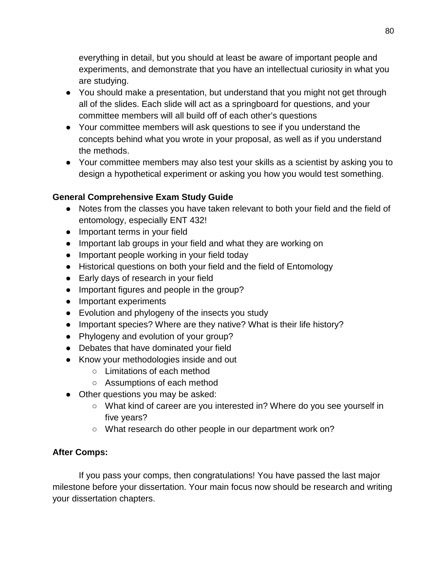everything in detail, but you should at least be aware of important people and experiments, and demonstrate that you have an intellectual curiosity in what you are studying.

- You should make a presentation, but understand that you might not get through all of the slides. Each slide will act as a springboard for questions, and your committee members will all build off of each other's questions
- Your committee members will ask questions to see if you understand the concepts behind what you wrote in your proposal, as well as if you understand the methods.
- Your committee members may also test your skills as a scientist by asking you to design a hypothetical experiment or asking you how you would test something.

# **General Comprehensive Exam Study Guide**

- Notes from the classes you have taken relevant to both your field and the field of entomology, especially ENT 432!
- Important terms in your field
- Important lab groups in your field and what they are working on
- Important people working in your field today
- Historical questions on both your field and the field of Entomology
- Early days of research in your field
- Important figures and people in the group?
- Important experiments
- Evolution and phylogeny of the insects you study
- Important species? Where are they native? What is their life history?
- Phylogeny and evolution of your group?
- Debates that have dominated your field
- Know your methodologies inside and out
	- Limitations of each method
	- Assumptions of each method
- Other questions you may be asked:
	- What kind of career are you interested in? Where do you see yourself in five years?
	- What research do other people in our department work on?

# **After Comps:**

If you pass your comps, then congratulations! You have passed the last major milestone before your dissertation. Your main focus now should be research and writing your dissertation chapters.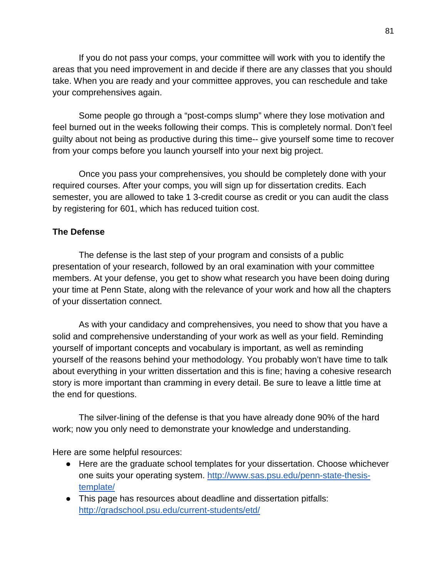If you do not pass your comps, your committee will work with you to identify the areas that you need improvement in and decide if there are any classes that you should take. When you are ready and your committee approves, you can reschedule and take your comprehensives again.

Some people go through a "post-comps slump" where they lose motivation and feel burned out in the weeks following their comps. This is completely normal. Don't feel guilty about not being as productive during this time-- give yourself some time to recover from your comps before you launch yourself into your next big project.

Once you pass your comprehensives, you should be completely done with your required courses. After your comps, you will sign up for dissertation credits. Each semester, you are allowed to take 1 3-credit course as credit or you can audit the class by registering for 601, which has reduced tuition cost.

### **The Defense**

The defense is the last step of your program and consists of a public presentation of your research, followed by an oral examination with your committee members. At your defense, you get to show what research you have been doing during your time at Penn State, along with the relevance of your work and how all the chapters of your dissertation connect.

As with your candidacy and comprehensives, you need to show that you have a solid and comprehensive understanding of your work as well as your field. Reminding yourself of important concepts and vocabulary is important, as well as reminding yourself of the reasons behind your methodology. You probably won't have time to talk about everything in your written dissertation and this is fine; having a cohesive research story is more important than cramming in every detail. Be sure to leave a little time at the end for questions.

The silver-lining of the defense is that you have already done 90% of the hard work; now you only need to demonstrate your knowledge and understanding.

Here are some helpful resources:

- Here are the graduate school templates for your dissertation. Choose whichever one suits your operating system. [http://www.sas.psu.edu/penn-state-thesis](http://www.sas.psu.edu/penn-state-thesis-template/)[template/](http://www.sas.psu.edu/penn-state-thesis-template/)
- This page has resources about deadline and dissertation pitfalls: <http://gradschool.psu.edu/current-students/etd/>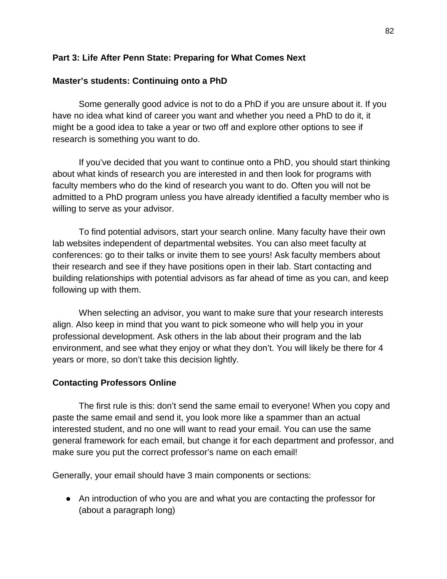## **Part 3: Life After Penn State: Preparing for What Comes Next**

# **Master's students: Continuing onto a PhD**

Some generally good advice is not to do a PhD if you are unsure about it. If you have no idea what kind of career you want and whether you need a PhD to do it, it might be a good idea to take a year or two off and explore other options to see if research is something you want to do.

If you've decided that you want to continue onto a PhD, you should start thinking about what kinds of research you are interested in and then look for programs with faculty members who do the kind of research you want to do. Often you will not be admitted to a PhD program unless you have already identified a faculty member who is willing to serve as your advisor.

To find potential advisors, start your search online. Many faculty have their own lab websites independent of departmental websites. You can also meet faculty at conferences: go to their talks or invite them to see yours! Ask faculty members about their research and see if they have positions open in their lab. Start contacting and building relationships with potential advisors as far ahead of time as you can, and keep following up with them.

When selecting an advisor, you want to make sure that your research interests align. Also keep in mind that you want to pick someone who will help you in your professional development. Ask others in the lab about their program and the lab environment, and see what they enjoy or what they don't. You will likely be there for 4 years or more, so don't take this decision lightly.

# **Contacting Professors Online**

The first rule is this: don't send the same email to everyone! When you copy and paste the same email and send it, you look more like a spammer than an actual interested student, and no one will want to read your email. You can use the same general framework for each email, but change it for each department and professor, and make sure you put the correct professor's name on each email!

Generally, your email should have 3 main components or sections:

● An introduction of who you are and what you are contacting the professor for (about a paragraph long)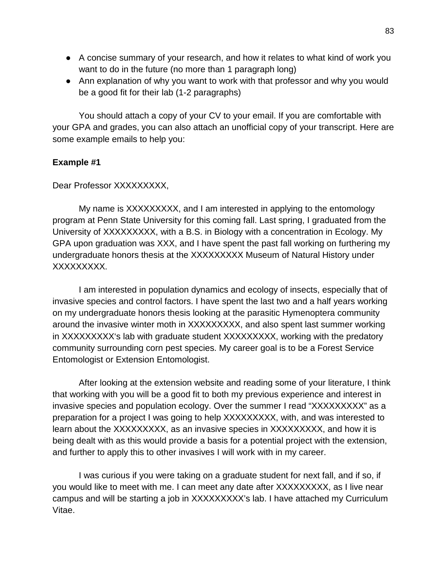- A concise summary of your research, and how it relates to what kind of work you want to do in the future (no more than 1 paragraph long)
- Ann explanation of why you want to work with that professor and why you would be a good fit for their lab (1-2 paragraphs)

You should attach a copy of your CV to your email. If you are comfortable with your GPA and grades, you can also attach an unofficial copy of your transcript. Here are some example emails to help you:

### **Example #1**

Dear Professor XXXXXXXXX,

My name is XXXXXXXXX, and I am interested in applying to the entomology program at Penn State University for this coming fall. Last spring, I graduated from the University of XXXXXXXXX, with a B.S. in Biology with a concentration in Ecology. My GPA upon graduation was XXX, and I have spent the past fall working on furthering my undergraduate honors thesis at the XXXXXXXXX Museum of Natural History under XXXXXXXXX.

I am interested in population dynamics and ecology of insects, especially that of invasive species and control factors. I have spent the last two and a half years working on my undergraduate honors thesis looking at the parasitic Hymenoptera community around the invasive winter moth in XXXXXXXXX, and also spent last summer working in XXXXXXXXX's lab with graduate student XXXXXXXXX, working with the predatory community surrounding corn pest species. My career goal is to be a Forest Service Entomologist or Extension Entomologist.

After looking at the extension website and reading some of your literature, I think that working with you will be a good fit to both my previous experience and interest in invasive species and population ecology. Over the summer I read "XXXXXXXXX" as a preparation for a project I was going to help XXXXXXXXX, with, and was interested to learn about the XXXXXXXXX, as an invasive species in XXXXXXXXX, and how it is being dealt with as this would provide a basis for a potential project with the extension, and further to apply this to other invasives I will work with in my career.

I was curious if you were taking on a graduate student for next fall, and if so, if you would like to meet with me. I can meet any date after XXXXXXXXX, as I live near campus and will be starting a job in XXXXXXXXX's lab. I have attached my Curriculum Vitae.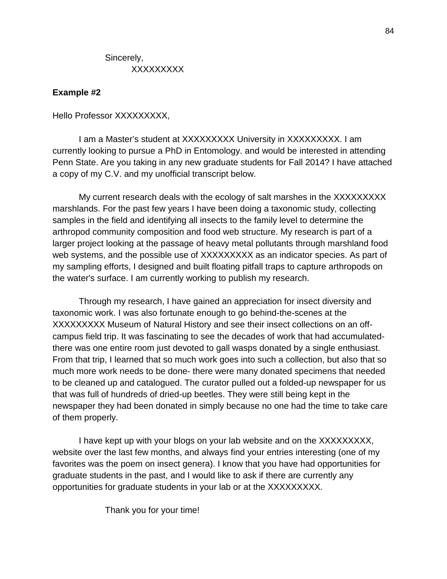Sincerely, XXXXXXXXX

### **Example #2**

Hello Professor XXXXXXXXX,

I am a Master's student at XXXXXXXXX University in XXXXXXXXX. I am currently looking to pursue a PhD in Entomology. and would be interested in attending Penn State. Are you taking in any new graduate students for Fall 2014? I have attached a copy of my C.V. and my unofficial transcript below.

My current research deals with the ecology of salt marshes in the XXXXXXXXX marshlands. For the past few years I have been doing a taxonomic study, collecting samples in the field and identifying all insects to the family level to determine the arthropod community composition and food web structure. My research is part of a larger project looking at the passage of heavy metal pollutants through marshland food web systems, and the possible use of XXXXXXXXX as an indicator species. As part of my sampling efforts, I designed and built floating pitfall traps to capture arthropods on the water's surface. I am currently working to publish my research.

Through my research, I have gained an appreciation for insect diversity and taxonomic work. I was also fortunate enough to go behind-the-scenes at the XXXXXXXXX Museum of Natural History and see their insect collections on an offcampus field trip. It was fascinating to see the decades of work that had accumulatedthere was one entire room just devoted to gall wasps donated by a single enthusiast. From that trip, I learned that so much work goes into such a collection, but also that so much more work needs to be done- there were many donated specimens that needed to be cleaned up and catalogued. The curator pulled out a folded-up newspaper for us that was full of hundreds of dried-up beetles. They were still being kept in the newspaper they had been donated in simply because no one had the time to take care of them properly.

I have kept up with your blogs on your lab website and on the XXXXXXXXX, website over the last few months, and always find your entries interesting (one of my favorites was the poem on insect genera). I know that you have had opportunities for graduate students in the past, and I would like to ask if there are currently any opportunities for graduate students in your lab or at the XXXXXXXXX.

Thank you for your time!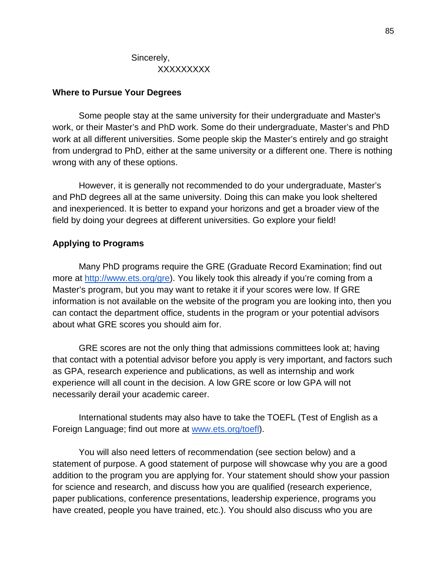### **Where to Pursue Your Degrees**

Some people stay at the same university for their undergraduate and Master's work, or their Master's and PhD work. Some do their undergraduate, Master's and PhD work at all different universities. Some people skip the Master's entirely and go straight from undergrad to PhD, either at the same university or a different one. There is nothing wrong with any of these options.

However, it is generally not recommended to do your undergraduate, Master's and PhD degrees all at the same university. Doing this can make you look sheltered and inexperienced. It is better to expand your horizons and get a broader view of the field by doing your degrees at different universities. Go explore your field!

### **Applying to Programs**

Many PhD programs require the GRE (Graduate Record Examination; find out more at [http://www.ets.org/gre\)](http://www.ets.org/gre). You likely took this already if you're coming from a Master's program, but you may want to retake it if your scores were low. If GRE information is not available on the website of the program you are looking into, then you can contact the department office, students in the program or your potential advisors about what GRE scores you should aim for.

GRE scores are not the only thing that admissions committees look at; having that contact with a potential advisor before you apply is very important, and factors such as GPA, research experience and publications, as well as internship and work experience will all count in the decision. A low GRE score or low GPA will not necessarily derail your academic career.

International students may also have to take the TOEFL (Test of English as a Foreign Language; find out more at [www.ets.org/toefl\)](http://www.ets.org/toefl).

You will also need letters of recommendation (see section below) and a statement of purpose. A good statement of purpose will showcase why you are a good addition to the program you are applying for. Your statement should show your passion for science and research, and discuss how you are qualified (research experience, paper publications, conference presentations, leadership experience, programs you have created, people you have trained, etc.). You should also discuss who you are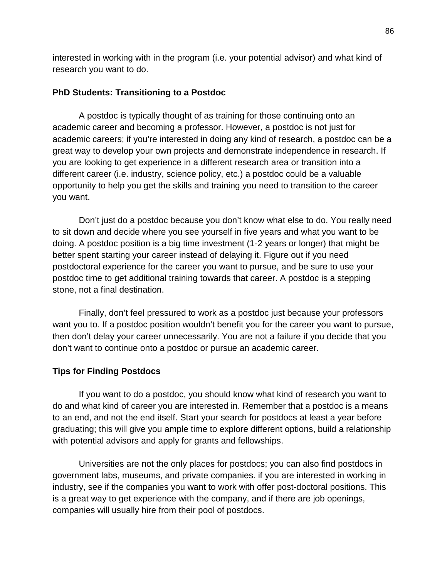interested in working with in the program (i.e. your potential advisor) and what kind of research you want to do.

# **PhD Students: Transitioning to a Postdoc**

A postdoc is typically thought of as training for those continuing onto an academic career and becoming a professor. However, a postdoc is not just for academic careers; if you're interested in doing any kind of research, a postdoc can be a great way to develop your own projects and demonstrate independence in research. If you are looking to get experience in a different research area or transition into a different career (i.e. industry, science policy, etc.) a postdoc could be a valuable opportunity to help you get the skills and training you need to transition to the career you want.

Don't just do a postdoc because you don't know what else to do. You really need to sit down and decide where you see yourself in five years and what you want to be doing. A postdoc position is a big time investment (1-2 years or longer) that might be better spent starting your career instead of delaying it. Figure out if you need postdoctoral experience for the career you want to pursue, and be sure to use your postdoc time to get additional training towards that career. A postdoc is a stepping stone, not a final destination.

Finally, don't feel pressured to work as a postdoc just because your professors want you to. If a postdoc position wouldn't benefit you for the career you want to pursue, then don't delay your career unnecessarily. You are not a failure if you decide that you don't want to continue onto a postdoc or pursue an academic career.

# **Tips for Finding Postdocs**

If you want to do a postdoc, you should know what kind of research you want to do and what kind of career you are interested in. Remember that a postdoc is a means to an end, and not the end itself. Start your search for postdocs at least a year before graduating; this will give you ample time to explore different options, build a relationship with potential advisors and apply for grants and fellowships.

Universities are not the only places for postdocs; you can also find postdocs in government labs, museums, and private companies. if you are interested in working in industry, see if the companies you want to work with offer post-doctoral positions. This is a great way to get experience with the company, and if there are job openings, companies will usually hire from their pool of postdocs.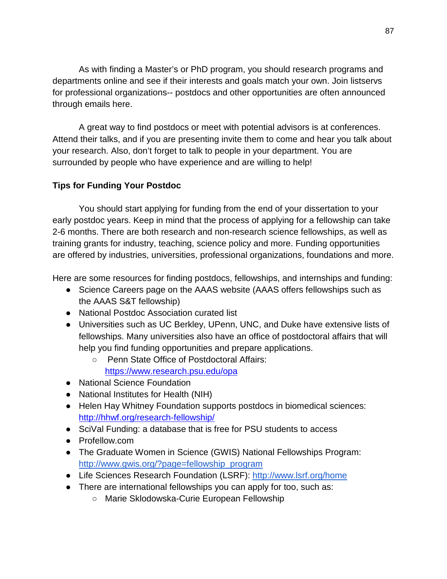As with finding a Master's or PhD program, you should research programs and departments online and see if their interests and goals match your own. Join listservs for professional organizations-- postdocs and other opportunities are often announced through emails here.

A great way to find postdocs or meet with potential advisors is at conferences. Attend their talks, and if you are presenting invite them to come and hear you talk about your research. Also, don't forget to talk to people in your department. You are surrounded by people who have experience and are willing to help!

# **Tips for Funding Your Postdoc**

You should start applying for funding from the end of your dissertation to your early postdoc years. Keep in mind that the process of applying for a fellowship can take 2-6 months. There are both research and non-research science fellowships, as well as training grants for industry, teaching, science policy and more. Funding opportunities are offered by industries, universities, professional organizations, foundations and more.

Here are some resources for finding postdocs, fellowships, and internships and funding:

- Science Careers page on the AAAS website (AAAS offers fellowships such as the AAAS S&T fellowship)
- National Postdoc Association curated list
- Universities such as UC Berkley, UPenn, UNC, and Duke have extensive lists of fellowships. Many universities also have an office of postdoctoral affairs that will help you find funding opportunities and prepare applications.
	- Penn State Office of Postdoctoral Affairs:

<https://www.research.psu.edu/opa>

- National Science Foundation
- National Institutes for Health (NIH)
- Helen Hay Whitney Foundation supports postdocs in biomedical sciences: <http://hhwf.org/research-fellowship/>
- SciVal Funding: a database that is free for PSU students to access
- Profellow.com
- The Graduate Women in Science (GWIS) National Fellowships Program: [http://www.gwis.org/?page=fellowship\\_program](http://www.gwis.org/?page=fellowship_program)
- Life Sciences Research Foundation (LSRF): <http://www.lsrf.org/home>
- There are international fellowships you can apply for too, such as:
	- Marie Sklodowska-Curie European Fellowship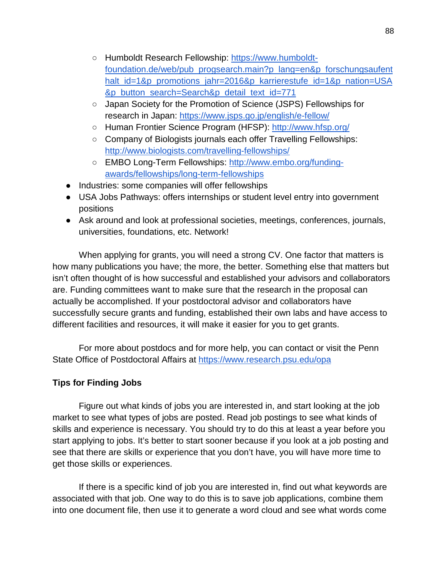- Humboldt Research Fellowship: [https://www.humboldt](https://www.humboldt-foundation.de/web/pub_progsearch.main?p_lang=en&p_forschungsaufenthalt_id=1&p_promotions_jahr=2016&p_karrierestufe_id=1&p_nation=USA&p_button_search=Search&p_detail_text_id=771)[foundation.de/web/pub\\_progsearch.main?p\\_lang=en&p\\_forschungsaufent](https://www.humboldt-foundation.de/web/pub_progsearch.main?p_lang=en&p_forschungsaufenthalt_id=1&p_promotions_jahr=2016&p_karrierestufe_id=1&p_nation=USA&p_button_search=Search&p_detail_text_id=771) halt id=1&p\_promotions\_jahr=2016&p\_karrierestufe\_id=1&p\_nation=USA [&p\\_button\\_search=Search&p\\_detail\\_text\\_id=771](https://www.humboldt-foundation.de/web/pub_progsearch.main?p_lang=en&p_forschungsaufenthalt_id=1&p_promotions_jahr=2016&p_karrierestufe_id=1&p_nation=USA&p_button_search=Search&p_detail_text_id=771)
- Japan Society for the Promotion of Science (JSPS) Fellowships for research in Japan: <https://www.jsps.go.jp/english/e-fellow/>
- Human Frontier Science Program (HFSP): <http://www.hfsp.org/>
- Company of Biologists journals each offer Travelling Fellowships: <http://www.biologists.com/travelling-fellowships/>
- EMBO Long-Term Fellowships: [http://www.embo.org/funding](http://www.embo.org/funding-awards/fellowships/long-term-fellowships)[awards/fellowships/long-term-fellowships](http://www.embo.org/funding-awards/fellowships/long-term-fellowships)
- Industries: some companies will offer fellowships
- USA Jobs Pathways: offers internships or student level entry into government positions
- Ask around and look at professional societies, meetings, conferences, journals, universities, foundations, etc. Network!

When applying for grants, you will need a strong CV. One factor that matters is how many publications you have; the more, the better. Something else that matters but isn't often thought of is how successful and established your advisors and collaborators are. Funding committees want to make sure that the research in the proposal can actually be accomplished. If your postdoctoral advisor and collaborators have successfully secure grants and funding, established their own labs and have access to different facilities and resources, it will make it easier for you to get grants.

For more about postdocs and for more help, you can contact or visit the Penn State Office of Postdoctoral Affairs at<https://www.research.psu.edu/opa>

# **Tips for Finding Jobs**

Figure out what kinds of jobs you are interested in, and start looking at the job market to see what types of jobs are posted. Read job postings to see what kinds of skills and experience is necessary. You should try to do this at least a year before you start applying to jobs. It's better to start sooner because if you look at a job posting and see that there are skills or experience that you don't have, you will have more time to get those skills or experiences.

If there is a specific kind of job you are interested in, find out what keywords are associated with that job. One way to do this is to save job applications, combine them into one document file, then use it to generate a word cloud and see what words come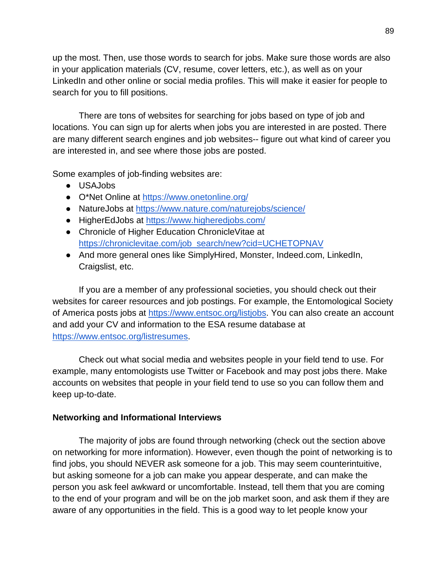up the most. Then, use those words to search for jobs. Make sure those words are also in your application materials (CV, resume, cover letters, etc.), as well as on your LinkedIn and other online or social media profiles. This will make it easier for people to search for you to fill positions.

There are tons of websites for searching for jobs based on type of job and locations. You can sign up for alerts when jobs you are interested in are posted. There are many different search engines and job websites-- figure out what kind of career you are interested in, and see where those jobs are posted.

Some examples of job-finding websites are:

- USAJobs
- O\*Net Online at<https://www.onetonline.org/>
- NatureJobs at<https://www.nature.com/naturejobs/science/>
- HigherEdJobs at<https://www.higheredjobs.com/>
- Chronicle of Higher Education ChronicleVitae at [https://chroniclevitae.com/job\\_search/new?cid=UCHETOPNAV](https://chroniclevitae.com/job_search/new?cid=UCHETOPNAV)
- And more general ones like SimplyHired, Monster, Indeed.com, LinkedIn, Craigslist, etc.

If you are a member of any professional societies, you should check out their websites for career resources and job postings. For example, the Entomological Society of America posts jobs at [https://www.entsoc.org/listjobs.](https://www.entsoc.org/listjobs) You can also create an account and add your CV and information to the ESA resume database at [https://www.entsoc.org/listresumes.](https://www.entsoc.org/listresumes)

Check out what social media and websites people in your field tend to use. For example, many entomologists use Twitter or Facebook and may post jobs there. Make accounts on websites that people in your field tend to use so you can follow them and keep up-to-date.

# **Networking and Informational Interviews**

The majority of jobs are found through networking (check out the section above on networking for more information). However, even though the point of networking is to find jobs, you should NEVER ask someone for a job. This may seem counterintuitive, but asking someone for a job can make you appear desperate, and can make the person you ask feel awkward or uncomfortable. Instead, tell them that you are coming to the end of your program and will be on the job market soon, and ask them if they are aware of any opportunities in the field. This is a good way to let people know your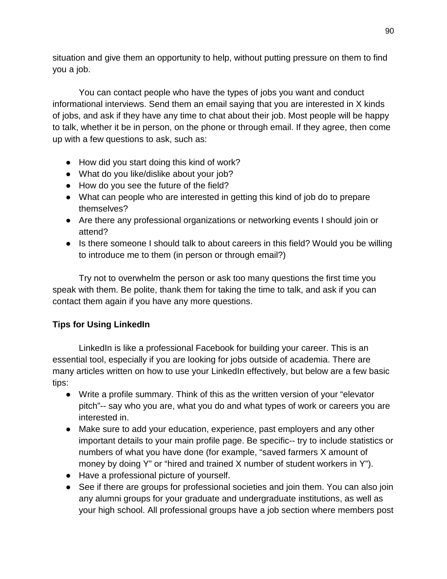situation and give them an opportunity to help, without putting pressure on them to find you a job.

You can contact people who have the types of jobs you want and conduct informational interviews. Send them an email saying that you are interested in X kinds of jobs, and ask if they have any time to chat about their job. Most people will be happy to talk, whether it be in person, on the phone or through email. If they agree, then come up with a few questions to ask, such as:

- How did you start doing this kind of work?
- What do you like/dislike about your job?
- How do you see the future of the field?
- What can people who are interested in getting this kind of job do to prepare themselves?
- Are there any professional organizations or networking events I should join or attend?
- Is there someone I should talk to about careers in this field? Would you be willing to introduce me to them (in person or through email?)

Try not to overwhelm the person or ask too many questions the first time you speak with them. Be polite, thank them for taking the time to talk, and ask if you can contact them again if you have any more questions.

# **Tips for Using LinkedIn**

LinkedIn is like a professional Facebook for building your career. This is an essential tool, especially if you are looking for jobs outside of academia. There are many articles written on how to use your LinkedIn effectively, but below are a few basic tips:

- Write a profile summary. Think of this as the written version of your "elevator pitch"-- say who you are, what you do and what types of work or careers you are interested in.
- Make sure to add your education, experience, past employers and any other important details to your main profile page. Be specific-- try to include statistics or numbers of what you have done (for example, "saved farmers X amount of money by doing Y" or "hired and trained X number of student workers in Y").
- Have a professional picture of yourself.
- See if there are groups for professional societies and join them. You can also join any alumni groups for your graduate and undergraduate institutions, as well as your high school. All professional groups have a job section where members post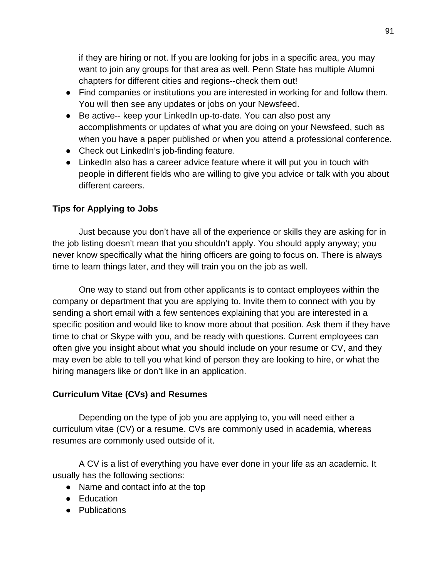if they are hiring or not. If you are looking for jobs in a specific area, you may want to join any groups for that area as well. Penn State has multiple Alumni chapters for different cities and regions--check them out!

- Find companies or institutions you are interested in working for and follow them. You will then see any updates or jobs on your Newsfeed.
- Be active-- keep your LinkedIn up-to-date. You can also post any accomplishments or updates of what you are doing on your Newsfeed, such as when you have a paper published or when you attend a professional conference.
- Check out LinkedIn's job-finding feature.
- LinkedIn also has a career advice feature where it will put you in touch with people in different fields who are willing to give you advice or talk with you about different careers.

# **Tips for Applying to Jobs**

Just because you don't have all of the experience or skills they are asking for in the job listing doesn't mean that you shouldn't apply. You should apply anyway; you never know specifically what the hiring officers are going to focus on. There is always time to learn things later, and they will train you on the job as well.

One way to stand out from other applicants is to contact employees within the company or department that you are applying to. Invite them to connect with you by sending a short email with a few sentences explaining that you are interested in a specific position and would like to know more about that position. Ask them if they have time to chat or Skype with you, and be ready with questions. Current employees can often give you insight about what you should include on your resume or CV, and they may even be able to tell you what kind of person they are looking to hire, or what the hiring managers like or don't like in an application.

# **Curriculum Vitae (CVs) and Resumes**

Depending on the type of job you are applying to, you will need either a curriculum vitae (CV) or a resume. CVs are commonly used in academia, whereas resumes are commonly used outside of it.

A CV is a list of everything you have ever done in your life as an academic. It usually has the following sections:

- Name and contact info at the top
- Education
- Publications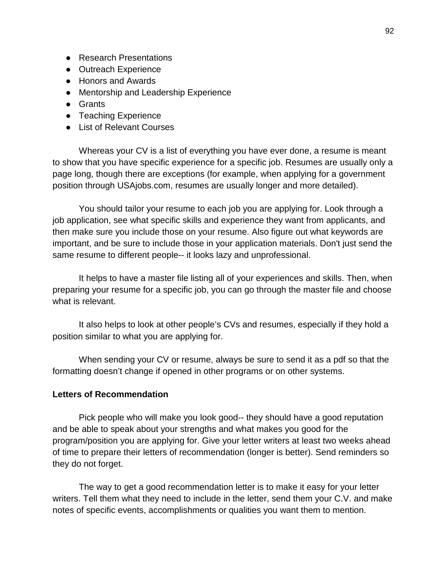- Research Presentations
- Outreach Experience
- Honors and Awards
- Mentorship and Leadership Experience
- Grants
- Teaching Experience
- List of Relevant Courses

Whereas your CV is a list of everything you have ever done, a resume is meant to show that you have specific experience for a specific job. Resumes are usually only a page long, though there are exceptions (for example, when applying for a government position through USAjobs.com, resumes are usually longer and more detailed).

You should tailor your resume to each job you are applying for. Look through a job application, see what specific skills and experience they want from applicants, and then make sure you include those on your resume. Also figure out what keywords are important, and be sure to include those in your application materials. Don't just send the same resume to different people-- it looks lazy and unprofessional.

It helps to have a master file listing all of your experiences and skills. Then, when preparing your resume for a specific job, you can go through the master file and choose what is relevant.

It also helps to look at other people's CVs and resumes, especially if they hold a position similar to what you are applying for.

When sending your CV or resume, always be sure to send it as a pdf so that the formatting doesn't change if opened in other programs or on other systems.

#### **Letters of Recommendation**

Pick people who will make you look good-- they should have a good reputation and be able to speak about your strengths and what makes you good for the program/position you are applying for. Give your letter writers at least two weeks ahead of time to prepare their letters of recommendation (longer is better). Send reminders so they do not forget.

The way to get a good recommendation letter is to make it easy for your letter writers. Tell them what they need to include in the letter, send them your C.V. and make notes of specific events, accomplishments or qualities you want them to mention.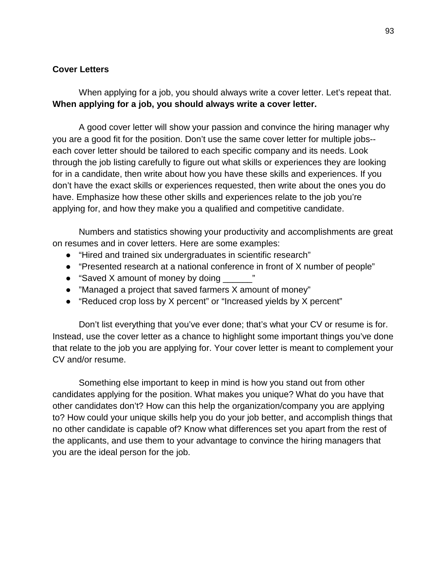#### **Cover Letters**

When applying for a job, you should always write a cover letter. Let's repeat that. **When applying for a job, you should always write a cover letter.** 

A good cover letter will show your passion and convince the hiring manager why you are a good fit for the position. Don't use the same cover letter for multiple jobs- each cover letter should be tailored to each specific company and its needs. Look through the job listing carefully to figure out what skills or experiences they are looking for in a candidate, then write about how you have these skills and experiences. If you don't have the exact skills or experiences requested, then write about the ones you do have. Emphasize how these other skills and experiences relate to the job you're applying for, and how they make you a qualified and competitive candidate.

Numbers and statistics showing your productivity and accomplishments are great on resumes and in cover letters. Here are some examples:

- "Hired and trained six undergraduates in scientific research"
- "Presented research at a national conference in front of X number of people"
- "Saved X amount of money by doing"
- "Managed a project that saved farmers X amount of money"
- "Reduced crop loss by X percent" or "Increased yields by X percent"

Don't list everything that you've ever done; that's what your CV or resume is for. Instead, use the cover letter as a chance to highlight some important things you've done that relate to the job you are applying for. Your cover letter is meant to complement your CV and/or resume.

Something else important to keep in mind is how you stand out from other candidates applying for the position. What makes you unique? What do you have that other candidates don't? How can this help the organization/company you are applying to? How could your unique skills help you do your job better, and accomplish things that no other candidate is capable of? Know what differences set you apart from the rest of the applicants, and use them to your advantage to convince the hiring managers that you are the ideal person for the job.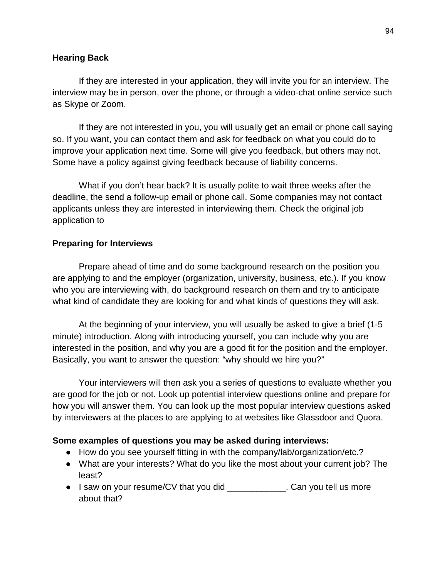#### **Hearing Back**

If they are interested in your application, they will invite you for an interview. The interview may be in person, over the phone, or through a video-chat online service such as Skype or Zoom.

If they are not interested in you, you will usually get an email or phone call saying so. If you want, you can contact them and ask for feedback on what you could do to improve your application next time. Some will give you feedback, but others may not. Some have a policy against giving feedback because of liability concerns.

What if you don't hear back? It is usually polite to wait three weeks after the deadline, the send a follow-up email or phone call. Some companies may not contact applicants unless they are interested in interviewing them. Check the original job application to

#### **Preparing for Interviews**

Prepare ahead of time and do some background research on the position you are applying to and the employer (organization, university, business, etc.). If you know who you are interviewing with, do background research on them and try to anticipate what kind of candidate they are looking for and what kinds of questions they will ask.

At the beginning of your interview, you will usually be asked to give a brief (1-5 minute) introduction. Along with introducing yourself, you can include why you are interested in the position, and why you are a good fit for the position and the employer. Basically, you want to answer the question: "why should we hire you?"

Your interviewers will then ask you a series of questions to evaluate whether you are good for the job or not. Look up potential interview questions online and prepare for how you will answer them. You can look up the most popular interview questions asked by interviewers at the places to are applying to at websites like Glassdoor and Quora.

#### **Some examples of questions you may be asked during interviews:**

- How do you see yourself fitting in with the company/lab/organization/etc.?
- What are your interests? What do you like the most about your current job? The least?
- I saw on your resume/CV that you did Equipment Can you tell us more about that?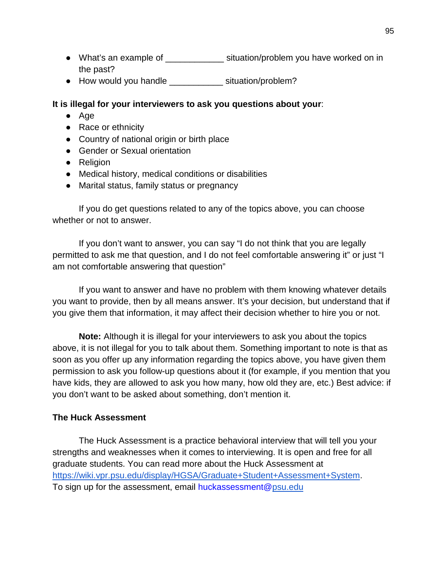- What's an example of \_\_\_\_\_\_\_\_\_\_\_\_ situation/problem you have worked on in the past?
- How would you handle situation/problem?

# **It is illegal for your interviewers to ask you questions about your**:

- Age
- Race or ethnicity
- Country of national origin or birth place
- Gender or Sexual orientation
- Religion
- Medical history, medical conditions or disabilities
- Marital status, family status or pregnancy

If you do get questions related to any of the topics above, you can choose whether or not to answer.

If you don't want to answer, you can say "I do not think that you are legally permitted to ask me that question, and I do not feel comfortable answering it" or just "I am not comfortable answering that question"

If you want to answer and have no problem with them knowing whatever details you want to provide, then by all means answer. It's your decision, but understand that if you give them that information, it may affect their decision whether to hire you or not.

**Note:** Although it is illegal for your interviewers to ask you about the topics above, it is not illegal for you to talk about them. Something important to note is that as soon as you offer up any information regarding the topics above, you have given them permission to ask you follow-up questions about it (for example, if you mention that you have kids, they are allowed to ask you how many, how old they are, etc.) Best advice: if you don't want to be asked about something, don't mention it.

# **The Huck Assessment**

The Huck Assessment is a practice behavioral interview that will tell you your strengths and weaknesses when it comes to interviewing. It is open and free for all graduate students. You can read more about the Huck Assessment at [https://wiki.vpr.psu.edu/display/HGSA/Graduate+Student+Assessment+System.](https://wiki.vpr.psu.edu/display/HGSA/Graduate+Student+Assessment+System) To sign up for the assessment, email huckassessment[@psu.edu](http://psu.edu/)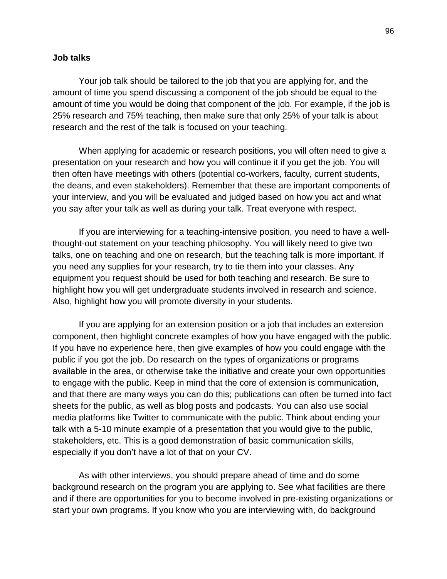#### **Job talks**

Your job talk should be tailored to the job that you are applying for, and the amount of time you spend discussing a component of the job should be equal to the amount of time you would be doing that component of the job. For example, if the job is 25% research and 75% teaching, then make sure that only 25% of your talk is about research and the rest of the talk is focused on your teaching.

When applying for academic or research positions, you will often need to give a presentation on your research and how you will continue it if you get the job. You will then often have meetings with others (potential co-workers, faculty, current students, the deans, and even stakeholders). Remember that these are important components of your interview, and you will be evaluated and judged based on how you act and what you say after your talk as well as during your talk. Treat everyone with respect.

If you are interviewing for a teaching-intensive position, you need to have a wellthought-out statement on your teaching philosophy. You will likely need to give two talks, one on teaching and one on research, but the teaching talk is more important. If you need any supplies for your research, try to tie them into your classes. Any equipment you request should be used for both teaching and research. Be sure to highlight how you will get undergraduate students involved in research and science. Also, highlight how you will promote diversity in your students.

If you are applying for an extension position or a job that includes an extension component, then highlight concrete examples of how you have engaged with the public. If you have no experience here, then give examples of how you could engage with the public if you got the job. Do research on the types of organizations or programs available in the area, or otherwise take the initiative and create your own opportunities to engage with the public. Keep in mind that the core of extension is communication, and that there are many ways you can do this; publications can often be turned into fact sheets for the public, as well as blog posts and podcasts. You can also use social media platforms like Twitter to communicate with the public. Think about ending your talk with a 5-10 minute example of a presentation that you would give to the public, stakeholders, etc. This is a good demonstration of basic communication skills, especially if you don't have a lot of that on your CV.

As with other interviews, you should prepare ahead of time and do some background research on the program you are applying to. See what facilities are there and if there are opportunities for you to become involved in pre-existing organizations or start your own programs. If you know who you are interviewing with, do background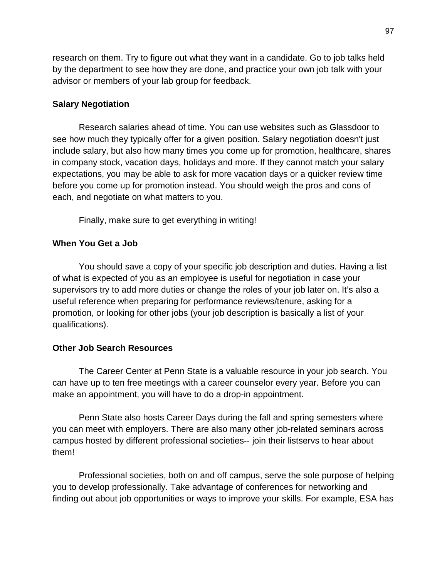research on them. Try to figure out what they want in a candidate. Go to job talks held by the department to see how they are done, and practice your own job talk with your advisor or members of your lab group for feedback.

#### **Salary Negotiation**

Research salaries ahead of time. You can use websites such as Glassdoor to see how much they typically offer for a given position. Salary negotiation doesn't just include salary, but also how many times you come up for promotion, healthcare, shares in company stock, vacation days, holidays and more. If they cannot match your salary expectations, you may be able to ask for more vacation days or a quicker review time before you come up for promotion instead. You should weigh the pros and cons of each, and negotiate on what matters to you.

Finally, make sure to get everything in writing!

#### **When You Get a Job**

You should save a copy of your specific job description and duties. Having a list of what is expected of you as an employee is useful for negotiation in case your supervisors try to add more duties or change the roles of your job later on. It's also a useful reference when preparing for performance reviews/tenure, asking for a promotion, or looking for other jobs (your job description is basically a list of your qualifications).

#### **Other Job Search Resources**

The Career Center at Penn State is a valuable resource in your job search. You can have up to ten free meetings with a career counselor every year. Before you can make an appointment, you will have to do a drop-in appointment.

Penn State also hosts Career Days during the fall and spring semesters where you can meet with employers. There are also many other job-related seminars across campus hosted by different professional societies-- join their listservs to hear about them!

Professional societies, both on and off campus, serve the sole purpose of helping you to develop professionally. Take advantage of conferences for networking and finding out about job opportunities or ways to improve your skills. For example, ESA has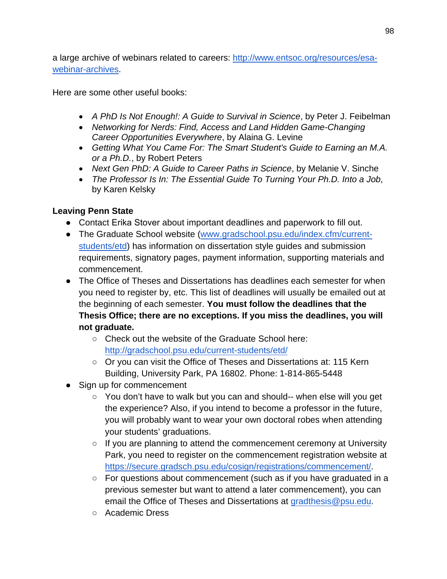a large archive of webinars related to careers: [http://www.entsoc.org/resources/esa](http://www.entsoc.org/resources/esa-webinar-archives)[webinar-archives.](http://www.entsoc.org/resources/esa-webinar-archives)

Here are some other useful books:

- *A PhD Is Not Enough!: A Guide to Survival in Science*, by Peter J. Feibelman
- *Networking for Nerds: Find, Access and Land Hidden Game-Changing Career Opportunities Everywhere*, by Alaina G. Levine
- *Getting What You Came For: The Smart Student's Guide to Earning an M.A. or a Ph.D.*, by Robert Peters
- *Next Gen PhD: A Guide to Career Paths in Science*, by Melanie V. Sinche
- *The Professor Is In: The Essential Guide To Turning Your Ph.D. Into a Job*, by Karen Kelsky

# **Leaving Penn State**

- Contact Erika Stover about important deadlines and paperwork to fill out.
- The Graduate School website [\(www.gradschool.psu.edu/index.cfm/current](http://www.gradschool.psu.edu/index.cfm/current-students/etd)[students/etd\)](http://www.gradschool.psu.edu/index.cfm/current-students/etd) has information on dissertation style guides and submission requirements, signatory pages, payment information, supporting materials and commencement.
- The Office of Theses and Dissertations has deadlines each semester for when you need to register by, etc. This list of deadlines will usually be emailed out at the beginning of each semester. **You must follow the deadlines that the Thesis Office; there are no exceptions. If you miss the deadlines, you will not graduate.**
	- Check out the website of the Graduate School here: <http://gradschool.psu.edu/current-students/etd/>
	- Or you can visit the Office of Theses and Dissertations at: 115 Kern Building, University Park, PA 16802. Phone: 1-814-865-5448
- Sign up for commencement
	- You don't have to walk but you can and should-- when else will you get the experience? Also, if you intend to become a professor in the future, you will probably want to wear your own doctoral robes when attending your students' graduations.
	- If you are planning to attend the commencement ceremony at University Park, you need to register on the commencement registration website [at](https://secure.gradsch.psu.edu/cosign/registrations/commencement/) [https://secure.gradsch.psu.edu/cosign/registrations/commencement/.](https://secure.gradsch.psu.edu/cosign/registrations/commencement/)
	- For questions about commencement (such as if you have graduated in a previous semester but want to attend a later commencement), you can email the Office of Theses and Dissertations at [gradthesis@psu.edu.](mailto:gradthesis@psu.edu)
	- Academic Dress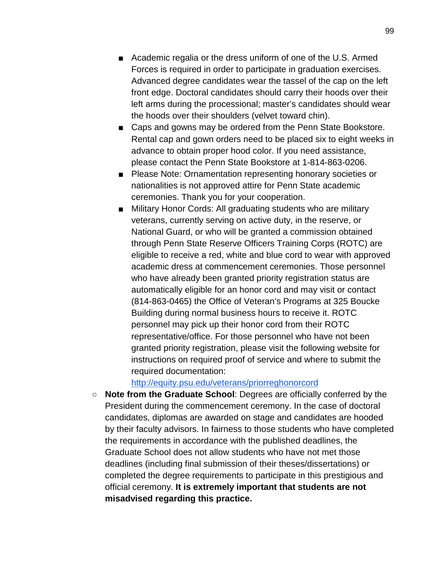- Academic regalia or the dress uniform of one of the U.S. Armed Forces is required in order to participate in graduation exercises. Advanced degree candidates wear the tassel of the cap on the left front edge. Doctoral candidates should carry their hoods over their left arms during the processional; master's candidates should wear the hoods over their shoulders (velvet toward chin).
- Caps and gowns may be ordered from the Penn State Bookstore. Rental cap and gown orders need to be placed six to eight weeks in advance to obtain proper hood color. If you need assistance, please contact the Penn State Bookstore at 1-814-863-0206.
- Please Note: Ornamentation representing honorary societies or nationalities is not approved attire for Penn State academic ceremonies. Thank you for your cooperation.
- Military Honor Cords: All graduating students who are military veterans, currently serving on active duty, in the reserve, or National Guard, or who will be granted a commission obtained through Penn State Reserve Officers Training Corps (ROTC) are eligible to receive a red, white and blue cord to wear with approved academic dress at commencement ceremonies. Those personnel who have already been granted priority registration status are automatically eligible for an honor cord and may visit or contact (814-863-0465) the Office of Veteran's Programs at 325 Boucke Building during normal business hours to receive it. ROTC personnel may pick up their honor cord from their ROTC representative/office. For those personnel who have not been granted priority registration, please visit the following website for instructions on required proof of service and where to submit the required documentation:

#### <http://equity.psu.edu/veterans/priorreghonorcord>

○ **Note from the Graduate School**: Degrees are officially conferred by the President during the commencement ceremony. In the case of doctoral candidates, diplomas are awarded on stage and candidates are hooded by their faculty advisors. In fairness to those students who have completed the requirements in accordance with the published deadlines, the Graduate School does not allow students who have not met those deadlines (including final submission of their theses/dissertations) or completed the degree requirements to participate in this prestigious and official ceremony. **It is extremely important that students are not misadvised regarding this practice.**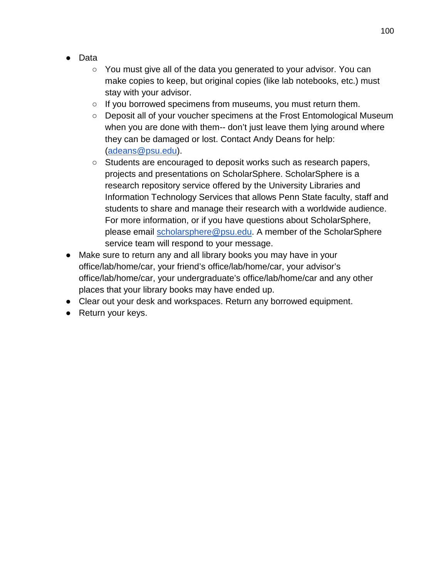- Data
	- $\circ$  You must give all of the data you generated to your advisor. You can make copies to keep, but original copies (like lab notebooks, etc.) must stay with your advisor.
	- If you borrowed specimens from museums, you must return them.
	- Deposit all of your voucher specimens at the Frost Entomological Museum when you are done with them-- don't just leave them lying around where they can be damaged or lost. Contact Andy Deans for help: [\(adeans@psu.edu\)](mailto:adeans@psu.edu).
	- Students are encouraged to deposit works such as research papers, projects and presentations on ScholarSphere. ScholarSphere is a research repository service offered by the University Libraries and Information Technology Services that allows Penn State faculty, staff and students to share and manage their research with a worldwide audience. For more information, or if you have questions about ScholarSphere, please email [scholarsphere@psu.edu.](mailto:scholarsphere@psu.edu) A member of the ScholarSphere service team will respond to your message.
- Make sure to return any and all library books you may have in your office/lab/home/car, your friend's office/lab/home/car, your advisor's office/lab/home/car, your undergraduate's office/lab/home/car and any other places that your library books may have ended up.
- Clear out your desk and workspaces. Return any borrowed equipment.
- Return your keys.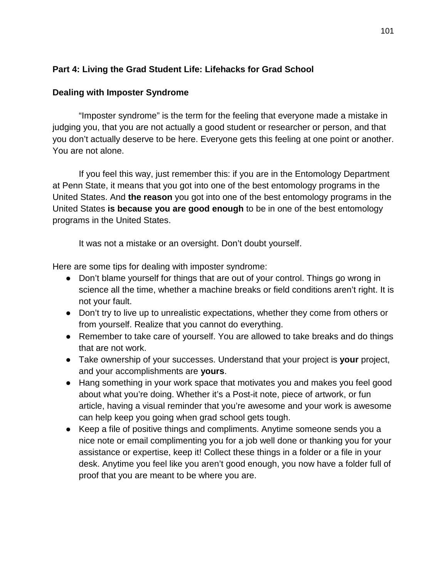# **Part 4: Living the Grad Student Life: Lifehacks for Grad School**

### **Dealing with Imposter Syndrome**

"Imposter syndrome" is the term for the feeling that everyone made a mistake in judging you, that you are not actually a good student or researcher or person, and that you don't actually deserve to be here. Everyone gets this feeling at one point or another. You are not alone.

If you feel this way, just remember this: if you are in the Entomology Department at Penn State, it means that you got into one of the best entomology programs in the United States. And **the reason** you got into one of the best entomology programs in the United States **is because you are good enough** to be in one of the best entomology programs in the United States.

It was not a mistake or an oversight. Don't doubt yourself.

Here are some tips for dealing with imposter syndrome:

- Don't blame yourself for things that are out of your control. Things go wrong in science all the time, whether a machine breaks or field conditions aren't right. It is not your fault.
- Don't try to live up to unrealistic expectations, whether they come from others or from yourself. Realize that you cannot do everything.
- Remember to take care of yourself. You are allowed to take breaks and do things that are not work.
- Take ownership of your successes. Understand that your project is **your** project, and your accomplishments are **yours**.
- Hang something in your work space that motivates you and makes you feel good about what you're doing. Whether it's a Post-it note, piece of artwork, or fun article, having a visual reminder that you're awesome and your work is awesome can help keep you going when grad school gets tough.
- Keep a file of positive things and compliments. Anytime someone sends you a nice note or email complimenting you for a job well done or thanking you for your assistance or expertise, keep it! Collect these things in a folder or a file in your desk. Anytime you feel like you aren't good enough, you now have a folder full of proof that you are meant to be where you are.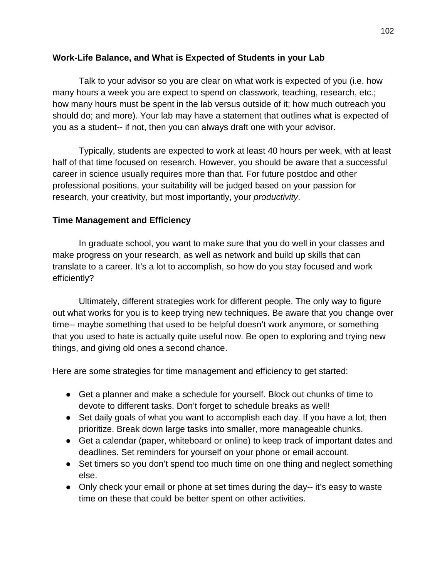# **Work-Life Balance, and What is Expected of Students in your Lab**

Talk to your advisor so you are clear on what work is expected of you (i.e. how many hours a week you are expect to spend on classwork, teaching, research, etc.; how many hours must be spent in the lab versus outside of it; how much outreach you should do; and more). Your lab may have a statement that outlines what is expected of you as a student-- if not, then you can always draft one with your advisor.

Typically, students are expected to work at least 40 hours per week, with at least half of that time focused on research. However, you should be aware that a successful career in science usually requires more than that. For future postdoc and other professional positions, your suitability will be judged based on your passion for research, your creativity, but most importantly, your *productivity*.

# **Time Management and Efficiency**

In graduate school, you want to make sure that you do well in your classes and make progress on your research, as well as network and build up skills that can translate to a career. It's a lot to accomplish, so how do you stay focused and work efficiently?

Ultimately, different strategies work for different people. The only way to figure out what works for you is to keep trying new techniques. Be aware that you change over time-- maybe something that used to be helpful doesn't work anymore, or something that you used to hate is actually quite useful now. Be open to exploring and trying new things, and giving old ones a second chance.

Here are some strategies for time management and efficiency to get started:

- Get a planner and make a schedule for yourself. Block out chunks of time to devote to different tasks. Don't forget to schedule breaks as well!
- Set daily goals of what you want to accomplish each day. If you have a lot, then prioritize. Break down large tasks into smaller, more manageable chunks.
- Get a calendar (paper, whiteboard or online) to keep track of important dates and deadlines. Set reminders for yourself on your phone or email account.
- Set timers so you don't spend too much time on one thing and neglect something else.
- Only check your email or phone at set times during the day-- it's easy to waste time on these that could be better spent on other activities.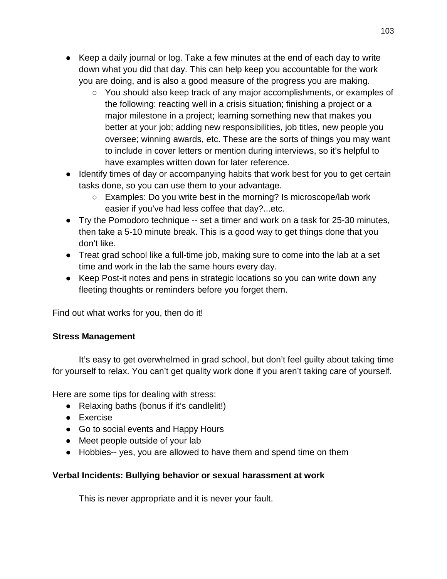- Keep a daily journal or log. Take a few minutes at the end of each day to write down what you did that day. This can help keep you accountable for the work you are doing, and is also a good measure of the progress you are making.
	- You should also keep track of any major accomplishments, or examples of the following: reacting well in a crisis situation; finishing a project or a major milestone in a project; learning something new that makes you better at your job; adding new responsibilities, job titles, new people you oversee; winning awards, etc. These are the sorts of things you may want to include in cover letters or mention during interviews, so it's helpful to have examples written down for later reference.
- Identify times of day or accompanying habits that work best for you to get certain tasks done, so you can use them to your advantage.
	- Examples: Do you write best in the morning? Is microscope/lab work easier if you've had less coffee that day?...etc.
- Try the Pomodoro technique -- set a timer and work on a task for 25-30 minutes, then take a 5-10 minute break. This is a good way to get things done that you don't like.
- Treat grad school like a full-time job, making sure to come into the lab at a set time and work in the lab the same hours every day.
- Keep Post-it notes and pens in strategic locations so you can write down any fleeting thoughts or reminders before you forget them.

Find out what works for you, then do it!

# **Stress Management**

It's easy to get overwhelmed in grad school, but don't feel guilty about taking time for yourself to relax. You can't get quality work done if you aren't taking care of yourself.

Here are some tips for dealing with stress:

- Relaxing baths (bonus if it's candlelit!)
- Exercise
- Go to social events and Happy Hours
- Meet people outside of your lab
- Hobbies-- yes, you are allowed to have them and spend time on them

# **Verbal Incidents: Bullying behavior or sexual harassment at work**

This is never appropriate and it is never your fault.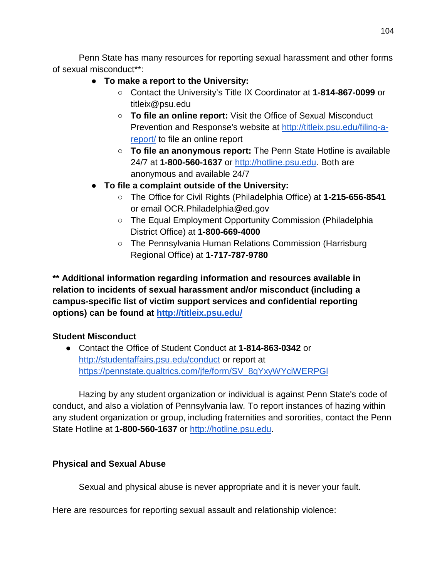Penn State has many resources for reporting sexual harassment and other forms of sexual misconduct\*\*:

- **To make a report to the University:**
	- Contact the University's Title IX Coordinator at **1-814-867-0099** or titleix@psu.edu
	- **To file an online report:** Visit the Office of Sexual Misconduct Preven[t](http://titleix.psu.edu/filing-a-report/)ion and Response's website at [http://titleix.psu.edu/filing-a](http://titleix.psu.edu/filing-a-report/)[report/](http://titleix.psu.edu/filing-a-report/) to file an online report
	- **To file an anonymous report:** The Penn State Hotline is available 24/7 at **1-800-560-1637** o[r](http://hotline.psu.edu/) [http://hotline.psu.edu.](http://hotline.psu.edu/) Both are anonymous and available 24/7
- **To file a complaint outside of the University:**
	- The Office for Civil Rights (Philadelphia Office) at **1-215-656-8541** or email OCR.Philadelphia@ed.gov
	- The Equal Employment Opportunity Commission (Philadelphia District Office) at **1-800-669-4000**
	- The Pennsylvania Human Relations Commission (Harrisburg Regional Office) at **1-717-787-9780**

**\*\* Additional information regarding information and resources available in relation to incidents of sexual harassment and/or misconduct (including a campus-specific list of victim support services and confidential reporting options) can be found a[t](http://titleix.psu.edu/) <http://titleix.psu.edu/>**

# **Student Misconduct**

● Contact the Office of Student Conduct at **1-814-863-0342** o[r](http://studentaffairs.psu.edu/conduct) <http://studentaffairs.psu.edu/conduct> or report a[t](https://pennstate.qualtrics.com/jfe/form/SV_8qYxyWYciWERPGl) [https://pennstate.qualtrics.com/jfe/form/SV\\_8qYxyWYciWERPGl](https://pennstate.qualtrics.com/jfe/form/SV_8qYxyWYciWERPGl)

Hazing by any student organization or individual is against Penn State's code of conduct, and also a violation of Pennsylvania law. To report instances of hazing within any student organization or group, including fraternities and sororities, contact the Penn State Hotline at 1-800-560-1637 o[r](http://hotline.psu.edu/) [http://hotline.psu.edu.](http://hotline.psu.edu/)

# **Physical and Sexual Abuse**

Sexual and physical abuse is never appropriate and it is never your fault.

Here are resources for reporting sexual assault and relationship violence: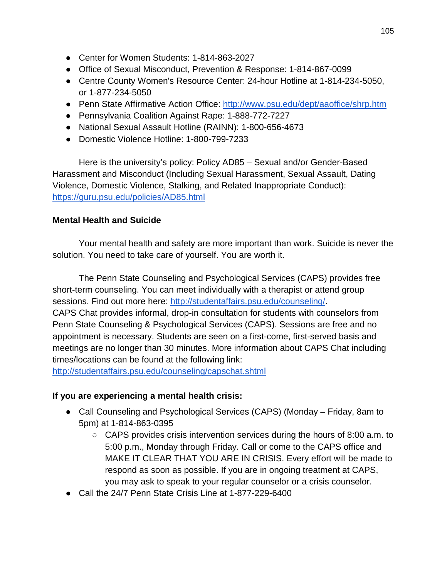- Center for Women Students: 1-814-863-2027
- Office of Sexual Misconduct, Prevention & Response: 1-814-867-0099
- Centre County Women's Resource Center: 24-hour Hotline at 1-814-234-5050, or 1-877-234-5050
- Penn State Affirmative Action Office:<http://www.psu.edu/dept/aaoffice/shrp.htm>
- Pennsylvania Coalition Against Rape: 1-888-772-7227
- National Sexual Assault Hotline (RAINN): 1-800-656-4673
- Domestic Violence Hotline: 1-800-799-7233

Here is the university's policy: Policy AD85 – Sexual and/or Gender-Based Harassment and Misconduct (Including Sexual Harassment, Sexual Assault, Dating Violence, Domestic Violence, Stalking, and Related Inappropriate Conduct)[:](https://guru.psu.edu/policies/AD85.html) <https://guru.psu.edu/policies/AD85.html>

# **Mental Health and Suicide**

Your mental health and safety are more important than work. Suicide is never the solution. You need to take care of yourself. You are worth it.

The Penn State Counseling and Psychological Services (CAPS) provides free short-term counseling. You can meet individually with a therapist or attend group sessions. Find out more here: [http://studentaffairs.psu.edu/counseling/.](http://studentaffairs.psu.edu/counseling/) CAPS Chat provides informal, drop-in consultation for students with counselors from Penn State Counseling & Psychological Services (CAPS). Sessions are free and no appointment is necessary. Students are seen on a first-come, first-served basis and meetings are no longer than 30 minutes. More information about CAPS Chat including times/locations can be found at the following link:

<http://studentaffairs.psu.edu/counseling/capschat.shtml>

# **If you are experiencing a mental health crisis:**

- Call Counseling and Psychological Services (CAPS) (Monday Friday, 8am to 5pm) at 1-814-863-0395
	- CAPS provides crisis intervention services during the hours of 8:00 a.m. to 5:00 p.m., Monday through Friday. Call or come to the CAPS office and MAKE IT CLEAR THAT YOU ARE IN CRISIS. Every effort will be made to respond as soon as possible. If you are in ongoing treatment at CAPS, you may ask to speak to your regular counselor or a crisis counselor.
- Call the 24/7 Penn State Crisis Line at 1-877-229-6400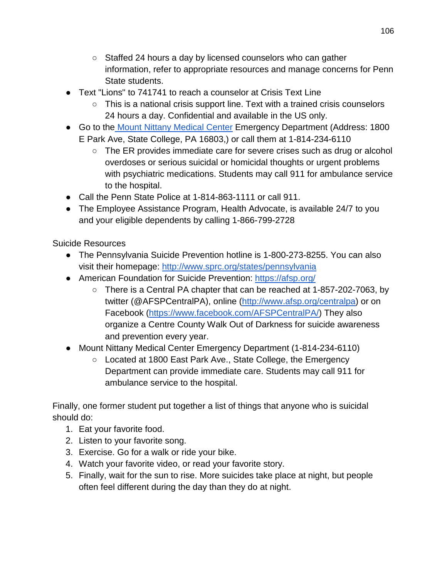- Staffed 24 hours a day by licensed counselors who can gather information, refer to appropriate resources and manage concerns for Penn State students.
- Text "Lions" to 741741 to reach a counselor at Crisis Text Line
	- This is a national crisis support line. Text with a trained crisis counselors 24 hours a day. Confidential and available in the US only.
- Go to the [Mount Nittany Medical Center](http://www.mountnittany.org/patient-tools/get-directions) Emergency Department (Address: 1800 E Park Ave, State College, PA 16803,) or call them at 1-814-234-6110
	- $\circ$  The ER provides immediate care for severe crises such as drug or alcohol overdoses or serious suicidal or homicidal thoughts or urgent problems with psychiatric medications. Students may call 911 for ambulance service to the hospital.
- Call the Penn State Police at 1-814-863-1111 or call 911.
- The Employee Assistance Program, Health Advocate, is available 24/7 to you and your eligible dependents by calling 1-866-799-2728

Suicide Resources

- The Pennsylvania Suicide Prevention hotline is 1-800-273-8255. You can also visit their homepage:<http://www.sprc.org/states/pennsylvania>
- American Foundation for Suicide Prevention:<https://afsp.org/>
	- There is a Central PA chapter that can be reached at 1-857-202-7063, by twitter (@AFSPCentralPA), online [\(http://www.afsp.org/centralpa\)](http://www.afsp.org/centralpa) or on Facebook [\(https://www.facebook.com/AFSPCentralPA/\)](https://www.facebook.com/AFSPCentralPA/) They also organize a Centre County Walk Out of Darkness for suicide awareness and prevention every year.
- Mount Nittany Medical Center Emergency Department (1-814-234-6110)
	- Located at 1800 East Park Ave., State College, the Emergency Department can provide immediate care. Students may call 911 for ambulance service to the hospital.

Finally, one former student put together a list of things that anyone who is suicidal should do:

- 1. Eat your favorite food.
- 2. Listen to your favorite song.
- 3. Exercise. Go for a walk or ride your bike.
- 4. Watch your favorite video, or read your favorite story.
- 5. Finally, wait for the sun to rise. More suicides take place at night, but people often feel different during the day than they do at night.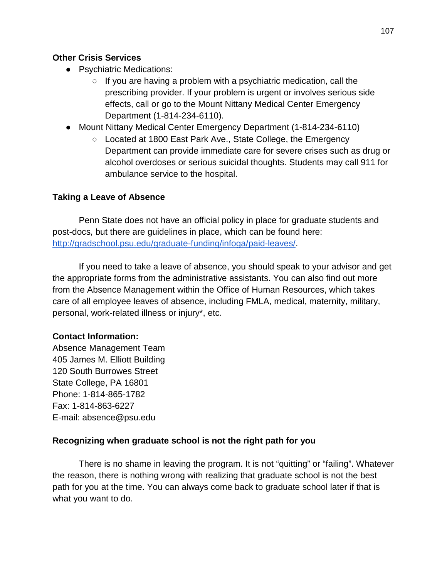### **Other Crisis Services**

- Psychiatric Medications:
	- $\circ$  If you are having a problem with a psychiatric medication, call the prescribing provider. If your problem is urgent or involves serious side effects, call or go to the Mount Nittany Medical Center Emergency Department (1-814-234-6110).
- Mount Nittany Medical Center Emergency Department (1-814-234-6110)
	- Located at 1800 East Park Ave., State College, the Emergency Department can provide immediate care for severe crises such as drug or alcohol overdoses or serious suicidal thoughts. Students may call 911 for ambulance service to the hospital.

# **Taking a Leave of Absence**

Penn State does not have an official policy in place for graduate students and post-docs, but there are guidelines in place, which can be found here: [http://gradschool.psu.edu/graduate-funding/infoga/paid-leaves/.](http://gradschool.psu.edu/graduate-funding/infoga/paid-leaves/)

If you need to take a leave of absence, you should speak to your advisor and get the appropriate forms from the administrative assistants. You can also find out more from the Absence Management within the Office of Human Resources, which takes care of all employee leaves of absence, including FMLA, medical, maternity, military, personal, work-related illness or injury\*, etc.

# **Contact Information:**

Absence Management Team 405 James M. Elliott Building 120 South Burrowes Street State College, PA 16801 Phone: 1-814-865-1782 Fax: 1-814-863-6227 E-mail: absence@psu.edu

# **Recognizing when graduate school is not the right path for you**

There is no shame in leaving the program. It is not "quitting" or "failing". Whatever the reason, there is nothing wrong with realizing that graduate school is not the best path for you at the time. You can always come back to graduate school later if that is what you want to do.